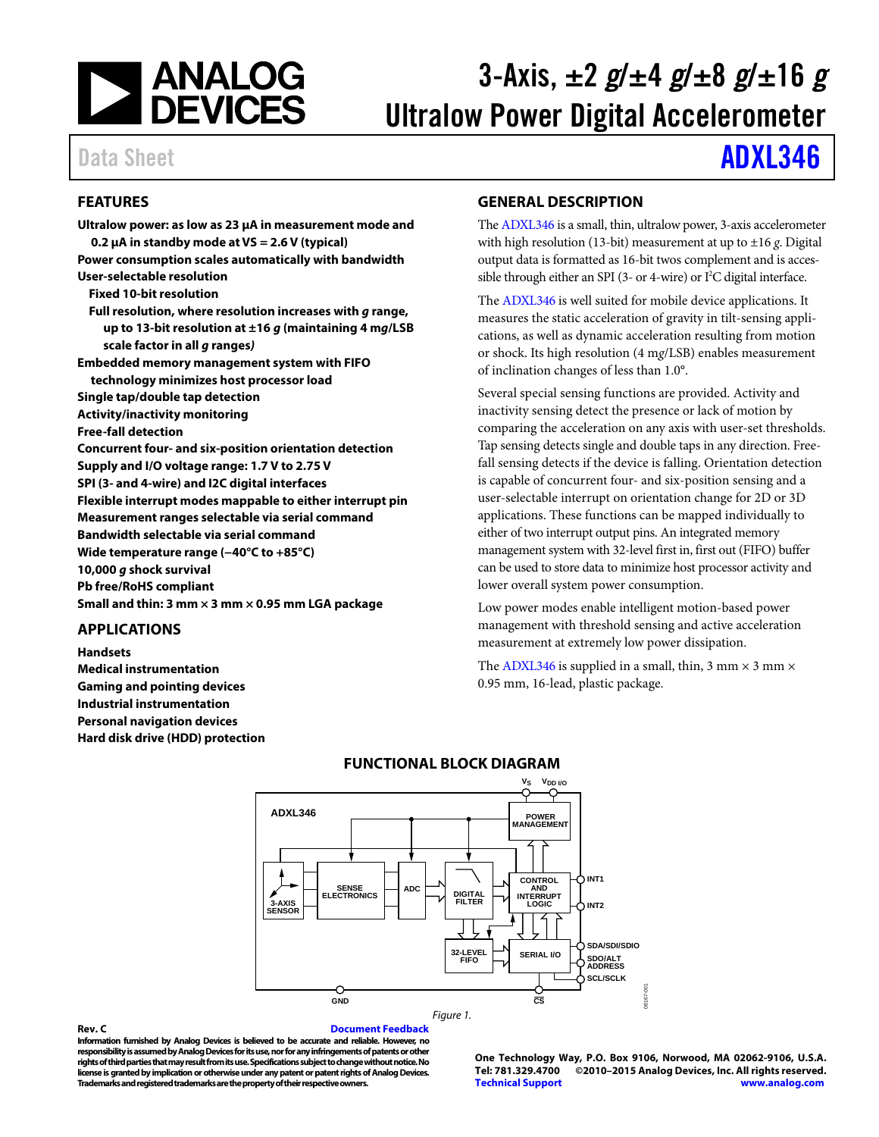

# 3-Axis,  $\pm 2$  g/ $\pm 4$  g/ $\pm 8$  g/ $\pm 16$  g Ultralow Power Digital Accelerometer

# Data Sheet **[ADXL346](http://www.analog.com/adxl346?doc=adxl346.pdf)**

# <span id="page-0-0"></span>**FEATURES**

**Ultralow power: as low as 23 μA in measurement mode and 0.2 μA in standby mode at VS = 2.6 V (typical) Power consumption scales automatically with bandwidth User-selectable resolution Fixed 10-bit resolution Full resolution, where resolution increases with g range, up to 13-bit resolution at ±16 g (maintaining 4 mg/LSB scale factor in all g ranges) Embedded memory management system with FIFO technology minimizes host processor load Single tap/double tap detection Activity/inactivity monitoring Free-fall detection Concurrent four- and six-position orientation detection Supply and I/O voltage range: 1.7 V to 2.75 V SPI (3- and 4-wire) and I2C digital interfaces Flexible interrupt modes mappable to either interrupt pin Measurement ranges selectable via serial command Bandwidth selectable via serial command Wide temperature range (−40°C to +85°C) 10,000 g shock survival Pb free/RoHS compliant Small and thin: 3 mm × 3 mm × 0.95 mm LGA package** 

# <span id="page-0-1"></span>**APPLICATIONS**

<span id="page-0-3"></span>**Handsets Medical instrumentation Gaming and pointing devices Industrial instrumentation Personal navigation devices Hard disk drive (HDD) protection** 

# <span id="page-0-2"></span>**GENERAL DESCRIPTION**

Th[e ADXL346](http://analog.com/ADXL346?doc=ADXL346.pdf) is a small, thin, ultralow power, 3-axis accelerometer with high resolution (13-bit) measurement at up to ±16 *g*. Digital output data is formatted as 16-bit twos complement and is accessible through either an SPI (3- or 4-wire) or  $I<sup>2</sup>C$  digital interface.

The [ADXL346](http://analog.com/ADXL346?doc=ADXL346.pdf) is well suited for mobile device applications. It measures the static acceleration of gravity in tilt-sensing applications, as well as dynamic acceleration resulting from motion or shock. Its high resolution (4 m*g*/LSB) enables measurement of inclination changes of less than 1.0°.

Several special sensing functions are provided. Activity and inactivity sensing detect the presence or lack of motion by comparing the acceleration on any axis with user-set thresholds. Tap sensing detects single and double taps in any direction. Freefall sensing detects if the device is falling. Orientation detection is capable of concurrent four- and six-position sensing and a user-selectable interrupt on orientation change for 2D or 3D applications. These functions can be mapped individually to either of two interrupt output pins. An integrated memory management system with 32-level first in, first out (FIFO) buffer can be used to store data to minimize host processor activity and lower overall system power consumption.

Low power modes enable intelligent motion-based power management with threshold sensing and active acceleration measurement at extremely low power dissipation.

The [ADXL346](http://analog.com/ADXL346?doc=ADXL346.pdf) is supplied in a small, thin, 3 mm  $\times$  3 mm  $\times$ 0.95 mm, 16-lead, plastic package.



# **FUNCTIONAL BLOCK DIAGRAM**

**Rev. C Document Feedback** 

**Information furnished by Analog Devices is believed to be accurate and reliable. However, no responsibility is assumed by Analog Devices for its use, nor for any infringements of patents or other rights of third parties that may result from its use. Specifications subject to change without notice. No license is granted by implication or otherwise under any patent or patent rights of Analog Devices. Trademarks and registered trademarks are the property of their respective owners.** 

**One Technology Way, P.O. Box 9106, Norwood, MA 02062-9106, U.S.A. Tel: 781.329.4700 ©2010–2015 Analog Devices, Inc. All rights reserved. [Technical Support](http://www.analog.com/en/content/technical_support_page/fca.html) [www.analog.com](http://www.analog.com/)**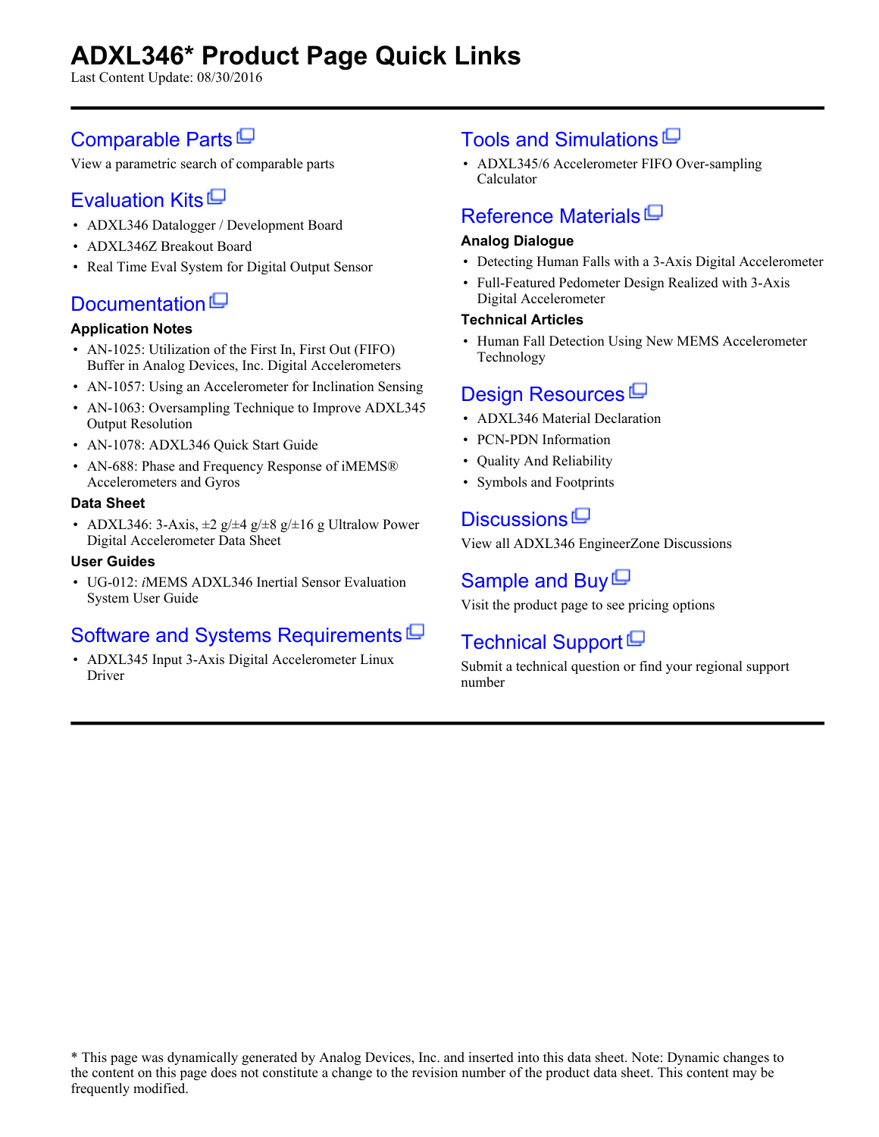# **ADXL346\* Product Page Quick Links**

Last Content Update: 08/30/2016

# [Comparable Parts](http://www.analog.com/parametricsearch/en/11175?doc=adxl346.pdf&p0=1&lsrc=pst)<sup>[1]</sup>

View a parametric search of comparable parts

# [Evaluation Kits](http://www.analog.com/adxl346/evalkits?doc=adxl346.pdf&p0=1&lsrc=ek)<sup>ID</sup>

- ADXL346 Datalogger / Development Board
- ADXL346Z Breakout Board
- Real Time Eval System for Digital Output Sensor

# [Documentation](http://www.analog.com/adxl346/documentation?doc=adxl346.pdf&p0=1&lsrc=doc)  $\Box$

# **Application Notes**

- AN-1025: Utilization of the First In, First Out (FIFO) Buffer in Analog Devices, Inc. Digital Accelerometers
- AN-1057: Using an Accelerometer for Inclination Sensing
- AN-1063: Oversampling Technique to Improve ADXL345 Output Resolution
- AN-1078: ADXL346 Quick Start Guide
- AN-688: Phase and Frequency Response of iMEMS® Accelerometers and Gyros

## **Data Sheet**

• ADXL346: 3-Axis,  $\pm 2$  g/ $\pm 4$  g/ $\pm 8$  g/ $\pm 16$  g Ultralow Power Digital Accelerometer Data Sheet

## **User Guides**

• UG-012: *i*MEMS ADXL346 Inertial Sensor Evaluation System User Guide

# [Software and Systems Requirements](http://www.analog.com/adxl346/softwarerequirements?doc=adxl346.pdf&p0=1&lsrc=swreq)

• ADXL345 Input 3-Axis Digital Accelerometer Linux Driver

# [Tools and Simulations](http://www.analog.com/adxl346/tools?doc=adxl346.pdf&p0=1&lsrc=tools)<sup>[C]</sup>

• ADXL345/6 Accelerometer FIFO Over-sampling Calculator

# [Reference Materials](http://www.analog.com/adxl346/referencematerials?doc=adxl346.pdf&p0=1&lsrc=rm)<sup>ID</sup>

# **Analog Dialogue**

- Detecting Human Falls with a 3-Axis Digital Accelerometer
- Full-Featured Pedometer Design Realized with 3-Axis Digital Accelerometer

## **Technical Articles**

• Human Fall Detection Using New MEMS Accelerometer Technology

# [Design Resources](http://www.analog.com/adxl346/designsources?doc=adxl346.pdf&p0=1&lsrc=dr)<sup>[D]</sup>

- ADXL346 Material Declaration
- PCN-PDN Information
- Quality And Reliability
- Symbols and Footprints

# [Discussions](http://www.analog.com/adxl346/discussions?doc=adxl346.pdf&p0=1&lsrc=disc)<sup>[D]</sup>

View all ADXL346 EngineerZone Discussions

# [Sample and Buy](http://www.analog.com/adxl346/sampleandbuy?doc=adxl346.pdf&p0=1&lsrc=sb)  $\Box$

Visit the product page to see pricing options

# [Technical Support](http://www.analog.com/support/technical-support.html?doc=adxl346.pdf&p0=1&lsrc=techs)<sup>[1]</sup>

Submit a technical question or find your regional support number

<sup>\*</sup> This page was dynamically generated by Analog Devices, Inc. and inserted into this data sheet. Note: Dynamic changes to the content on this page does not constitute a change to the revision number of the product data sheet. This content may be frequently modified.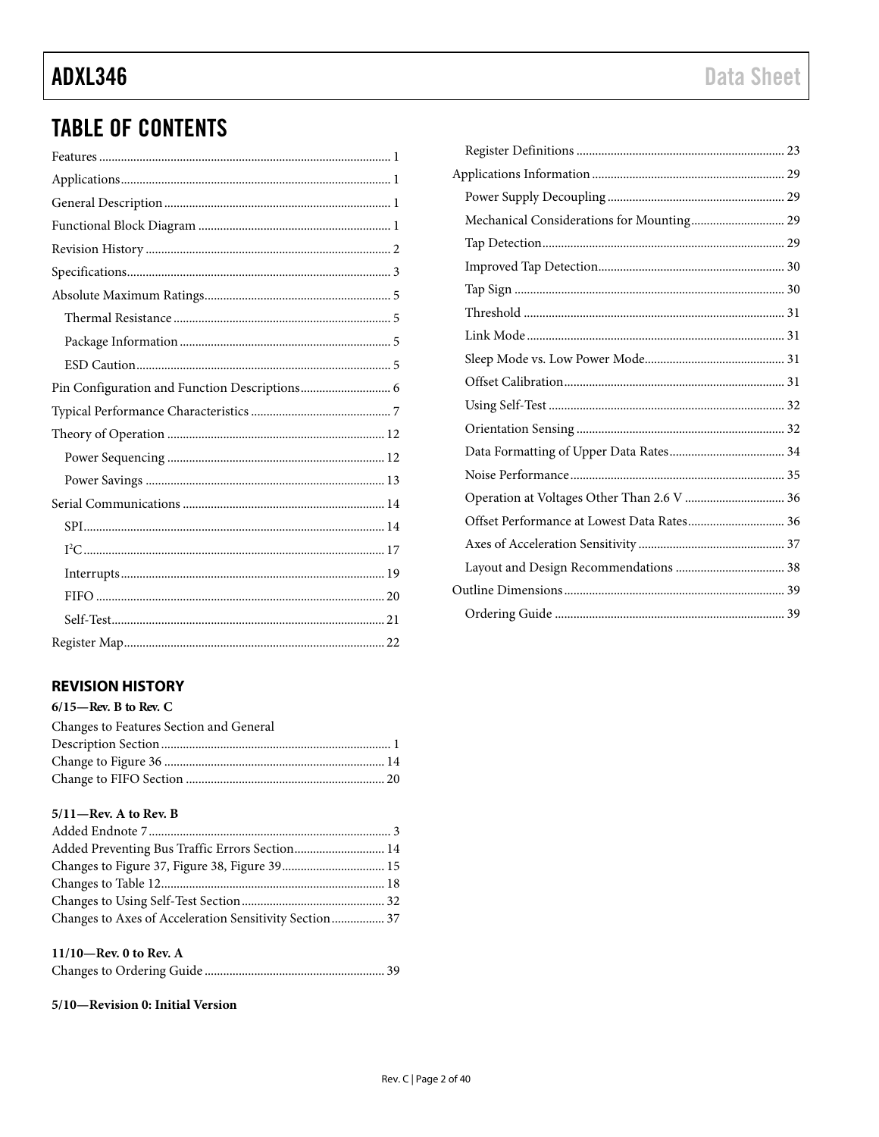# **TABLE OF CONTENTS**

# <span id="page-2-0"></span>**REVISION HISTORY**

| $6/15$ —Rev. B to Rev. C                |  |
|-----------------------------------------|--|
| Changes to Features Section and General |  |
|                                         |  |
|                                         |  |
|                                         |  |

### $5/11$ -Rev. A to Rev. B

| Added Preventing Bus Traffic Errors Section 14         |  |
|--------------------------------------------------------|--|
|                                                        |  |
|                                                        |  |
|                                                        |  |
| Changes to Axes of Acceleration Sensitivity Section 37 |  |

#### 11/10-Rev. 0 to Rev. A

### 5/10-Revision 0: Initial Version

| Offset Performance at Lowest Data Rates 36 |  |
|--------------------------------------------|--|
|                                            |  |
|                                            |  |
|                                            |  |
|                                            |  |
|                                            |  |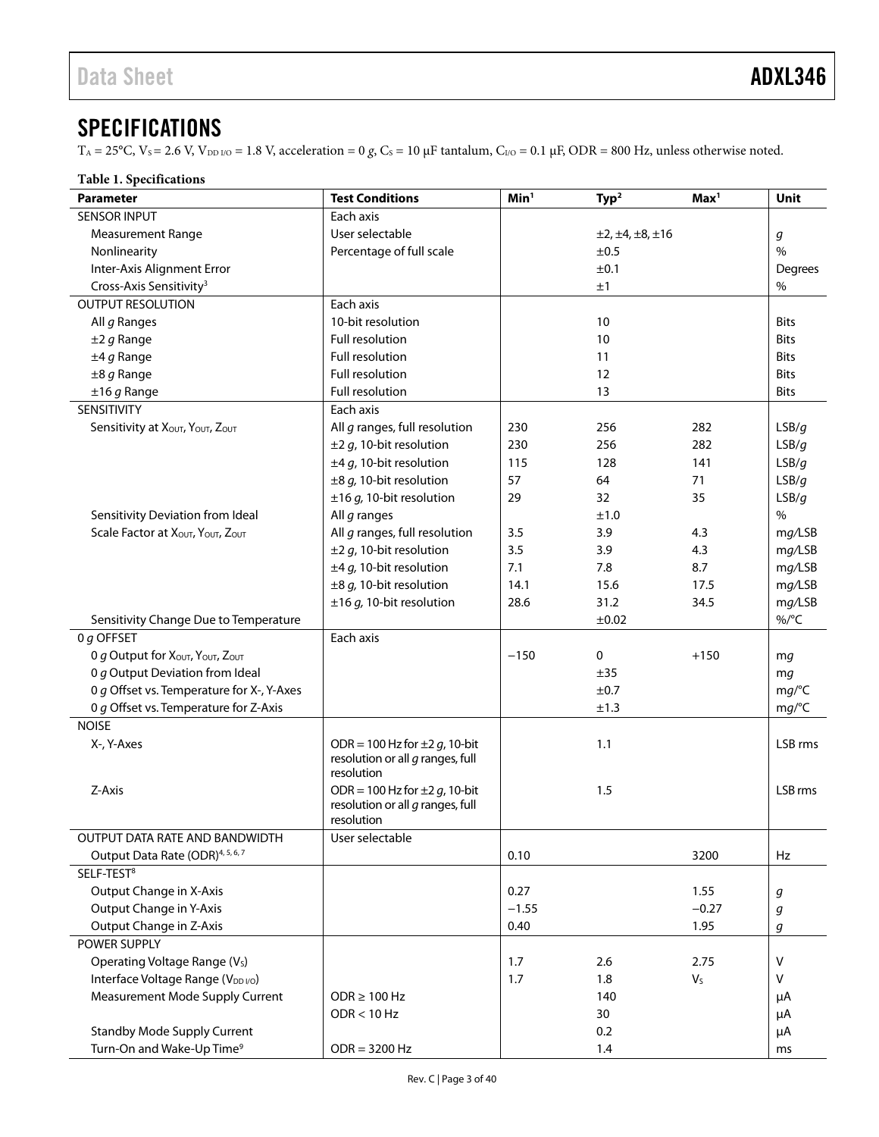# <span id="page-3-0"></span>**SPECIFICATIONS**

 $T_A = 25$ °C,  $V_S = 2.6$  V,  $V_{DD\,IO} = 1.8$  V, acceleration = 0 *g*, C<sub>S</sub> = 10 μF tantalum, C<sub>I/O</sub> = 0.1 μF, ODR = 800 Hz, unless otherwise noted.

<span id="page-3-1"></span>

| <b>Parameter</b>                             | <b>Test Conditions</b>                                                 | Min <sup>1</sup> | Type <sup>2</sup>             | Max <sup>1</sup>          | Unit             |
|----------------------------------------------|------------------------------------------------------------------------|------------------|-------------------------------|---------------------------|------------------|
| <b>SENSOR INPUT</b>                          | Each axis                                                              |                  |                               |                           |                  |
| <b>Measurement Range</b>                     | User selectable                                                        |                  | $\pm 2, \pm 4, \pm 8, \pm 16$ |                           | $\boldsymbol{g}$ |
| Nonlinearity                                 | Percentage of full scale                                               |                  | ±0.5                          |                           | $\frac{0}{0}$    |
| Inter-Axis Alignment Error                   |                                                                        |                  | ±0.1                          |                           | Degrees          |
| Cross-Axis Sensitivity <sup>3</sup>          |                                                                        |                  | ±1                            |                           | %                |
| <b>OUTPUT RESOLUTION</b>                     | Each axis                                                              |                  |                               |                           |                  |
| All g Ranges                                 | 10-bit resolution                                                      |                  | 10                            |                           | <b>Bits</b>      |
| $±2 g$ Range                                 | Full resolution                                                        |                  | 10                            |                           | <b>Bits</b>      |
| $±4 g$ Range                                 | <b>Full resolution</b>                                                 |                  | 11                            |                           | <b>Bits</b>      |
| $\pm 8$ g Range                              | Full resolution                                                        |                  | 12                            |                           | <b>Bits</b>      |
| $±16 g$ Range                                | Full resolution                                                        |                  | 13                            |                           | <b>Bits</b>      |
| SENSITIVITY                                  | Each axis                                                              |                  |                               |                           |                  |
| Sensitivity at XOUT, YOUT, ZOUT              | All $g$ ranges, full resolution                                        | 230              | 256                           | 282                       | LSB/g            |
|                                              | $\pm$ 2 g, 10-bit resolution                                           | 230              | 256                           | 282                       | LSB/q            |
|                                              | $\pm 4$ g, 10-bit resolution                                           | 115              | 128                           | 141                       | LSB/g            |
|                                              | $\pm 8$ g, 10-bit resolution                                           | 57               | 64                            | 71                        | LSB/g            |
|                                              | $\pm 16$ g, 10-bit resolution                                          | 29               | 32                            | 35                        | LSB/g            |
| Sensitivity Deviation from Ideal             | All g ranges                                                           |                  | ±1.0                          |                           | $\%$             |
| Scale Factor at XOUT, YOUT, ZOUT             | All $g$ ranges, full resolution                                        | 3.5              | 3.9                           | 4.3                       | mg/LSB           |
|                                              | $\pm$ 2 g, 10-bit resolution                                           | 3.5              | 3.9                           | 4.3                       | mg/LSB           |
|                                              | $\pm 4$ g, 10-bit resolution                                           | 7.1              | 7.8                           | 8.7                       | mg/LSB           |
|                                              | $\pm 8$ g, 10-bit resolution                                           | 14.1             | 15.6                          | 17.5                      | mg/LSB           |
|                                              | $\pm 16$ g, 10-bit resolution                                          | 28.6             | 31.2                          | 34.5                      | mg/LSB           |
| Sensitivity Change Due to Temperature        |                                                                        |                  | ±0.02                         |                           | $\%$ /°C         |
| 0 g OFFSET                                   | Each axis                                                              |                  |                               |                           |                  |
| O g Output for XOUT, YOUT, ZOUT              |                                                                        | $-150$           | 0                             | $+150$                    | mg               |
| 0 g Output Deviation from Ideal              |                                                                        |                  | ±35                           |                           | mq               |
| 0 g Offset vs. Temperature for X-, Y-Axes    |                                                                        |                  | ±0.7                          |                           | mg/C             |
| 0 g Offset vs. Temperature for Z-Axis        |                                                                        |                  | ±1.3                          |                           | mg/C             |
| <b>NOISE</b>                                 |                                                                        |                  |                               |                           |                  |
| X-, Y-Axes                                   | ODR = 100 Hz for $\pm 2$ g, 10-bit                                     |                  | 1.1                           |                           | LSB rms          |
|                                              | resolution or all $g$ ranges, full<br>resolution                       |                  |                               |                           |                  |
| Z-Axis                                       |                                                                        |                  |                               |                           |                  |
|                                              | ODR = 100 Hz for $\pm 2$ g, 10-bit<br>resolution or all g ranges, full |                  | 1.5                           |                           | LSB rms          |
|                                              | resolution                                                             |                  |                               |                           |                  |
| OUTPUT DATA RATE AND BANDWIDTH               | User selectable                                                        |                  |                               |                           |                  |
| Output Data Rate (ODR) <sup>4, 5, 6, 7</sup> |                                                                        | 0.10             |                               | 3200                      | Hz               |
| SELF-TEST <sup>8</sup>                       |                                                                        |                  |                               |                           |                  |
| Output Change in X-Axis                      |                                                                        | 0.27             |                               | 1.55                      | g                |
| Output Change in Y-Axis                      |                                                                        | $-1.55$          |                               | $-0.27$                   | g                |
| Output Change in Z-Axis                      |                                                                        | 0.40             |                               | 1.95                      | $\boldsymbol{g}$ |
| POWER SUPPLY                                 |                                                                        |                  |                               |                           |                  |
| Operating Voltage Range (V <sub>s</sub> )    |                                                                        | 1.7              | 2.6                           | 2.75                      | $\mathsf{V}$     |
| Interface Voltage Range (VDDI/O)             |                                                                        | 1.7              | 1.8                           | $\mathsf{V}_{\mathsf{S}}$ | V                |
| <b>Measurement Mode Supply Current</b>       | $ODR \ge 100 Hz$                                                       |                  | 140                           |                           | μA               |
|                                              | ODR < 10 Hz                                                            |                  | 30                            |                           | μA               |
| <b>Standby Mode Supply Current</b>           |                                                                        |                  | 0.2                           |                           | μA               |
| Turn-On and Wake-Up Time <sup>9</sup>        | $ODR = 3200 Hz$                                                        |                  | 1.4                           |                           | ms               |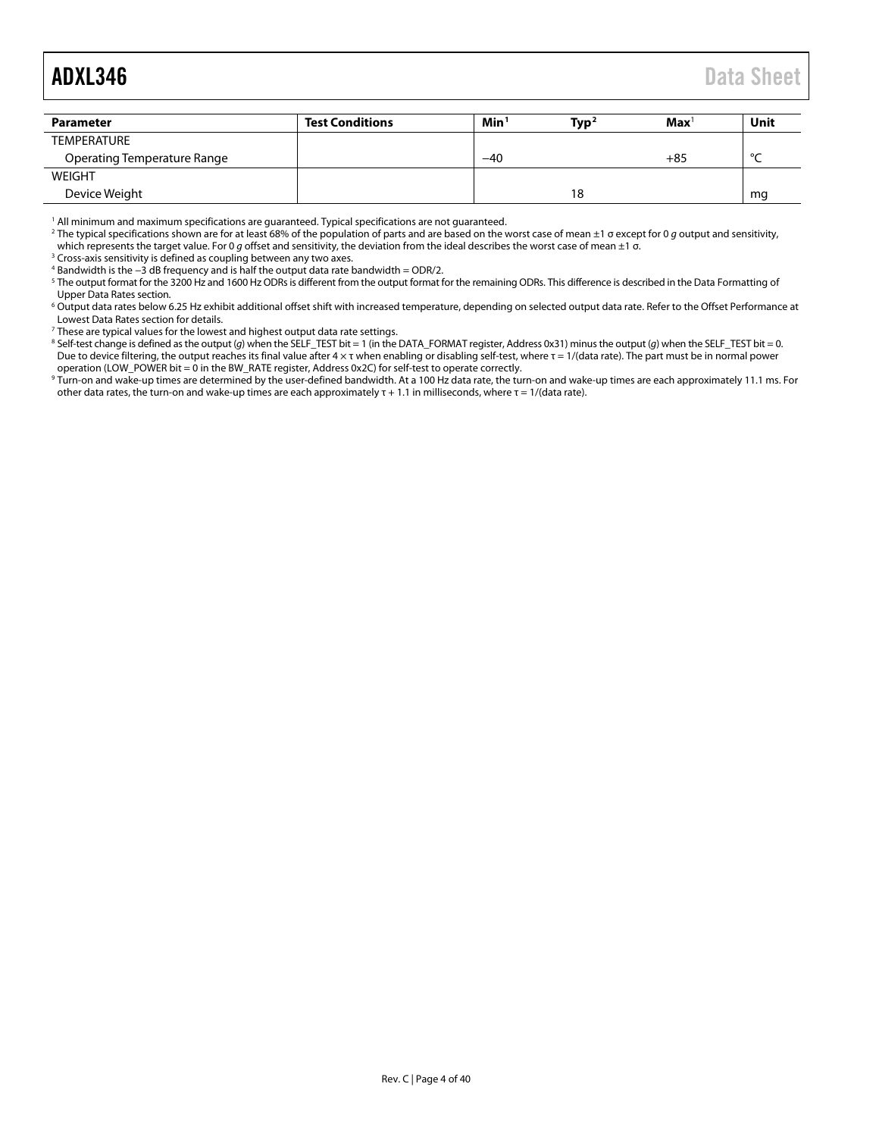| <b>Parameter</b>                   | <b>Test Conditions</b> | Min <sup>1</sup> | $T$ vp <sup>2</sup> | $\mathbf{Max}^1$ | Unit   |
|------------------------------------|------------------------|------------------|---------------------|------------------|--------|
| TEMPERATURE                        |                        |                  |                     |                  |        |
| <b>Operating Temperature Range</b> |                        | $-40$            |                     | $+85$            | $\sim$ |
| <b>WEIGHT</b>                      |                        |                  |                     |                  |        |
| Device Weight                      |                        |                  | 18                  |                  | mg     |

<span id="page-4-0"></span><sup>1</sup> All minimum and maximum specifications are guaranteed. Typical specifications are not guaranteed.

<span id="page-4-1"></span><sup>2</sup> The typical specifications shown are for at least 68% of the population of parts and are based on the worst case of mean ±1 σ except for 0 g output and sensitivity, which represents the target value. For 0 *g* offset and sensitivity, the deviation from the ideal describes the worst case of mean ±1 σ.

<span id="page-4-2"></span><sup>3</sup> Cross-axis sensitivity is defined as coupling between any two axes.

<span id="page-4-3"></span><sup>4</sup> Bandwidth is the −3 dB frequency and is half the output data rate bandwidth = ODR/2.

<span id="page-4-4"></span><sup>5</sup> The output format for the 3200 Hz and 1600 Hz ODRs is different from the output format for the remaining ODRs. This difference is described in the Data Formatting of [Upper Data Rates](#page-34-0) section.

<span id="page-4-5"></span><sup>6</sup> Output data rates below 6.25 Hz exhibit additional offset shift with increased temperature, depending on selected output data rate. Refer to th[e Offset Performance at](#page-36-0)  [Lowest Data Rates](#page-36-0) section for details.

<span id="page-4-6"></span> $7$  These are typical values for the lowest and highest output data rate settings.

<span id="page-4-7"></span><sup>8</sup> Self-test change is defined as the output (*g*) when the SELF\_TEST bit = 1 (in the DATA\_FORMAT register, Address 0x31) minus the output (*g*) when the SELF\_TEST bit = 0. Due to device filtering, the output reaches its final value after 4 × τ when enabling or disabling self-test, where τ = 1/(data rate). The part must be in normal power operation (LOW\_POWER bit = 0 in the BW\_RATE register, Address 0x2C) for self-test to operate correctly.

<span id="page-4-8"></span><sup>9</sup> Turn-on and wake-up times are determined by the user-defined bandwidth. At a 100 Hz data rate, the turn-on and wake-up times are each approximately 11.1 ms. For other data rates, the turn-on and wake-up times are each approximately  $\tau$  + 1.1 in milliseconds, where  $\tau$  = 1/(data rate).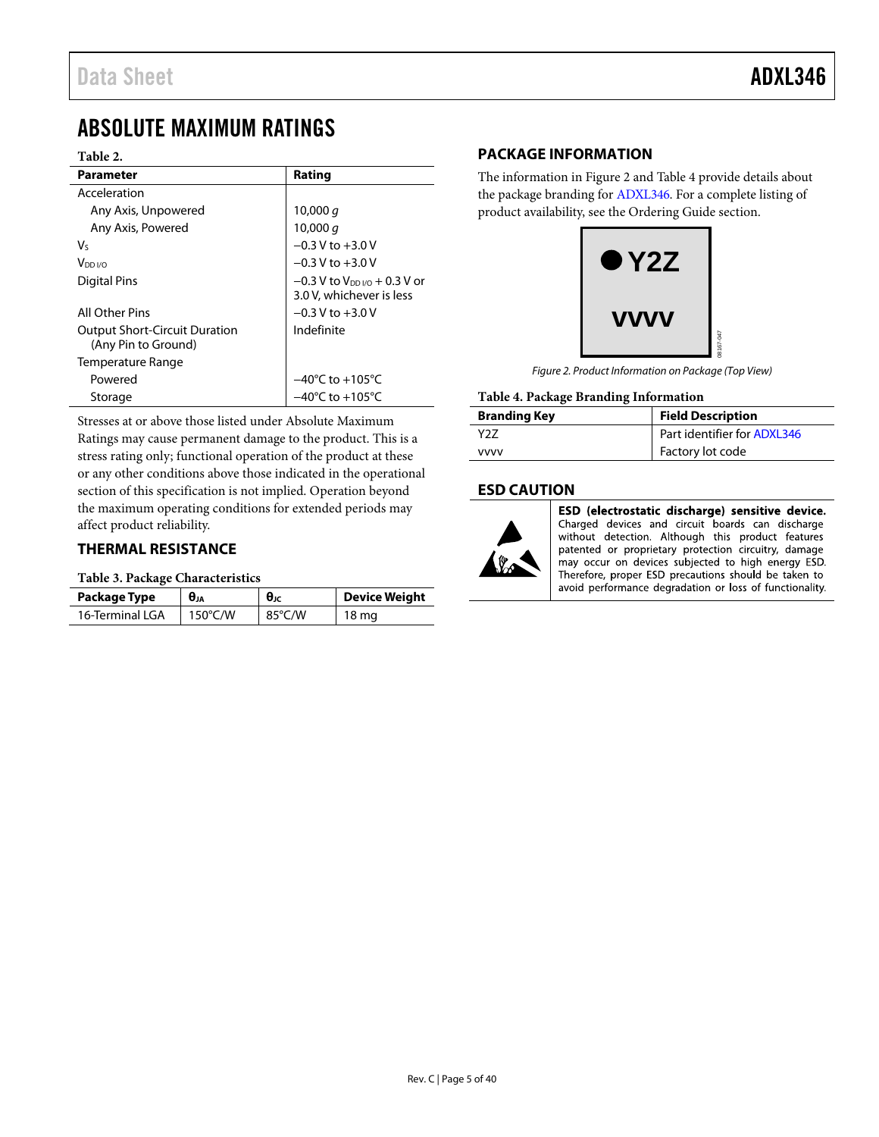# <span id="page-5-0"></span>ABSOLUTE MAXIMUM RATINGS

#### **Table 2.**

| Parameter                                                   | Rating                                                                 |
|-------------------------------------------------------------|------------------------------------------------------------------------|
| Acceleration                                                |                                                                        |
| Any Axis, Unpowered                                         | 10,000 $q$                                                             |
| Any Axis, Powered                                           | 10,000 $q$                                                             |
| V٢                                                          | $-0.3$ V to $+3.0$ V                                                   |
| V <sub>DD I/O</sub>                                         | $-0.3$ V to $+3.0$ V                                                   |
| <b>Digital Pins</b>                                         | $-0.3$ V to V <sub>DD VO</sub> $+0.3$ V or<br>3.0 V, whichever is less |
| All Other Pins                                              | $-0.3$ V to $+3.0$ V                                                   |
| <b>Output Short-Circuit Duration</b><br>(Any Pin to Ground) | Indefinite                                                             |
| Temperature Range                                           |                                                                        |
| Powered                                                     | $-40^{\circ}$ C to $+105^{\circ}$ C                                    |
| Storage                                                     | –40°C to +105°C                                                        |

Stresses at or above those listed under Absolute Maximum Ratings may cause permanent damage to the product. This is a stress rating only; functional operation of the product at these or any other conditions above those indicated in the operational section of this specification is not implied. Operation beyond the maximum operating conditions for extended periods may affect product reliability.

## <span id="page-5-1"></span>**THERMAL RESISTANCE**

#### **Table 3. Package Characteristics**

| Package Type     | $\theta$ JA       | θıο    | Device Weight    |
|------------------|-------------------|--------|------------------|
| 16-Terminal I GA | $150^{\circ}$ C/W | 85°C/W | 18 <sub>mq</sub> |

# <span id="page-5-2"></span>**PACKAGE INFORMATION**

The information in [Figure 2](#page-5-4) an[d Table 4](#page-5-5) provide details about the package branding fo[r ADXL346.](http://analog.com/ADXL346?doc=ADXL346.pdf) For a complete listing of product availability, see the [Ordering Guide](#page-39-1) section.



*Figure 2. Product Information on Package (Top View)*

#### <span id="page-5-5"></span><span id="page-5-4"></span>**Table 4. Package Branding Information**

| <b>Branding Key</b> | <b>Field Description</b>    |
|---------------------|-----------------------------|
| Y27                 | Part identifier for ADXL346 |
| <b>VVVV</b>         | Factory lot code            |

## <span id="page-5-3"></span>**ESD CAUTION**



ESD (electrostatic discharge) sensitive device. Charged devices and circuit boards can discharge without detection. Although this product features patented or proprietary protection circuitry, damage may occur on devices subjected to high energy ESD. Therefore, proper ESD precautions should be taken to avoid performance degradation or loss of functionality.

08167-047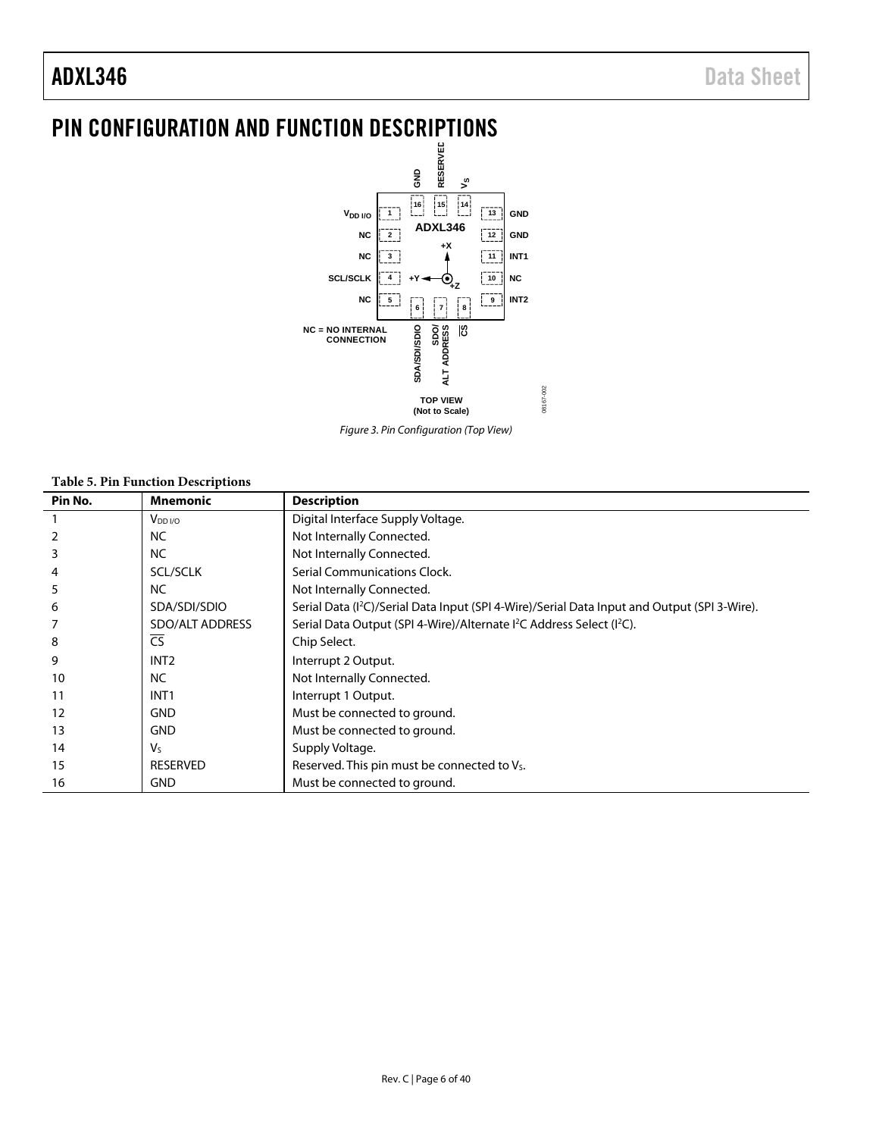# <span id="page-6-0"></span>PIN CONFIGURATION AND FUNCTION DESCRIPTIONS



*Figure 3. Pin Configuration (Top View)*

#### **Table 5. Pin Function Descriptions**

| Pin No. | Mnemonic            | <b>Description</b>                                                                                       |
|---------|---------------------|----------------------------------------------------------------------------------------------------------|
|         | V <sub>DD I/O</sub> | Digital Interface Supply Voltage.                                                                        |
|         | <b>NC</b>           | Not Internally Connected.                                                                                |
| 3       | <b>NC</b>           | Not Internally Connected.                                                                                |
| 4       | <b>SCL/SCLK</b>     | Serial Communications Clock.                                                                             |
| 5       | <b>NC</b>           | Not Internally Connected.                                                                                |
| 6       | SDA/SDI/SDIO        | Serial Data (I <sup>2</sup> C)/Serial Data Input (SPI 4-Wire)/Serial Data Input and Output (SPI 3-Wire). |
|         | SDO/ALT ADDRESS     | Serial Data Output (SPI 4-Wire)/Alternate I <sup>2</sup> C Address Select (I <sup>2</sup> C).            |
| 8       | <b>CS</b>           | Chip Select.                                                                                             |
| 9       | INT <sub>2</sub>    | Interrupt 2 Output.                                                                                      |
| 10      | <b>NC</b>           | Not Internally Connected.                                                                                |
| 11      | INT <sub>1</sub>    | Interrupt 1 Output.                                                                                      |
| 12      | <b>GND</b>          | Must be connected to ground.                                                                             |
| 13      | <b>GND</b>          | Must be connected to ground.                                                                             |
| 14      | V٢                  | Supply Voltage.                                                                                          |
| 15      | <b>RESERVED</b>     | Reserved. This pin must be connected to V <sub>s</sub> .                                                 |
| 16      | <b>GND</b>          | Must be connected to ground.                                                                             |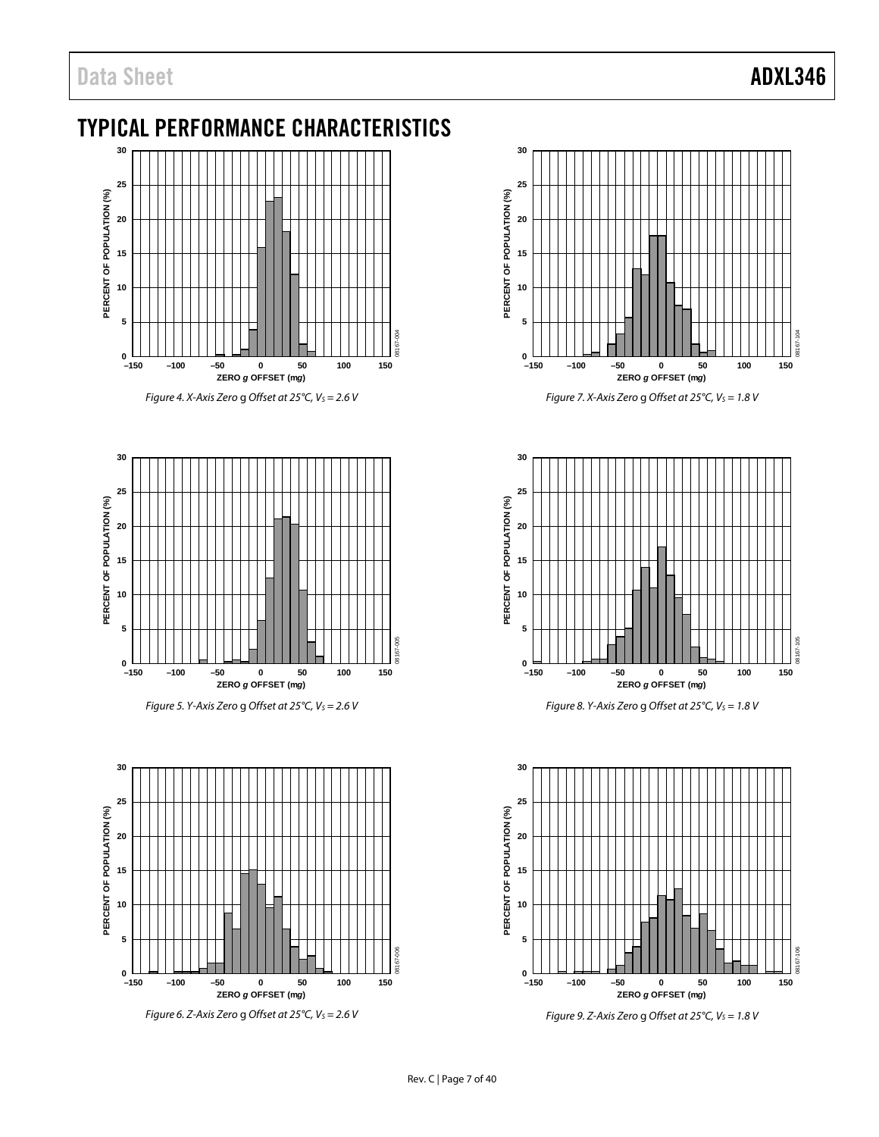# <span id="page-7-0"></span>TYPICAL PERFORMANCE CHARACTERISTICS





*Figure 5. Y-Axis Zero* g *Offset at 25°C, V<sub>S</sub> = 2.6 V* 





**30 25** PERCENT OF POPULATION (%) **PERCENT OF POPULATION (%) 20 15 10 5** 08167-105 **0 –150 –100 –50 0 50 100 150 ZERO** *g* **OFFSET (m***g***)** *Figure 8. Y-Axis Zero* g *Offset at 25°C, V<sub>S</sub> = 1.8 V* 



*Figure 9. Z-Axis Zero* g *Offset at 25°C, V<sub>S</sub> = 1.8 V*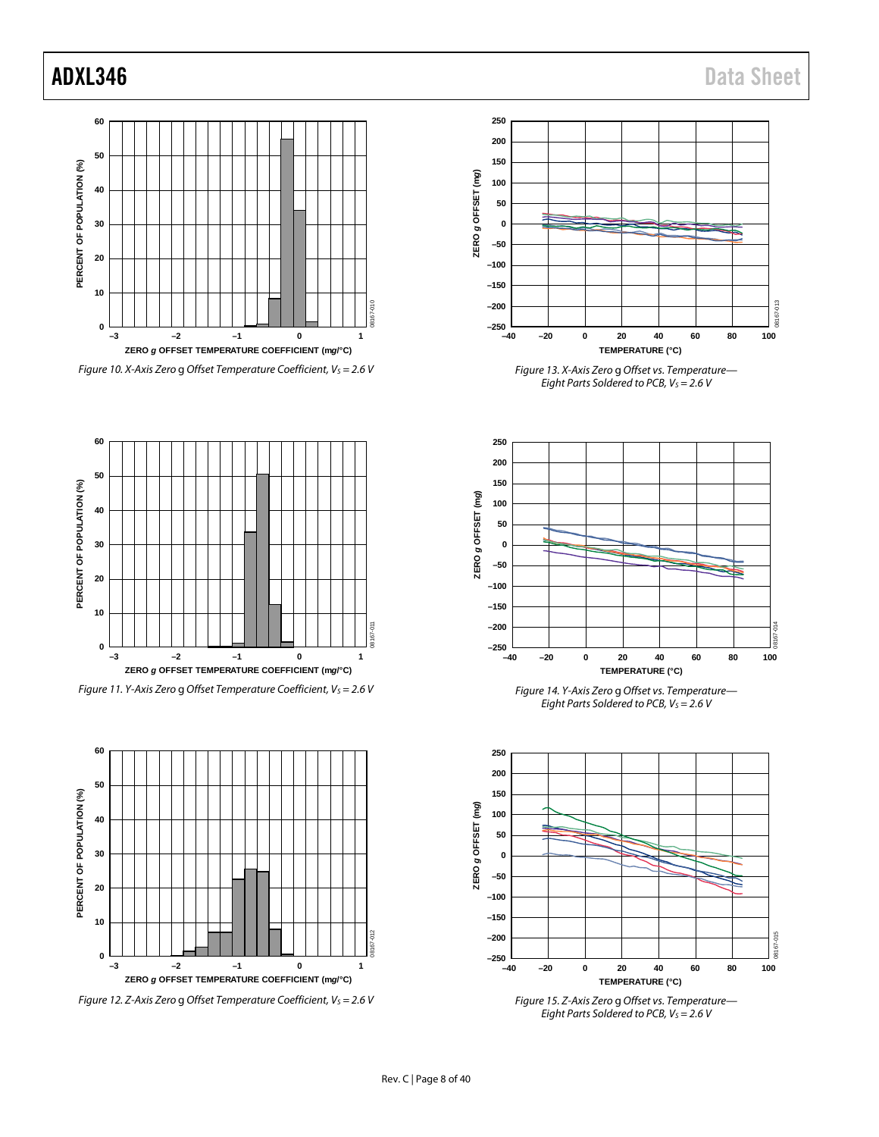



*Figure 11. Y-Axis Zero g Offset Temperature Coefficient, Vs* = 2.6 V



*Figure 12. Z-Axis Zero g Offset Temperature Coefficient, Vs* = 2.6 V



*Figure 13. X-Axis Zero* g *Offset vs. Temperature— Eight Parts Soldered to PCB, V<sub>S</sub> = 2.6 V* 



*Figure 14. Y-Axis Zero* g *Offset vs. Temperature— Eight Parts Soldered to PCB, V<sub>S</sub> = 2.6 V* 



*Figure 15. Z-Axis Zero* g *Offset vs. Temperature— Eight Parts Soldered to PCB, V<sub>S</sub> = 2.6 V*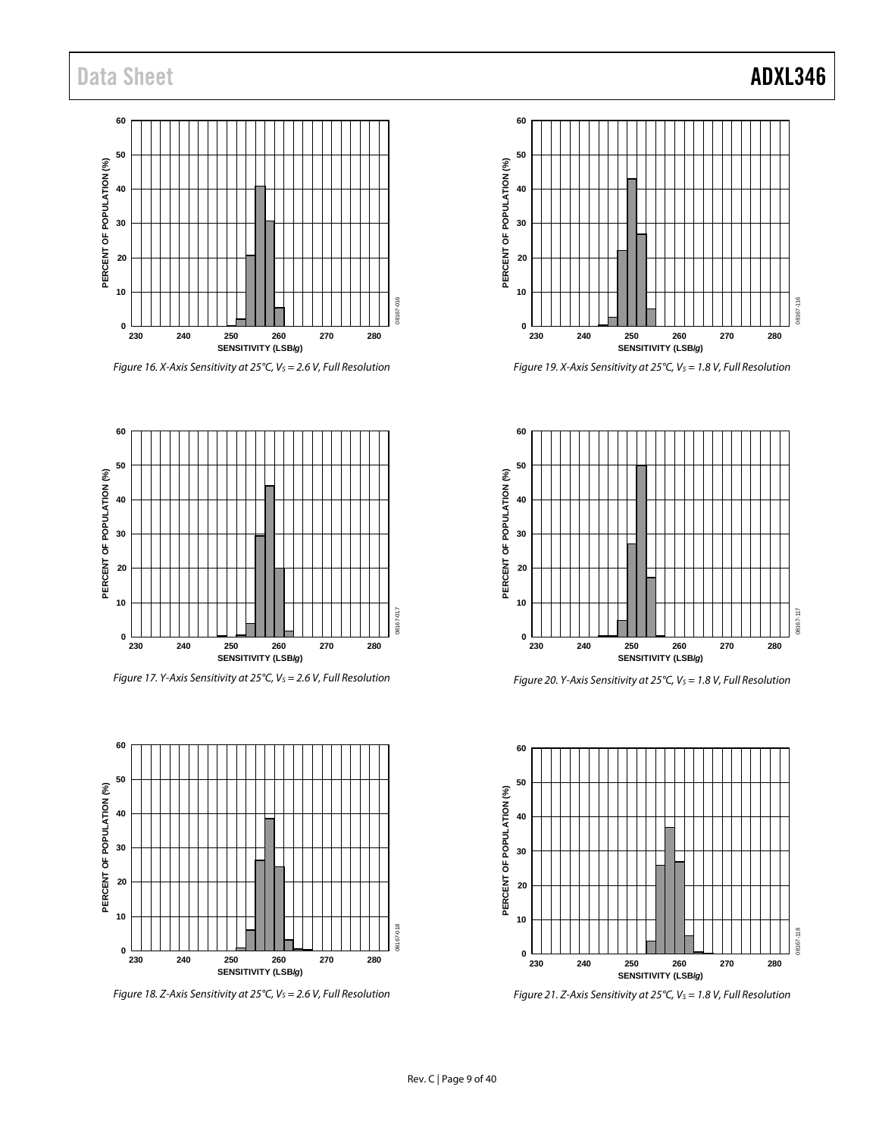# Data Sheet **ADXL346**



*Figure 16. X-Axis Sensitivity at 25°C, V<sub>S</sub> = 2.6 V, Full Resolution* 



*Figure 17. Y-Axis Sensitivity at 25°C, Vs* = 2.6 V, Full Resolution



*Figure 18. Z-Axis Sensitivity at 25°C, VS = 2.6 V, Full Resolution*





*Figure 19. X-Axis Sensitivity at 25°C, V<sub>S</sub> = 1.8 V, Full Resolution* 



*Figure 20. Y-Axis Sensitivity at 25°C, V<sub>S</sub> = 1.8 V, Full Resolution* 



*Figure 21. Z-Axis Sensitivity at 25°C, V<sub>S</sub> = 1.8 V, Full Resolution*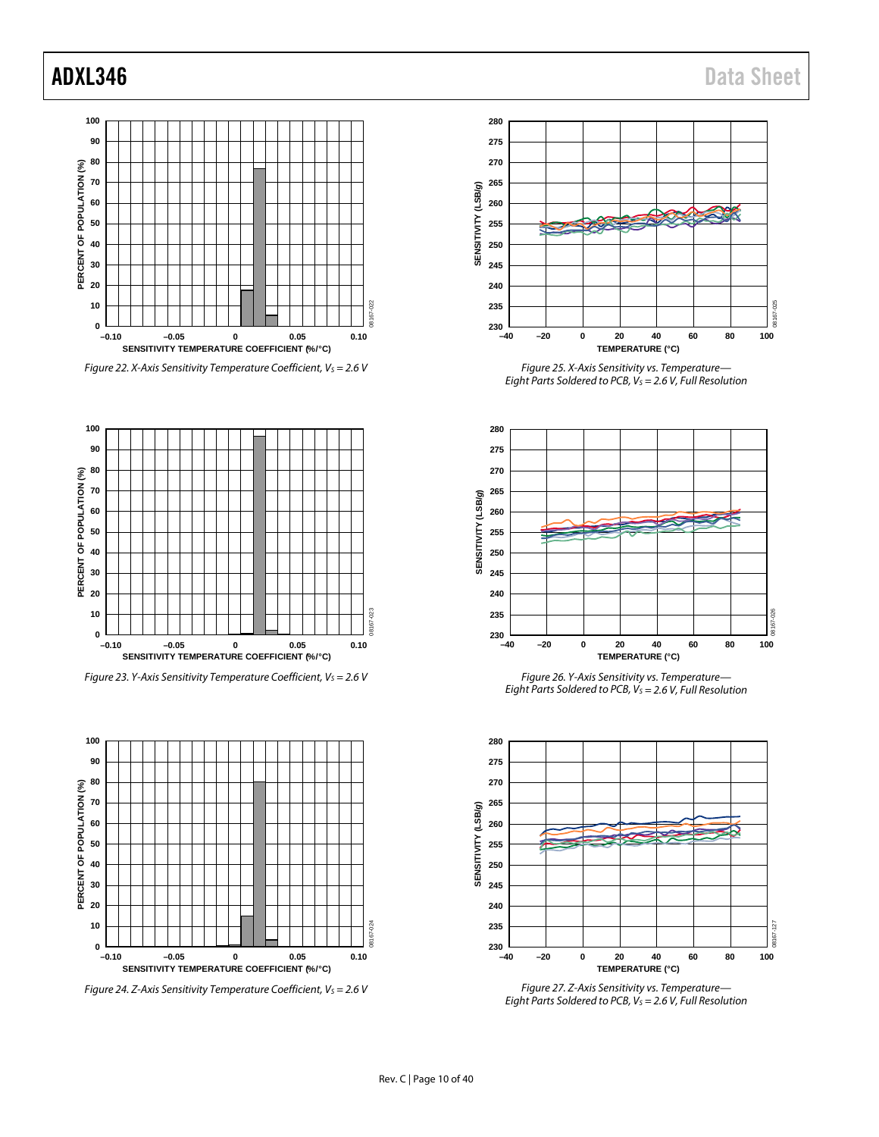



*Figure 23. Y-Axis Sensitivity Temperature Coefficient, V<sub>S</sub> = 2.6 V* 



*Figure 24. Z-Axis Sensitivity Temperature Coefficient, V<sub>S</sub> = 2.6 V* 



*Figure 25. X-Axis Sensitivity vs. Temperature— Eight Parts Soldered to PCB, V<sub>S</sub> = 2.6 V, Full Resolution* 



*Figure 26. Y-Axis Sensitivity vs. Temperature— Eight Parts Soldered to PCB, V<sub>S</sub> = 2.6 V, Full Resolution* 



*Figure 27. Z-Axis Sensitivity vs. Temperature— Eight Parts Soldered to PCB, V<sub>S</sub> = 2.6 V, Full Resolution*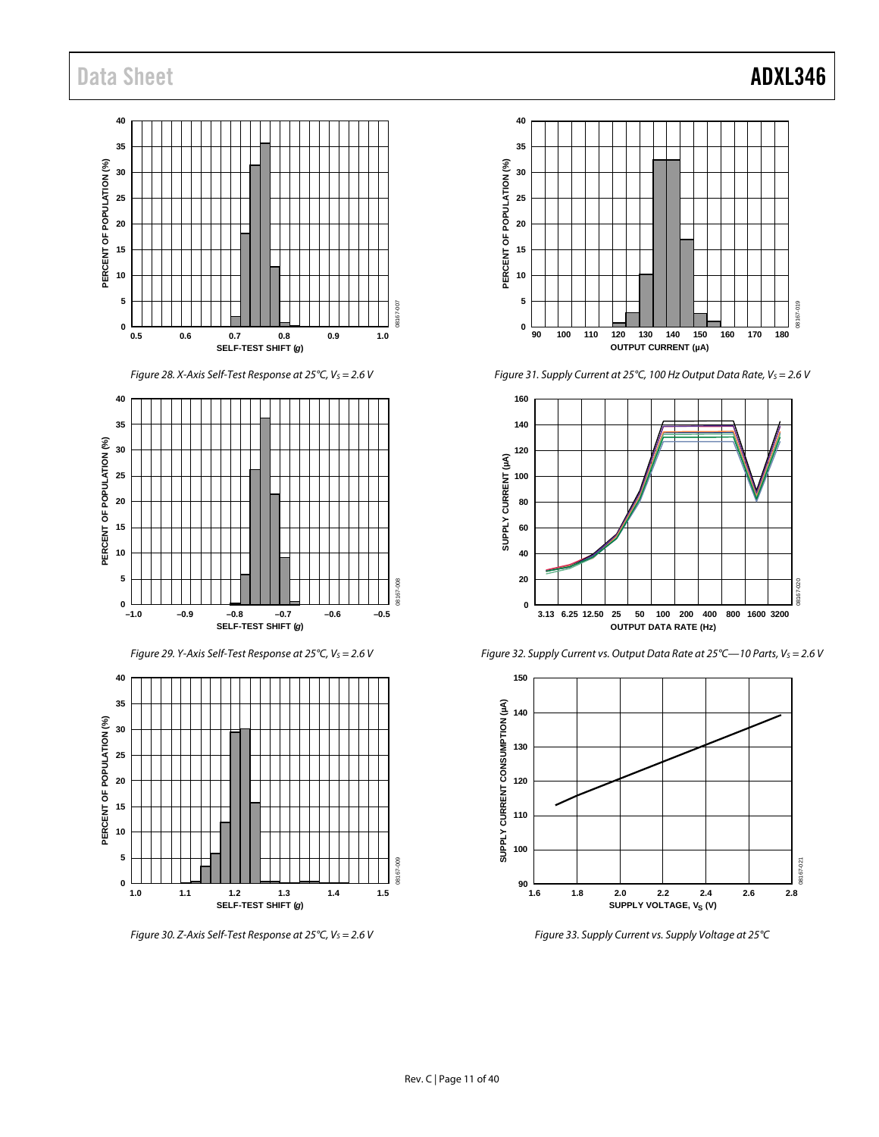# Data Sheet **ADXL346**







*Figure 29. Y-Axis Self-Test Response at 25°C, V<sub>S</sub> = 2.6 V* 



*Figure 30. Z-Axis Self-Test Response at 25°C, V<sub>S</sub> = 2.6 V* 



*Figure 31. Supply Current at 25°C, 100 Hz Output Data Rate, Vs* = 2.6 V



*Figure 32. Supply Current vs. Output Data Rate at 25°C—10 Parts, Vs* = 2.6 V



<span id="page-11-0"></span>*Figure 33. Supply Current vs. Supply Voltage at 25°C*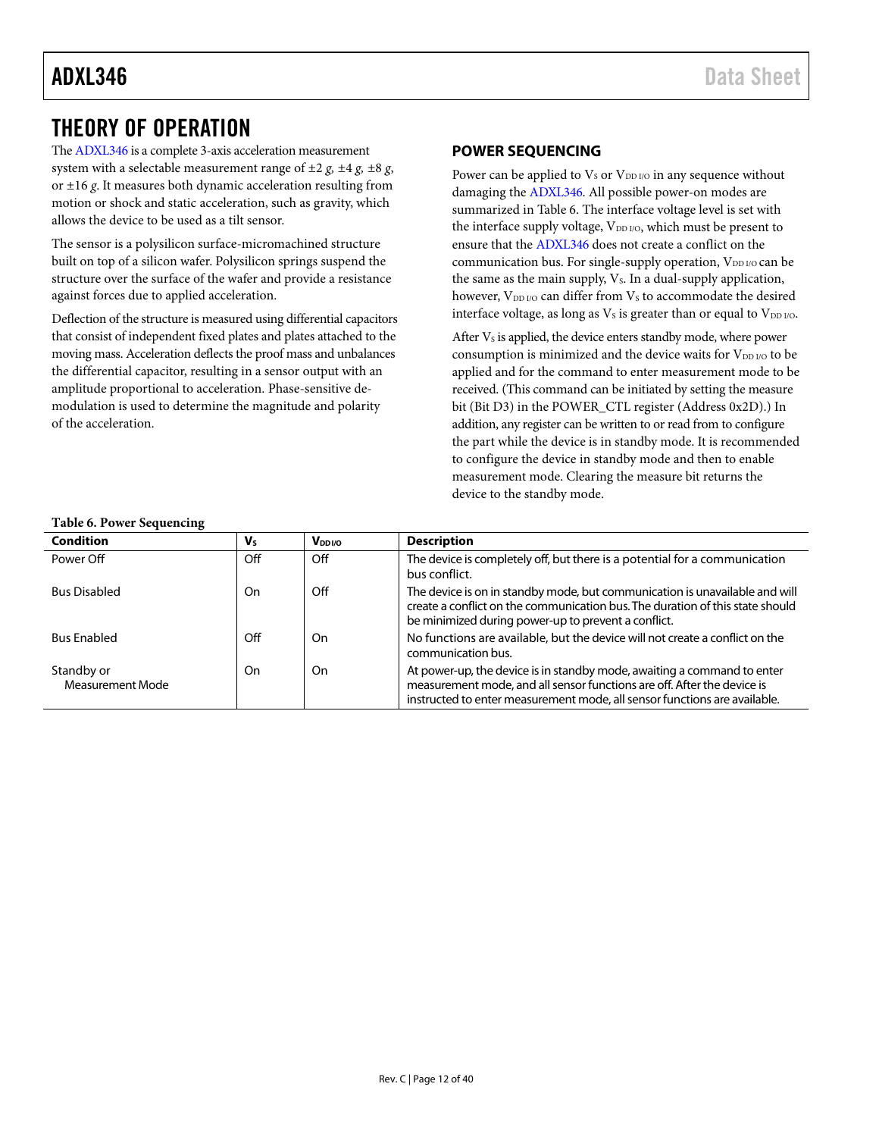# <span id="page-12-0"></span>THEORY OF OPERATION

Th[e ADXL346](http://analog.com/ADXL346?doc=ADXL346.pdf) is a complete 3-axis acceleration measurement system with a selectable measurement range of ±2 *g, ±*4 *g, ±*8 *g*, or ±16 *g*. It measures both dynamic acceleration resulting from motion or shock and static acceleration, such as gravity, which allows the device to be used as a tilt sensor.

The sensor is a polysilicon surface-micromachined structure built on top of a silicon wafer. Polysilicon springs suspend the structure over the surface of the wafer and provide a resistance against forces due to applied acceleration.

Deflection of the structure is measured using differential capacitors that consist of independent fixed plates and plates attached to the moving mass. Acceleration deflects the proof mass and unbalances the differential capacitor, resulting in a sensor output with an amplitude proportional to acceleration. Phase-sensitive demodulation is used to determine the magnitude and polarity of the acceleration.

# <span id="page-12-1"></span>**POWER SEQUENCING**

Power can be applied to  $V_S$  or  $V_{DD\,I/O}$  in any sequence without damaging the [ADXL346.](http://analog.com/ADXL346?doc=ADXL346.pdf) All possible power-on modes are summarized i[n Table 6.](#page-12-2) The interface voltage level is set with the interface supply voltage,  $V_{DD I/O}$ , which must be present to ensure that th[e ADXL346](http://analog.com/ADXL346?doc=ADXL346.pdf) does not create a conflict on the communication bus. For single-supply operation,  $V_{DD I/O}$  can be the same as the main supply,  $V_s$ . In a dual-supply application, however, V<sub>DD I/O</sub> can differ from V<sub>s</sub> to accommodate the desired interface voltage, as long as  $V_s$  is greater than or equal to  $V_{DD I/O}$ .

After  $V_s$  is applied, the device enters standby mode, where power consumption is minimized and the device waits for V<sub>DD I/O</sub> to be applied and for the command to enter measurement mode to be received. (This command can be initiated by setting the measure bit (Bit D3) in the POWER\_CTL register (Address 0x2D).) In addition, any register can be written to or read from to configure the part while the device is in standby mode. It is recommended to configure the device in standby mode and then to enable measurement mode. Clearing the measure bit returns the device to the standby mode.

#### <span id="page-12-2"></span>**Table 6. Power Sequencing**

| $\cdot$                        |     |                    |                                                                                                                                                                                                                                 |
|--------------------------------|-----|--------------------|---------------------------------------------------------------------------------------------------------------------------------------------------------------------------------------------------------------------------------|
| <b>Condition</b>               | Vs  | V <sub>DDI/O</sub> | <b>Description</b>                                                                                                                                                                                                              |
| Power Off                      | Off | Off                | The device is completely off, but there is a potential for a communication<br>bus conflict.                                                                                                                                     |
| <b>Bus Disabled</b>            | On. | Off                | The device is on in standby mode, but communication is unavailable and will<br>create a conflict on the communication bus. The duration of this state should<br>be minimized during power-up to prevent a conflict.             |
| <b>Bus Enabled</b>             | Off | On                 | No functions are available, but the device will not create a conflict on the<br>communication bus.                                                                                                                              |
| Standby or<br>Measurement Mode | On  | On                 | At power-up, the device is in standby mode, awaiting a command to enter<br>measurement mode, and all sensor functions are off. After the device is<br>instructed to enter measurement mode, all sensor functions are available. |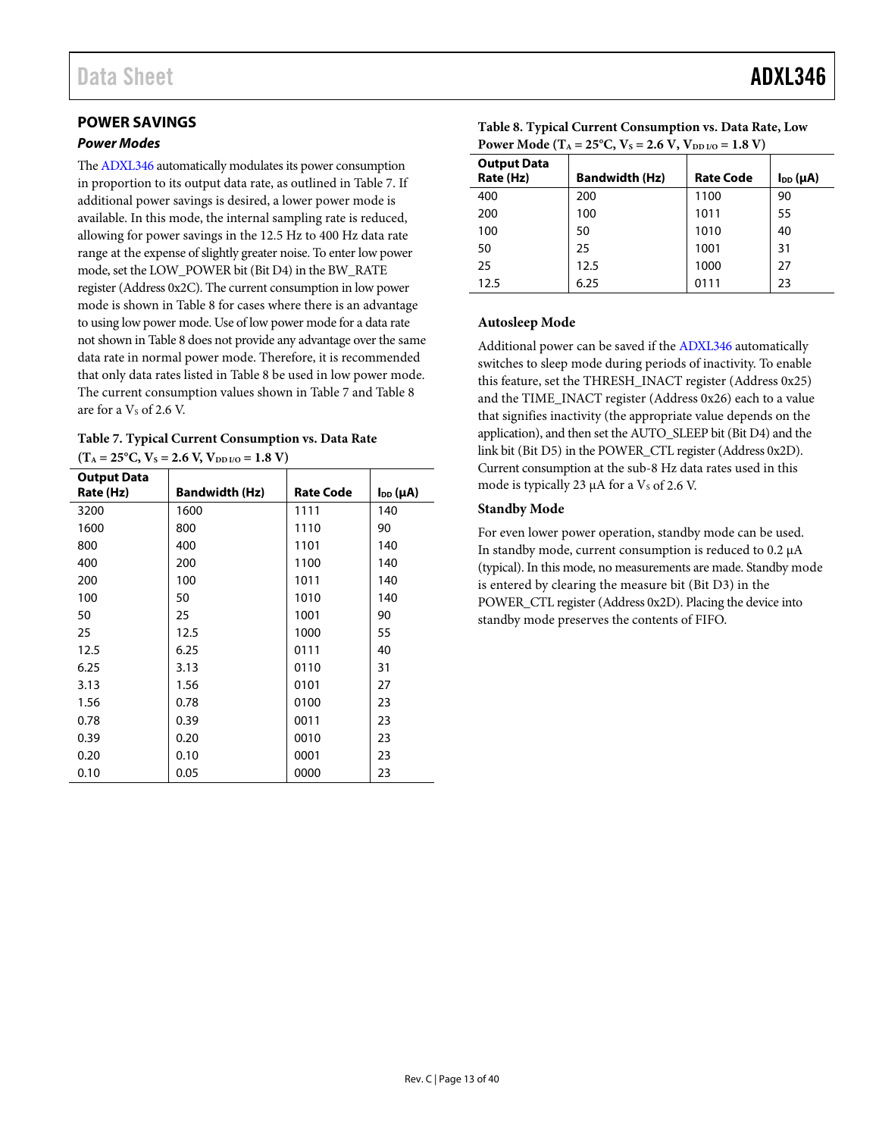# <span id="page-13-0"></span>**POWER SAVINGS**

#### <span id="page-13-3"></span>*Power Modes*

Th[e ADXL346](http://analog.com/ADXL346?doc=ADXL346.pdf) automatically modulates its power consumption in proportion to its output data rate, as outlined i[n Table 7.](#page-13-1) If additional power savings is desired, a lower power mode is available. In this mode, the internal sampling rate is reduced, allowing for power savings in the 12.5 Hz to 400 Hz data rate range at the expense of slightly greater noise. To enter low power mode, set the LOW\_POWER bit (Bit D4) in the BW\_RATE register (Address 0x2C). The current consumption in low power mode is shown in [Table 8](#page-13-2) for cases where there is an advantage to using low power mode. Use of low power mode for a data rate not shown i[n Table 8](#page-13-2) does not provide any advantage over the same data rate in normal power mode. Therefore, it is recommended that only data rates listed i[n Table 8](#page-13-2) be used in low power mode. The current consumption values shown i[n Table 7](#page-13-1) and [Table 8](#page-13-2) are for a  $V<sub>S</sub>$  of 2.6 V.

<span id="page-13-1"></span>

| Table 7. Typical Current Consumption vs. Data Rate |  |  |  |  |  |
|----------------------------------------------------|--|--|--|--|--|
|----------------------------------------------------|--|--|--|--|--|

 $(T_A = 25^{\circ}C, V_s = 2.6 V, V_{DD I/O} = 1.8 V)$ 

| <b>Output Data</b><br>Rate (Hz) | <b>Bandwidth (Hz)</b> | <b>Rate Code</b> | $I_{DD}(\mu A)$ |
|---------------------------------|-----------------------|------------------|-----------------|
| 3200                            | 1600                  | 1111             | 140             |
| 1600                            | 800                   | 1110             | 90              |
| 800                             | 400                   | 1101             | 140             |
| 400                             | 200                   | 1100             | 140             |
| 200                             | 100                   | 1011             | 140             |
| 100                             | 50                    | 1010             | 140             |
| 50                              | 25                    | 1001             | 90              |
| 25                              | 12.5                  | 1000             | 55              |
| 12.5                            | 6.25                  | 0111             | 40              |
| 6.25                            | 3.13                  | 0110             | 31              |
| 3.13                            | 1.56                  | 0101             | 27              |
| 1.56                            | 0.78                  | 0100             | 23              |
| 0.78                            | 0.39                  | 0011             | 23              |
| 0.39                            | 0.20                  | 0010             | 23              |
| 0.20                            | 0.10                  | 0001             | 23              |
| 0.10                            | 0.05                  | 0000             | 23              |

| <b>Output Data</b><br>Rate (Hz) | <b>Bandwidth (Hz)</b> | <b>Rate Code</b> | $I_{DD}(\mu A)$ |
|---------------------------------|-----------------------|------------------|-----------------|
| 400                             | 200                   | 1100             | 90              |
| 200                             | 100                   | 1011             | 55              |
| 100                             | 50                    | 1010             | 40              |
| 50                              | 25                    | 1001             | 31              |
| 25                              | 12.5                  | 1000             | 27              |
| 12.5                            | 6.25                  | 0111             | 23              |

<span id="page-13-2"></span>**Table 8. Typical Current Consumption vs. Data Rate, Low Power Mode (T<sub>A</sub> = 25<sup>°</sup>C, V<sub>S</sub> = 2.6 V, V<sub>DD I/O</sub> = 1.8 V)** 

#### **Autosleep Mode**

Additional power can be saved if th[e ADXL346](http://analog.com/ADXL346?doc=ADXL346.pdf) automatically switches to sleep mode during periods of inactivity. To enable this feature, set the THRESH\_INACT register (Address 0x25) and the TIME\_INACT register (Address 0x26) each to a value that signifies inactivity (the appropriate value depends on the application), and then set the AUTO\_SLEEP bit (Bit D4) and the link bit (Bit D5) in the POWER\_CTL register (Address 0x2D). Current consumption at the sub-8 Hz data rates used in this mode is typically 23  $\mu$ A for a Vs of 2.6 V.

#### **Standby Mode**

For even lower power operation, standby mode can be used. In standby mode, current consumption is reduced to 0.2 µA (typical). In this mode, no measurements are made. Standby mode is entered by clearing the measure bit (Bit D3) in the POWER CTL register (Address 0x2D). Placing the device into standby mode preserves the contents of FIFO.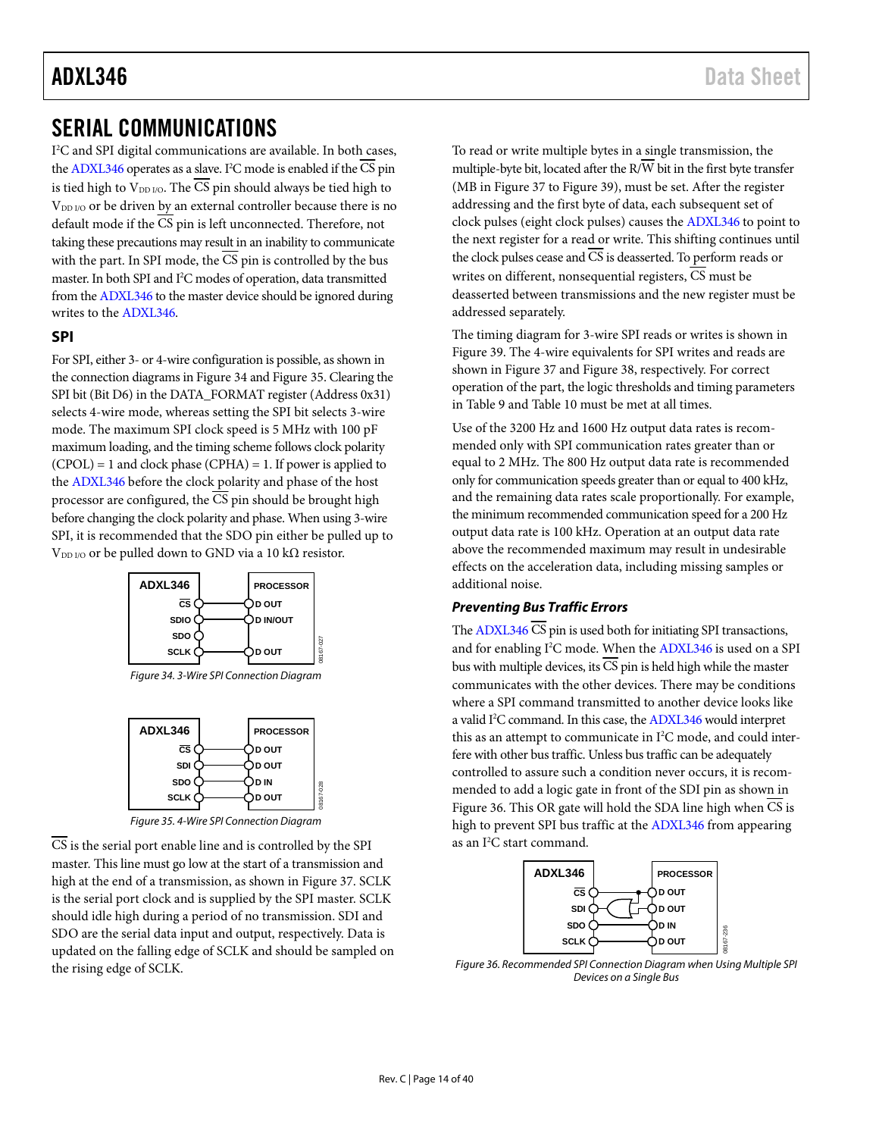# <span id="page-14-0"></span>SERIAL COMMUNICATIONS

I 2 C and SPI digital communications are available. In both cases, th[e ADXL346 o](http://analog.com/ADXL346?doc=ADXL346.pdf)perates as a slave. I<sup>2</sup>C mode is enabled if the CS pin is tied high to  $V_{DD I/O}$ . The  $\overline{CS}$  pin should always be tied high to V<sub>DD I/O</sub> or be driven by an external controller because there is no default mode if the  $\overline{\text{CS}}$  pin is left unconnected. Therefore, not taking these precautions may result in an inability to communicate with the part. In SPI mode, the  $\overline{\text{CS}}$  pin is controlled by the bus master. In both SPI and I<sup>2</sup>C modes of operation, data transmitted from th[e ADXL346](http://analog.com/ADXL346?doc=ADXL346.pdf) to the master device should be ignored during writes to the [ADXL346.](http://analog.com/ADXL346?doc=ADXL346.pdf)

#### <span id="page-14-1"></span>**SPI**

For SPI, either 3- or 4-wire configuration is possible, as shown in the connection diagrams i[n Figure 34 a](#page-14-2)n[d Figure 35.](#page-14-3) Clearing the SPI bit (Bit D6) in the DATA\_FORMAT register (Address 0x31) selects 4-wire mode, whereas setting the SPI bit selects 3-wire mode. The maximum SPI clock speed is 5 MHz with 100 pF maximum loading, and the timing scheme follows clock polarity  $(CPOL) = 1$  and clock phase  $(CPHA) = 1$ . If power is applied to the [ADXL346](http://analog.com/ADXL346?doc=ADXL346.pdf) before the clock polarity and phase of the host processor are configured, the CS pin should be brought high before changing the clock polarity and phase. When using 3-wire SPI, it is recommended that the SDO pin either be pulled up to V<sub>DD I/O</sub> or be pulled down to GND via a 10 kΩ resistor.



<span id="page-14-2"></span>Figure 34. 3-Wire SPI Connection Diagram



Figure 35. 4-Wire SPI Connection Diagram

<span id="page-14-3"></span>CS is the serial port enable line and is controlled by the SPI master. This line must go low at the start of a transmission and high at the end of a transmission, as shown i[n Figure 37.](#page-15-0) SCLK is the serial port clock and is supplied by the SPI master. SCLK should idle high during a period of no transmission. SDI and SDO are the serial data input and output, respectively. Data is updated on the falling edge of SCLK and should be sampled on the rising edge of SCLK.

To read or write multiple bytes in a single transmission, the multiple-byte bit, located after the  $\overline{R/W}$  bit in the first byte transfer (MB i[n Figure 37](#page-15-0) to [Figure 39\)](#page-15-1), must be set. After the register addressing and the first byte of data, each subsequent set of clock pulses (eight clock pulses) causes th[e ADXL346 t](http://analog.com/ADXL346?doc=ADXL346.pdf)o point to the next register for a read or write. This shifting continues until the clock pulses cease and  $\overline{\text{CS}}$  is deasserted. To perform reads or writes on different, nonsequential registers,  $\overline{CS}$  must be deasserted between transmissions and the new register must be addressed separately.

The timing diagram for 3-wire SPI reads or writes is shown in [Figure 39.](#page-15-1) The 4-wire equivalents for SPI writes and reads are shown in [Figure 37 a](#page-15-0)n[d Figure 38,](#page-15-2) respectively. For correct operation of the part, the logic thresholds and timing parameters in [Table 9](#page-16-0) an[d Table 10](#page-16-1) must be met at all times.

Use of the 3200 Hz and 1600 Hz output data rates is recommended only with SPI communication rates greater than or equal to 2 MHz. The 800 Hz output data rate is recommended only for communication speeds greater than or equal to 400 kHz, and the remaining data rates scale proportionally. For example, the minimum recommended communication speed for a 200 Hz output data rate is 100 kHz. Operation at an output data rate above the recommended maximum may result in undesirable effects on the acceleration data, including missing samples or additional noise.

## **Preventing Bus Traffic Errors**

Th[e ADXL346](http://analog.com/ADXL346?doc=ADXL346.pdf) CS pin is used both for initiating SPI transactions, and for enabling I<sup>2</sup>C mode. When th[e ADXL346](http://analog.com/ADXL346?doc=ADXL346.pdf) is used on a SPI bus with multiple devices, its  $\overline{CS}$  pin is held high while the master communicates with the other devices. There may be conditions where a SPI command transmitted to another device looks like a valid I<sup>2</sup>C command. In this case, th[e ADXL346](http://analog.com/ADXL346?doc=ADXL346.pdf) would interpret this as an attempt to communicate in  $I^2C$  mode, and could interfere with other bus traffic. Unless bus traffic can be adequately controlled to assure such a condition never occurs, it is recommended to add a logic gate in front of the SDI pin as shown in [Figure 36.](#page-14-4) This OR gate will hold the SDA line high when CS is high to prevent SPI bus traffic at the [ADXL346 f](http://analog.com/ADXL346?doc=ADXL346.pdf)rom appearing as an I2 C start command.



<span id="page-14-4"></span>Figure 36. Recommended SPI Connection Diagram when Using Multiple SPI Devices on a Single Bus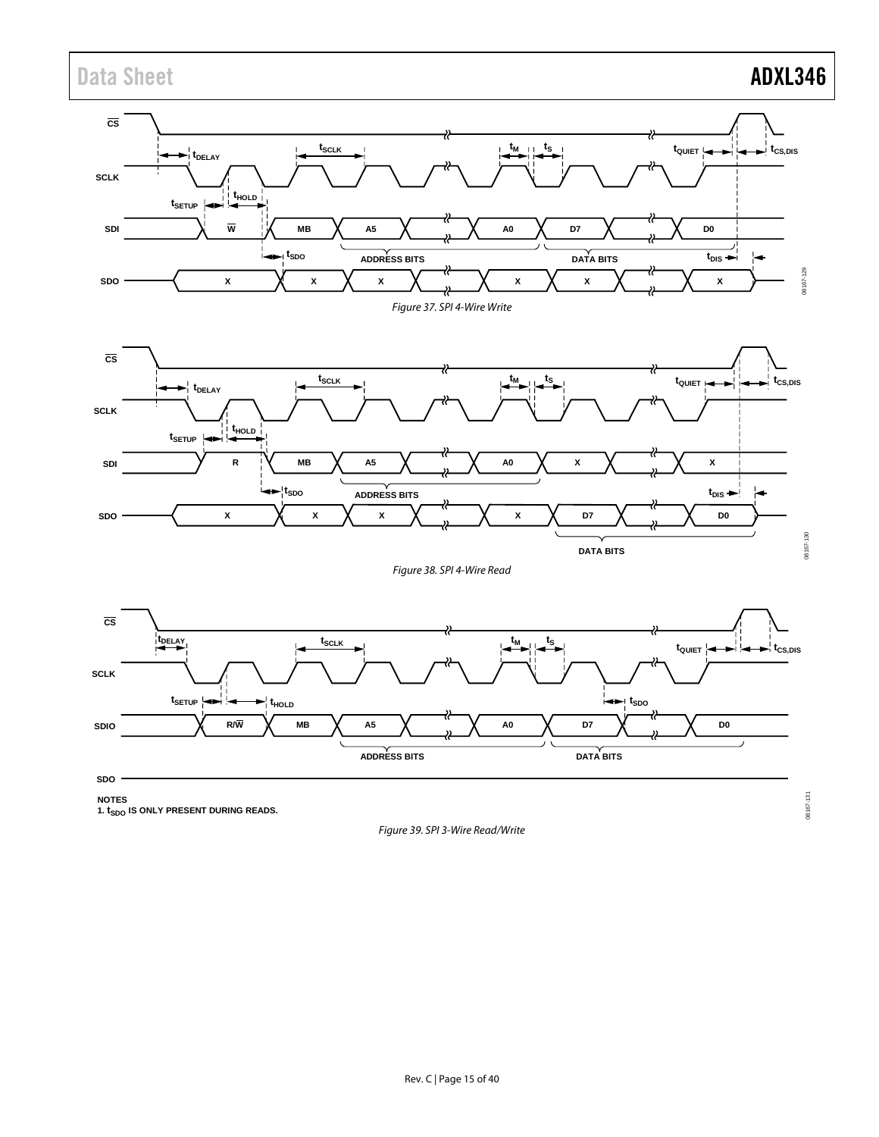Data Sheet **ADXL346** 

<span id="page-15-0"></span>

<span id="page-15-2"></span>**NOTES**

<span id="page-15-1"></span>**1.**  $t_{SDO}$  IS ONLY PRESENT DURING READS.

Figure 39. SPI 3-Wire Read/Write

08167-131 08167-131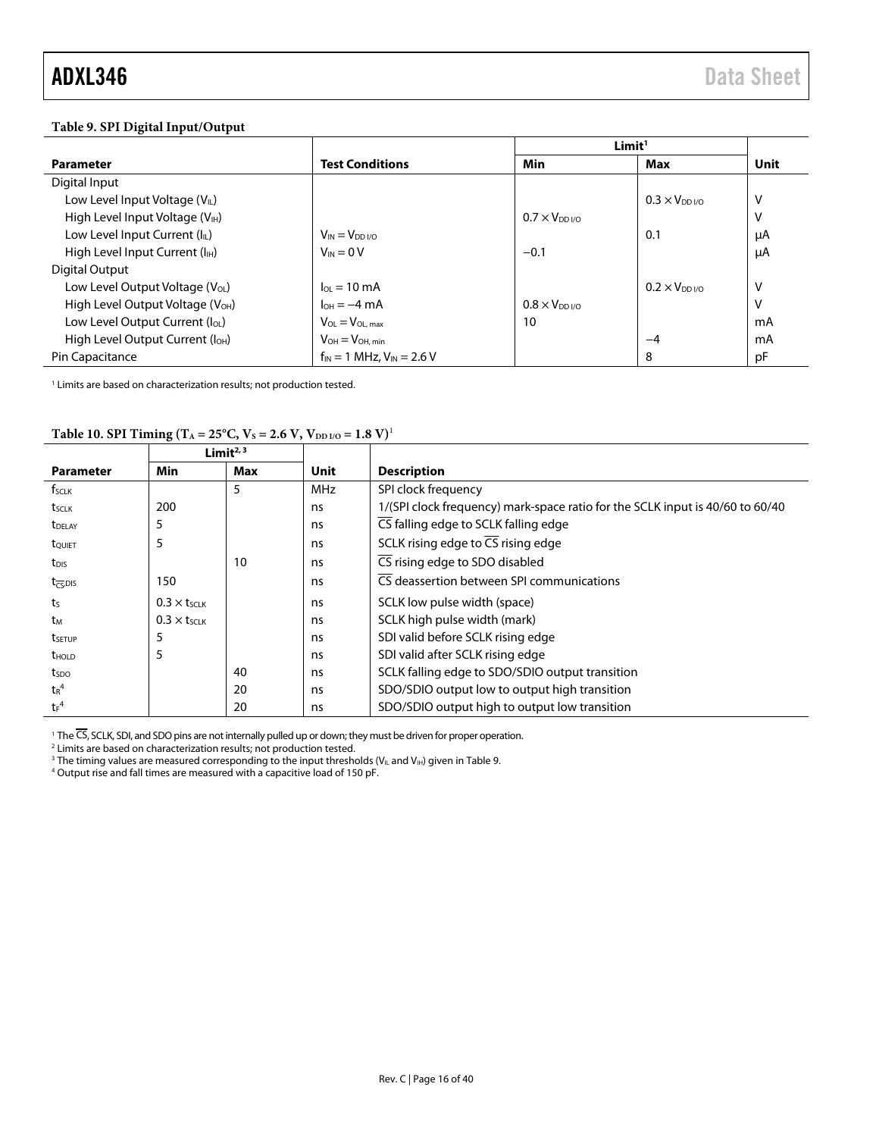## <span id="page-16-0"></span>**Table 9. SPI Digital Input/Output**

|                                              |                                    | Limit <sup>1</sup>                |                     |      |
|----------------------------------------------|------------------------------------|-----------------------------------|---------------------|------|
| <b>Parameter</b>                             | <b>Test Conditions</b>             | Min                               | Max                 | Unit |
| Digital Input                                |                                    |                                   |                     |      |
| Low Level Input Voltage (VL)                 |                                    |                                   | $0.3 \times V_{DD}$ | v    |
| High Level Input Voltage (V <sub>IH</sub> )  |                                    | $0.7 \times V_{DD}$ <sub>VO</sub> |                     | v    |
| Low Level Input Current (IL)                 | $V_{IN} = V_{DD I/O}$              |                                   | 0.1                 | μA   |
| High Level Input Current (I <sub>H</sub> )   | $V_{IN} = 0 V$                     | $-0.1$                            |                     | μA   |
| Digital Output                               |                                    |                                   |                     |      |
| Low Level Output Voltage $(V_{OL})$          | $I_{OL} = 10 \text{ mA}$           |                                   | $0.2 \times V_{DD}$ | v    |
| High Level Output Voltage (V <sub>OH</sub> ) | $I_{OH} = -4 \text{ mA}$           | $0.8 \times V_{DD}$ <sub>VO</sub> |                     | v    |
| Low Level Output Current (loL)               | $V_{OL} = V_{OL,max}$              | 10                                |                     | mA   |
| High Level Output Current (I <sub>OH</sub> ) | $V_{OH} = V_{OH, min}$             |                                   | $-4$                | mA   |
| Pin Capacitance                              | $f_{IN} = 1$ MHz, $V_{IN} = 2.6$ V |                                   | 8                   | pF   |

<sup>1</sup> Limits are based on characterization results; not production tested.

|                                    | Limit $2,3$         |            |             |                                                                               |
|------------------------------------|---------------------|------------|-------------|-------------------------------------------------------------------------------|
| <b>Parameter</b>                   | Min                 | <b>Max</b> | <b>Unit</b> | <b>Description</b>                                                            |
| f <sub>sclk</sub>                  |                     | 5          | <b>MHz</b>  | SPI clock frequency                                                           |
| t <sub>SCLK</sub>                  | 200                 |            | ns          | 1/(SPI clock frequency) mark-space ratio for the SCLK input is 40/60 to 60/40 |
| <b>t</b> DELAY                     |                     |            | ns          | CS falling edge to SCLK falling edge                                          |
| tQUIET                             | 5                   |            | ns          | SCLK rising edge to $\overline{CS}$ rising edge                               |
| $t_{\text{DIS}}$                   |                     | 10         | ns          | CS rising edge to SDO disabled                                                |
| $t_{\overline{CS}}$ <sub>DIS</sub> | 150                 |            | ns          | CS deassertion between SPI communications                                     |
| ts                                 | $0.3 \times t$ SCLK |            | ns          | SCLK low pulse width (space)                                                  |
| tм                                 | $0.3 \times t$ SCLK |            | ns          | SCLK high pulse width (mark)                                                  |
| tsetup                             |                     |            | ns          | SDI valid before SCLK rising edge                                             |
| <b>t</b> <sub>HOLD</sub>           | 5                   |            | ns          | SDI valid after SCLK rising edge                                              |
| $t_{SDO}$                          |                     | 40         | ns          | SCLK falling edge to SDO/SDIO output transition                               |
| $tr^4$                             |                     | 20         | ns          | SDO/SDIO output low to output high transition                                 |
| $t_F$ <sup>4</sup>                 |                     | 20         | ns          | SDO/SDIO output high to output low transition                                 |

#### <span id="page-16-1"></span>Table 10. SPI Timing (T<sub>A</sub> = 25°C, V<sub>S</sub> = 2.6 V, V<sub>DD I/O</sub> = 1.8 V)<sup>1</sup>

<sup>1</sup> The CS, SCLK, SDI, and SDO pins are not internally pulled up or down; they must be driven for proper operation.<br><sup>2</sup> Limits are based on characterization results: not production tested.

 $^2$  Limits are based on characterization results; not production tested.<br><sup>3</sup> The timing values are measured corresponding to the input threshe

<sup>3</sup> The timing values are measured corresponding to the input thresholds (V<sub>IL</sub> and V<sub>IH</sub>) given in Table 9.<br><sup>4</sup> Output rise and fall times are measured with a capacitive load of 150 pF.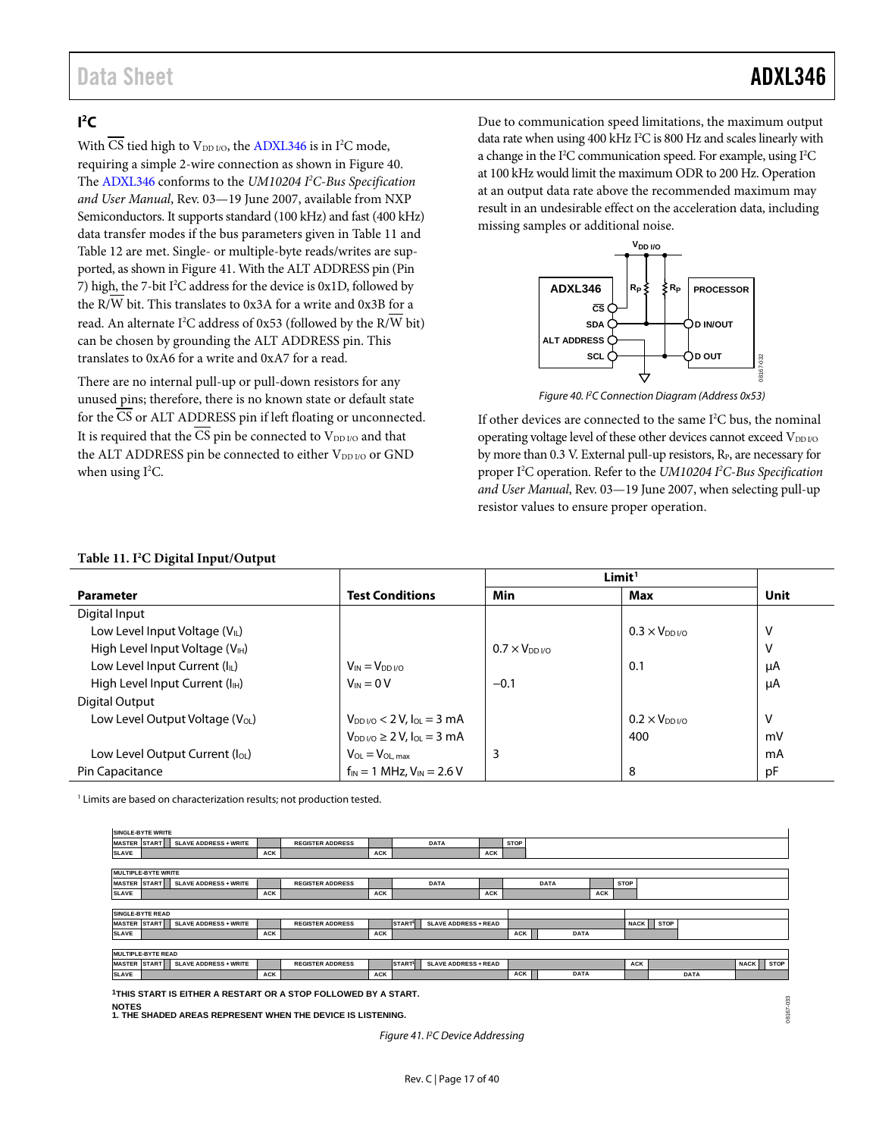08167-033

8167-033

# <span id="page-17-0"></span> $\mathsf{I}^2\mathsf{C}$

With CS tied high to  $V_{DD\,I/O}$ , th[e ADXL346](http://analog.com/ADXL346?doc=ADXL346.pdf) is in I<sup>2</sup>C mode, requiring a simple 2-wire connection as shown i[n Figure 40.](#page-17-1) The [ADXL346](http://analog.com/ADXL346?doc=ADXL346.pdf) conforms to the *UM10204 I 2 C-Bus Specification and User Manual*, Rev. 03—19 June 2007, available from NXP Semiconductors. It supports standard (100 kHz) and fast (400 kHz) data transfer modes if the bus parameters given i[n Table 11](#page-17-2) and [Table 12](#page-18-0) are met. Single- or multiple-byte reads/writes are supported, as shown i[n Figure 41.](#page-17-3) With the ALT ADDRESS pin (Pin 7) high, the 7-bit I<sup>2</sup>C address for the device is 0x1D, followed by the R/W bit. This translates to 0x3A for a write and 0x3B for a read. An alternate  $I^2C$  address of 0x53 (followed by the R/W bit) can be chosen by grounding the ALT ADDRESS pin. This translates to 0xA6 for a write and 0xA7 for a read.

There are no internal pull-up or pull-down resistors for any unused pins; therefore, there is no known state or default state for the CS or ALT ADDRESS pin if left floating or unconnected. It is required that the  $\overline{CS}$  pin be connected to  $V_{DD}$  and that the ALT ADDRESS pin be connected to either V<sub>DD I/O</sub> or GND when using  $I^2C$ .

Due to communication speed limitations, the maximum output data rate when using 400 kHz I2 C is 800 Hz and scales linearly with a change in the I<sup>2</sup>C communication speed. For example, using I<sup>2</sup>C at 100 kHz would limit the maximum ODR to 200 Hz. Operation at an output data rate above the recommended maximum may result in an undesirable effect on the acceleration data, including missing samples or additional noise.



*Figure 40. I2 C Connection Diagram (Address 0x53)*

<span id="page-17-1"></span>If other devices are connected to the same  $I<sup>2</sup>C$  bus, the nominal operating voltage level of these other devices cannot exceed V<sub>DD I/O</sub> by more than 0.3 V. External pull-up resistors,  $R<sub>P</sub>$ , are necessary for proper I2 C operation. Refer to the *UM10204 I 2 C-Bus Specification and User Manual*, Rev. 03—19 June 2007, when selecting pull-up resistor values to ensure proper operation.

|                                             |                                     |                     | Limit <sup>1</sup>  |      |
|---------------------------------------------|-------------------------------------|---------------------|---------------------|------|
| <b>Parameter</b>                            | <b>Test Conditions</b>              | Min                 | Max                 | Unit |
| Digital Input                               |                                     |                     |                     |      |
| Low Level Input Voltage (VL)                |                                     |                     | $0.3 \times V_{DD}$ | ٧    |
| High Level Input Voltage (V <sub>IH</sub> ) |                                     | $0.7 \times V_{DD}$ |                     | ٧    |
| Low Level Input Current (IL)                | $V_{IN} = V_{DD I/O}$               |                     | 0.1                 | μA   |
| High Level Input Current (IH)               | $V_{IN} = 0 V$                      | $-0.1$              |                     | μA   |
| Digital Output                              |                                     |                     |                     |      |
| Low Level Output Voltage $(V_{OL})$         | $V_{DD I/O}$ < 2 V, $I_{OL}$ = 3 mA |                     | $0.2 \times V_{DD}$ | V    |
|                                             | $V_{DD I/O} \ge 2 V, I_{OL} = 3 mA$ |                     | 400                 | mV   |
| Low Level Output Current $(I_{OL})$         | $V_{OL} = V_{OL, max}$              | 3                   |                     | mA   |
| Pin Capacitance                             | $f_{IN} = 1$ MHz, $V_{IN} = 2.6$ V  |                     | 8                   | pF   |

### <span id="page-17-2"></span>**Table 11. I2 C Digital Input/Output**

<sup>1</sup> Limits are based on characterization results; not production tested.

| <b>SINGLE-BYTE WRITE</b>                            |            |                         |            |                                                   |            |             |             |     |             |             |             |           |
|-----------------------------------------------------|------------|-------------------------|------------|---------------------------------------------------|------------|-------------|-------------|-----|-------------|-------------|-------------|-----------|
| <b>MASTER START</b><br><b>SLAVE ADDRESS + WRITE</b> |            | <b>REGISTER ADDRESS</b> |            | <b>DATA</b>                                       |            | <b>STOP</b> |             |     |             |             |             |           |
| <b>SLAVE</b>                                        | ACK        |                         | ACK        |                                                   | ACK        |             |             |     |             |             |             |           |
|                                                     |            |                         |            |                                                   |            |             |             |     |             |             |             |           |
| <b>MULTIPLE-BYTE WRITE</b>                          |            |                         |            |                                                   |            |             |             |     |             |             |             |           |
| <b>MASTER START</b><br><b>SLAVE ADDRESS + WRITE</b> |            | <b>REGISTER ADDRESS</b> |            | <b>DATA</b>                                       |            |             | <b>DATA</b> |     | <b>STOP</b> |             |             |           |
| <b>SLAVE</b>                                        | <b>ACK</b> |                         | <b>ACK</b> |                                                   | <b>ACK</b> |             |             | ACK |             |             |             |           |
|                                                     |            |                         |            |                                                   |            |             |             |     |             |             |             |           |
| <b>SINGLE-BYTE READ</b>                             |            |                         |            |                                                   |            |             |             |     |             |             |             |           |
| <b>MASTER START</b><br><b>SLAVE ADDRESS + WRITE</b> |            | <b>REGISTER ADDRESS</b> |            | START <sup>1</sup><br><b>SLAVE ADDRESS + READ</b> |            |             |             |     | NACK        | <b>STOP</b> |             |           |
| <b>SLAVE</b>                                        | <b>ACK</b> |                         | <b>ACK</b> |                                                   |            | <b>ACK</b>  | <b>DATA</b> |     |             |             |             |           |
|                                                     |            |                         |            |                                                   |            |             |             |     |             |             |             |           |
| <b>MULTIPLE-BYTE READ</b>                           |            |                         |            |                                                   |            |             |             |     |             |             |             |           |
| <b>MASTER START</b><br><b>SLAVE ADDRESS + WRITE</b> |            | <b>REGISTER ADDRESS</b> |            | START <sup>1</sup><br><b>SLAVE ADDRESS + READ</b> |            |             |             |     | <b>ACK</b>  |             |             | NACK STOP |
| <b>SLAVE</b>                                        | ACK        |                         | ACK        |                                                   |            | ACK         | <b>DATA</b> |     |             |             | <b>DATA</b> |           |
|                                                     |            |                         |            |                                                   |            |             |             |     |             |             |             |           |

**1THIS START IS EITHER A RESTART OR A STOP FOLLOWED BY A START.**

<span id="page-17-3"></span>**NOTES 1. THE SHADED AREAS REPRESENT WHEN THE DEVICE IS LISTENING.**

*Figure 41. I2 C Device Addressing*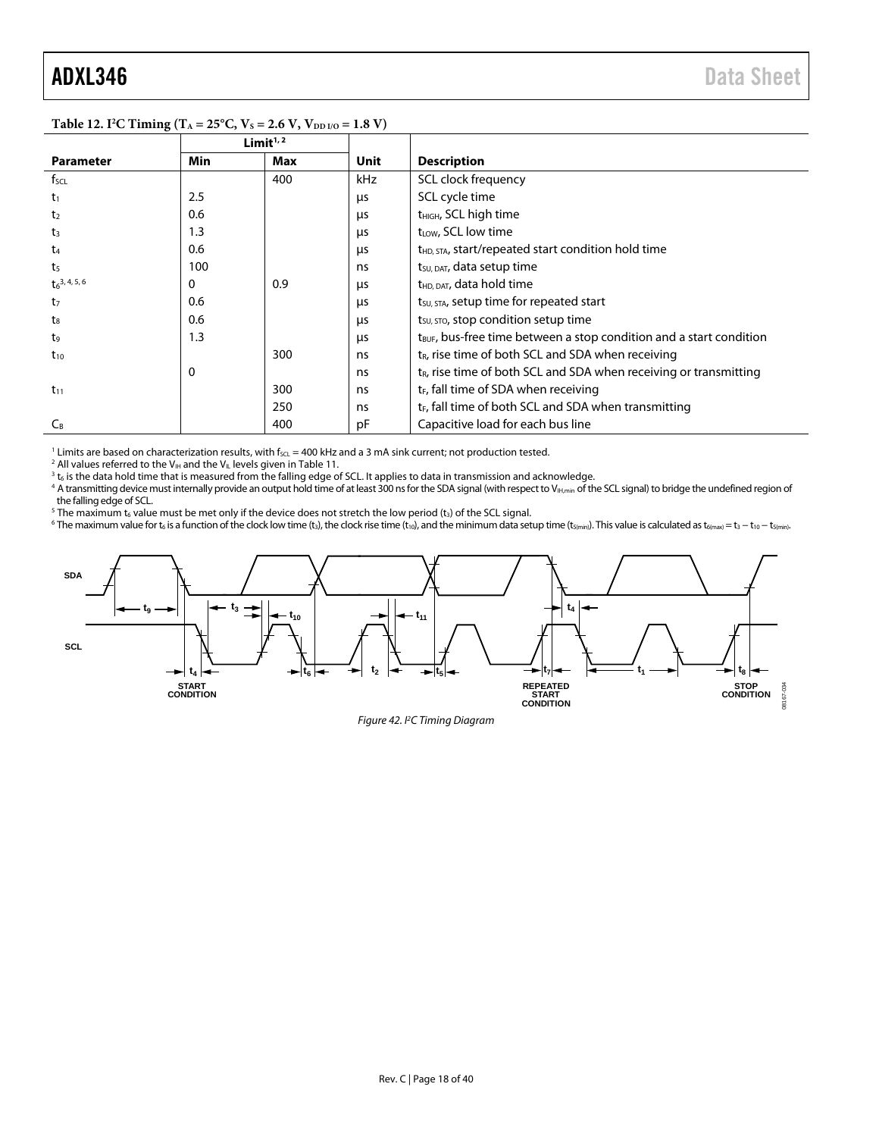|                  | Limit $1/2$ |     |      |                                                                                 |
|------------------|-------------|-----|------|---------------------------------------------------------------------------------|
| <b>Parameter</b> | Min         | Max | Unit | <b>Description</b>                                                              |
| $f_{\text{SCL}}$ |             | 400 | kHz  | SCL clock frequency                                                             |
| $t_1$            | 2.5         |     | μs   | SCL cycle time                                                                  |
| t <sub>2</sub>   | 0.6         |     | μs   | t <sub>HIGH</sub> , SCL high time                                               |
| $t_3$            | 1.3         |     | μs   | t <sub>LOW</sub> , SCL low time                                                 |
| t4               | 0.6         |     | μs   | t <sub>HD</sub> , STA, start/repeated start condition hold time                 |
| t <sub>5</sub>   | 100         |     | ns.  | t <sub>su, DAT</sub> , data setup time                                          |
| $t_6^{3,4,5,6}$  | 0           | 0.9 | μs   | t <sub>HD, DAT</sub> , data hold time                                           |
| t <sub>7</sub>   | 0.6         |     | μs   | t <sub>su, STA</sub> , setup time for repeated start                            |
| $t_8$            | 0.6         |     | μs   | t <sub>su, STO</sub> , stop condition setup time                                |
| t9               | 1.3         |     | μs   | t <sub>BUF</sub> , bus-free time between a stop condition and a start condition |
| $t_{10}$         |             | 300 | ns   | $t_R$ , rise time of both SCL and SDA when receiving                            |
|                  | 0           |     | ns.  | t <sub>R</sub> , rise time of both SCL and SDA when receiving or transmitting   |
| $t_{11}$         |             | 300 | ns   | $t_F$ , fall time of SDA when receiving                                         |
|                  |             | 250 | ns   | t <sub>E</sub> , fall time of both SCL and SDA when transmitting                |
| $C_B$            |             | 400 | pF   | Capacitive load for each bus line                                               |

#### <span id="page-18-0"></span>Table 12. I<sup>2</sup>C Timing (T<sub>A</sub> = 25°C, V<sub>S</sub> = 2.6 V, V<sub>DD I/O</sub> = 1.8 V)

<sup>1</sup> Limits are based on characterization results, with fscL = 400 kHz and a 3 mA sink current; not production tested.<br><sup>2</sup> All values referred to the V<sub>iv</sub> and the V<sub>i</sub> levels given in Table 11.

<sup>2</sup> All values referred to the V<sub>IH</sub> and the V<sub>IL</sub> levels given in Table 11.

 $3$  t<sub>6</sub> is the data hold time that is measured from the falling edge of SCL. It applies to data in transmission and acknowledge.

4 A transmitting device must internally provide an output hold time of at least 300 ns for the SDA signal (with respect to V<sub>IH,min</sub> of the SCL signal) to bridge the undefined region of the falling edge of SCL.

 $^5$  The maximum t<sub>6</sub> value must be met only if the device does not stretch the low period (t<sub>3</sub>) of the SCL signal.<br>© The maximum value for t, is a function of the clock low time (t<sub>2</sub>) the clock rise time (t<sub>2</sub>) and the

<sup>6</sup> The maximum value for t<sub>6</sub> is a function of the clock low time (t<sub>3</sub>), the clock rise time (t<sub>10</sub>), and the minimum data setup time (t<sub>5(min</sub>). This value is calculated as t<sub>6(max)</sub> = t<sub>3</sub> - t<sub>10</sub> - t<sub>5(min</sub>).



Figure 42. PC Timing Diagram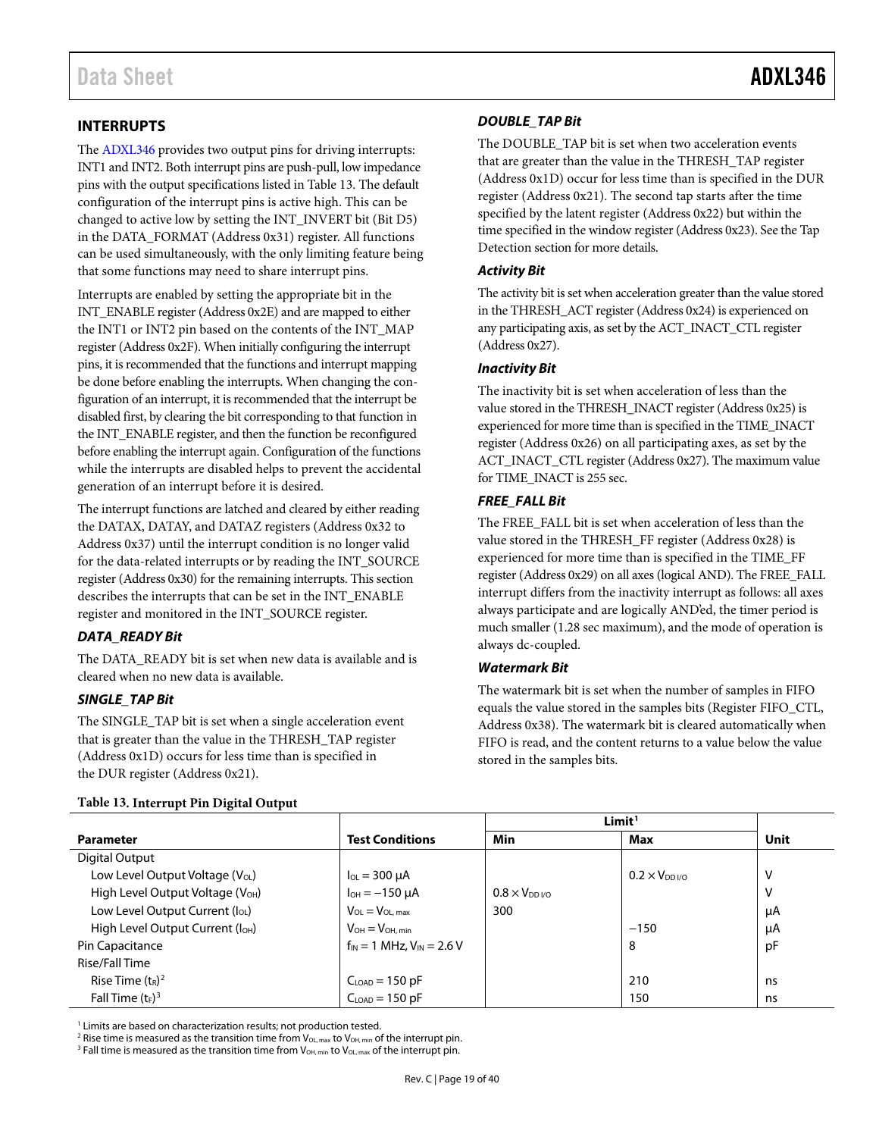# <span id="page-19-0"></span>**INTERRUPTS**

The [ADXL346](http://analog.com/ADXL346?doc=ADXL346.pdf) provides two output pins for driving interrupts: INT1 and INT2. Both interrupt pins are push-pull, low impedance pins with the output specifications listed in [Table 13.](#page-19-1) The default configuration of the interrupt pins is active high. This can be changed to active low by setting the INT\_INVERT bit (Bit D5) in the DATA\_FORMAT (Address 0x31) register. All functions can be used simultaneously, with the only limiting feature being that some functions may need to share interrupt pins.

Interrupts are enabled by setting the appropriate bit in the INT\_ENABLE register (Address 0x2E) and are mapped to either the INT1 or INT2 pin based on the contents of the INT\_MAP register (Address 0x2F). When initially configuring the interrupt pins, it is recommended that the functions and interrupt mapping be done before enabling the interrupts. When changing the configuration of an interrupt, it is recommended that the interrupt be disabled first, by clearing the bit corresponding to that function in the INT\_ENABLE register, and then the function be reconfigured before enabling the interrupt again. Configuration of the functions while the interrupts are disabled helps to prevent the accidental generation of an interrupt before it is desired.

The interrupt functions are latched and cleared by either reading the DATAX, DATAY, and DATAZ registers (Address 0x32 to Address 0x37) until the interrupt condition is no longer valid for the data-related interrupts or by reading the INT\_SOURCE register (Address 0x30) for the remaining interrupts. This section describes the interrupts that can be set in the INT\_ENABLE register and monitored in the INT\_SOURCE register.

#### *DATA\_READY Bit*

The DATA\_READY bit is set when new data is available and is cleared when no new data is available.

#### *SINGLE\_TAP Bit*

The SINGLE\_TAP bit is set when a single acceleration event that is greater than the value in the THRESH\_TAP register (Address 0x1D) occurs for less time than is specified in the DUR register (Address 0x21).

#### <span id="page-19-1"></span>**Table 13. Interrupt Pin Digital Output**

### *DOUBLE\_TAP Bit*

The DOUBLE\_TAP bit is set when two acceleration events that are greater than the value in the THRESH\_TAP register (Address 0x1D) occur for less time than is specified in the DUR register (Address 0x21). The second tap starts after the time specified by the latent register (Address 0x22) but within the time specified in the window register (Address 0x23). See th[e Tap](#page-29-3)  [Detection](#page-29-3) section for more details.

### *Activity Bit*

The activity bit is set when acceleration greater than the value stored in the THRESH\_ACT register(Address 0x24) is experienced on any participating axis, as set by the ACT\_INACT\_CTL register (Address 0x27).

#### *Inactivity Bit*

The inactivity bit is set when acceleration of less than the value stored in the THRESH\_INACT register (Address 0x25) is experienced for more time than is specified in the TIME\_INACT register (Address 0x26) on all participating axes, as set by the ACT\_INACT\_CTL register (Address 0x27). The maximum value for TIME\_INACT is 255 sec.

#### *FREE\_FALL Bit*

The FREE\_FALL bit is set when acceleration of less than the value stored in the THRESH\_FF register (Address 0x28) is experienced for more time than is specified in the TIME\_FF register (Address 0x29) on all axes (logical AND). The FREE\_FALL interrupt differs from the inactivity interrupt as follows: all axes always participate and are logically AND'ed, the timer period is much smaller (1.28 sec maximum), and the mode of operation is always dc-coupled.

#### *Watermark Bit*

The watermark bit is set when the number of samples in FIFO equals the value stored in the samples bits (Register FIFO\_CTL, Address 0x38). The watermark bit is cleared automatically when FIFO is read, and the content returns to a value below the value stored in the samples bits.

|                                              |                                    | Limit <sup>1</sup>                |                     |      |
|----------------------------------------------|------------------------------------|-----------------------------------|---------------------|------|
| <b>Parameter</b>                             | <b>Test Conditions</b>             | Min                               | <b>Max</b>          | Unit |
| Digital Output                               |                                    |                                   |                     |      |
| Low Level Output Voltage (V <sub>OL</sub> )  | $I_{OL}$ = 300 $\mu$ A             |                                   | $0.2 \times V_{DD}$ | V    |
| High Level Output Voltage (V <sub>OH</sub> ) | $I_{OH} = -150 \mu A$              | $0.8 \times V_{DD}$ <sub>VO</sub> |                     | V    |
| Low Level Output Current (loL)               | $V_{OL} = V_{OL, max}$             | 300                               |                     | μA   |
| High Level Output Current (I <sub>OH</sub> ) | $V_{OH} = V_{OH, min}$             |                                   | $-150$              | μA   |
| Pin Capacitance                              | $f_{IN} = 1$ MHz, $V_{IN} = 2.6$ V |                                   | 8                   | pF   |
| Rise/Fall Time                               |                                    |                                   |                     |      |
| Rise Time $(t_R)^2$                          | $C_{LOAD}$ = 150 pF                |                                   | 210                 | ns   |
| Fall Time $(t_F)^3$                          | $CLOAD = 150 pF$                   |                                   | 150                 | ns   |

<sup>1</sup> Limits are based on characterization results; not production tested.

<sup>2</sup> Rise time is measured as the transition time from  $V_{OL, max}$  to  $V_{OH, min}$  of the interrupt pin.

<sup>3</sup> Fall time is measured as the transition time from  $V_{OH, min}$  to  $V_{OL, max}$  of the interrupt pin.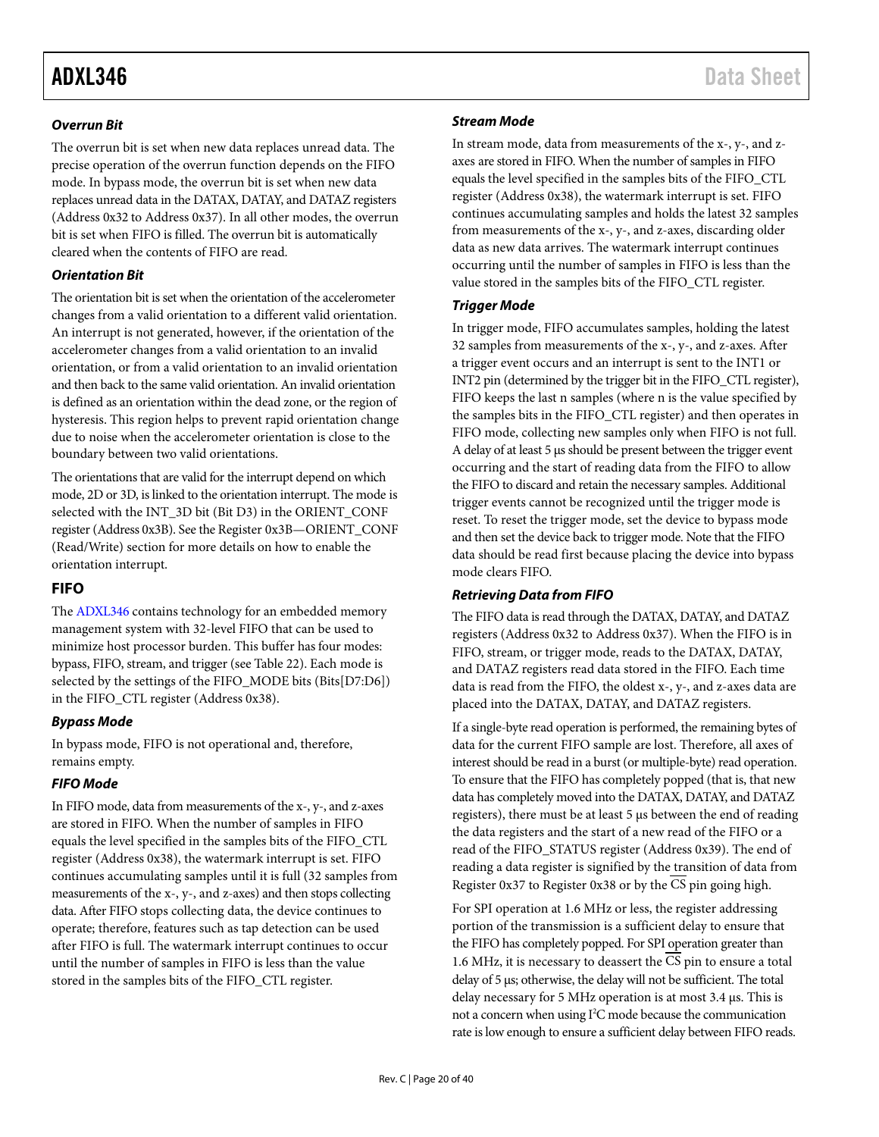### *Overrun Bit*

The overrun bit is set when new data replaces unread data. The precise operation of the overrun function depends on the FIFO mode. In bypass mode, the overrun bit is set when new data replaces unread data in the DATAX, DATAY, and DATAZ registers (Address 0x32 to Address 0x37). In all other modes, the overrun bit is set when FIFO is filled. The overrun bit is automatically cleared when the contents of FIFO are read.

### *Orientation Bit*

The orientation bit is set when the orientation of the accelerometer changes from a valid orientation to a different valid orientation. An interrupt is not generated, however, if the orientation of the accelerometer changes from a valid orientation to an invalid orientation, or from a valid orientation to an invalid orientation and then back to the same valid orientation. An invalid orientation is defined as an orientation within the dead zone, or the region of hysteresis. This region helps to prevent rapid orientation change due to noise when the accelerometer orientation is close to the boundary between two valid orientations.

The orientations that are valid for the interrupt depend on which mode, 2D or 3D, is linked to the orientation interrupt. The mode is selected with the INT\_3D bit (Bit D3) in the ORIENT\_CONF register (Address 0x3B). See th[e Register 0x3B—ORIENT\\_CONF](#page-27-0)  [\(Read/Write\)](#page-27-0) section for more details on how to enable the orientation interrupt.

# <span id="page-20-0"></span>**FIFO**

The [ADXL346](http://analog.com/ADXL346?doc=ADXL346.pdf) contains technology for an embedded memory management system with 32-level FIFO that can be used to minimize host processor burden. This buffer has four modes: bypass, FIFO, stream, and trigger (see [Table 22\)](#page-26-0). Each mode is selected by the settings of the FIFO\_MODE bits (Bits[D7:D6]) in the FIFO\_CTL register (Address 0x38).

## *Bypass Mode*

In bypass mode, FIFO is not operational and, therefore, remains empty.

## *FIFO Mode*

In FIFO mode, data from measurements of the x-, y-, and z-axes are stored in FIFO. When the number of samples in FIFO equals the level specified in the samples bits of the FIFO\_CTL register (Address 0x38), the watermark interrupt is set. FIFO continues accumulating samples until it is full (32 samples from measurements of the x-, y-, and z-axes) and then stops collecting data. After FIFO stops collecting data, the device continues to operate; therefore, features such as tap detection can be used after FIFO is full. The watermark interrupt continues to occur until the number of samples in FIFO is less than the value stored in the samples bits of the FIFO\_CTL register.

## *Stream Mode*

In stream mode, data from measurements of the x-, y-, and zaxes are stored in FIFO. When the number of samples in FIFO equals the level specified in the samples bits of the FIFO\_CTL register (Address 0x38), the watermark interrupt is set. FIFO continues accumulating samples and holds the latest 32 samples from measurements of the x-, y-, and z-axes, discarding older data as new data arrives. The watermark interrupt continues occurring until the number of samples in FIFO is less than the value stored in the samples bits of the FIFO\_CTL register.

### *Trigger Mode*

In trigger mode, FIFO accumulates samples, holding the latest 32 samples from measurements of the x-, y-, and z-axes. After a trigger event occurs and an interrupt is sent to the INT1 or INT2 pin (determined by the trigger bit in the FIFO\_CTL register), FIFO keeps the last n samples (where n is the value specified by the samples bits in the FIFO\_CTL register) and then operates in FIFO mode, collecting new samples only when FIFO is not full. A delay of at least 5 μs should be present between the trigger event occurring and the start of reading data from the FIFO to allow the FIFO to discard and retain the necessary samples. Additional trigger events cannot be recognized until the trigger mode is reset. To reset the trigger mode, set the device to bypass mode and then set the device back to trigger mode. Note that the FIFO data should be read first because placing the device into bypass mode clears FIFO.

#### *Retrieving Data from FIFO*

The FIFO data is read through the DATAX, DATAY, and DATAZ registers (Address 0x32 to Address 0x37). When the FIFO is in FIFO, stream, or trigger mode, reads to the DATAX, DATAY, and DATAZ registers read data stored in the FIFO. Each time data is read from the FIFO, the oldest x-, y-, and z-axes data are placed into the DATAX, DATAY, and DATAZ registers.

If a single-byte read operation is performed, the remaining bytes of data for the current FIFO sample are lost. Therefore, all axes of interest should be read in a burst (or multiple-byte) read operation. To ensure that the FIFO has completely popped (that is, that new data has completely moved into the DATAX, DATAY, and DATAZ registers), there must be at least 5 μs between the end of reading the data registers and the start of a new read of the FIFO or a read of the FIFO\_STATUS register (Address 0x39). The end of reading a data register is signified by the transition of data from Register 0x37 to Register 0x38 or by the CS pin going high.

<span id="page-20-1"></span>For SPI operation at 1.6 MHz or less, the register addressing portion of the transmission is a sufficient delay to ensure that the FIFO has completely popped. For SPI operation greater than 1.6 MHz, it is necessary to deassert the  $\overline{CS}$  pin to ensure a total delay of 5 μs; otherwise, the delay will not be sufficient. The total delay necessary for 5 MHz operation is at most 3.4 μs. This is not a concern when using I<sup>2</sup>C mode because the communication rate is low enough to ensure a sufficient delay between FIFO reads.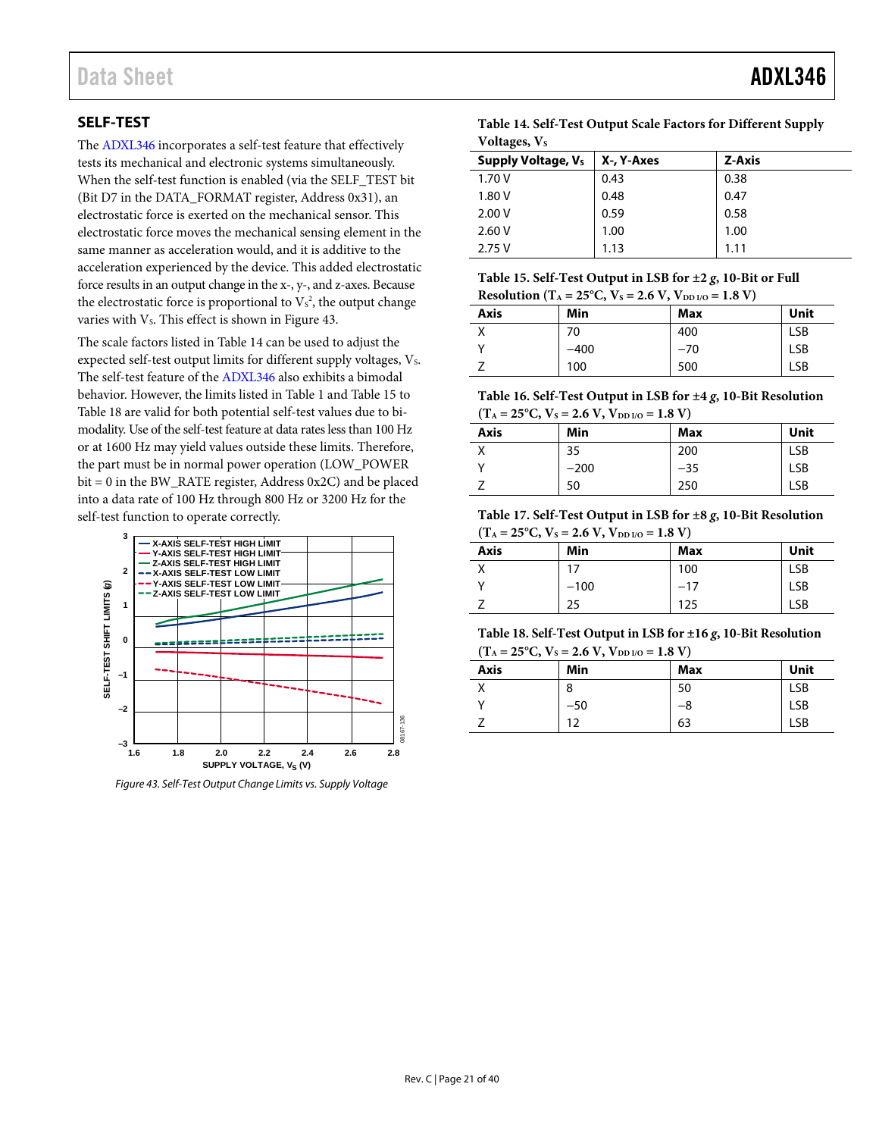# <span id="page-21-6"></span>**SELF-TEST**

The [ADXL346](http://analog.com/ADXL346?doc=ADXL346.pdf) incorporates a self-test feature that effectively tests its mechanical and electronic systems simultaneously. When the self-test function is enabled (via the SELF\_TEST bit (Bit D7 in the DATA\_FORMAT register, Address 0x31), an electrostatic force is exerted on the mechanical sensor. This electrostatic force moves the mechanical sensing element in the same manner as acceleration would, and it is additive to the acceleration experienced by the device. This added electrostatic force results in an output change in the x-, y-, and z-axes. Because the electrostatic force is proportional to  $V_s^2$ , the output change varies with  $V_s$ . This effect is shown in Figure 43.

The scale factors listed i[n Table 14](#page-21-2) can be used to adjust the expected self-test output limits for different supply voltages,  $V_s$ . The self-test feature of th[e ADXL346 a](http://analog.com/ADXL346?doc=ADXL346.pdf)lso exhibits a bimodal behavior. However, the limits listed in [Table 1](#page-3-1) an[d Table 15](#page-21-3) to [Table 18 a](#page-21-4)re valid for both potential self-test values due to bimodality. Use of the self-test feature at data rates less than 100 Hz or at 1600 Hz may yield values outside these limits. Therefore, the part must be in normal power operation (LOW\_POWER bit = 0 in the BW\_RATE register, Address 0x2C) and be placed into a data rate of 100 Hz through 800 Hz or 3200 Hz for the self-test function to operate correctly.



<span id="page-21-1"></span>Figure 43. Self-Test Output Change Limits vs. Supply Voltage

<span id="page-21-2"></span>

| Table 14. Self-Test Output Scale Factors for Different Supply |
|---------------------------------------------------------------|
| Voltages, V <sub>s</sub>                                      |

| Supply Voltage, Vs | X-, Y-Axes | Z-Axis |
|--------------------|------------|--------|
| 1.70V              | 0.43       | 0.38   |
| 1.80 V             | 0.48       | 0.47   |
| 2.00V              | 0.59       | 0.58   |
| 2.60V              | 1.00       | 1.00   |
| 2.75V              | 1.13       | 1.11   |

<span id="page-21-3"></span>

| Table 15. Self-Test Output in LSB for $\pm 2$ g, 10-Bit or Full                                      |
|------------------------------------------------------------------------------------------------------|
| Resolution (T <sub>A</sub> = 25 <sup>o</sup> C, V <sub>S</sub> = 2.6 V, V <sub>DD I/O</sub> = 1.8 V) |

| $\frac{1}{2}$ |        |       |            |  |  |  |  |
|---------------|--------|-------|------------|--|--|--|--|
| Axis          | Min    | Max   | Unit       |  |  |  |  |
|               | 70     | 400   | <b>LSB</b> |  |  |  |  |
|               | $-400$ | $-70$ | <b>LSB</b> |  |  |  |  |
|               | 100    | 500   | <b>LSB</b> |  |  |  |  |

<span id="page-21-5"></span>**Table 16. Self-Test Output in LSB for ±4** *g***, 10-Bit Resolution**   $(T_A = 25^{\circ}C, V_s = 2.6 V, V_{DD U} = 1.8 V)$ 

| Axis | Min    | <b>Max</b> | Unit       |
|------|--------|------------|------------|
|      | 35     | 200        | LSB        |
|      | $-200$ | -35        | <b>LSB</b> |
|      | 50     | 250        | LSB        |

**Table 17. Self-Test Output in LSB for ±8** *g***, 10-Bit Resolution**   $(T_A = 25^{\circ}C, V_S = 2.6 V, V_{DD I/O} = 1.8 V)$ 

| <b>Axis</b> | Min    | Max   | Unit |
|-------------|--------|-------|------|
| ⋏           | 17     | 100   | LSB  |
|             | $-100$ | $-17$ | LSB  |
|             | 25     | 125   | LSB  |

<span id="page-21-4"></span>**Table 18. Self-Test Output in LSB for ±16** *g***, 10-Bit Resolution**   $(T_A = 25^{\circ}C, V_S = 2.6 V, V_{DDUO} = 1.8 V)$ 

<span id="page-21-0"></span>

| $\frac{1}{2}$ and $\frac{1}{2}$ and $\frac{1}{2}$ and $\frac{1}{2}$ and $\frac{1}{2}$<br>. |       |     |             |  |  |  |
|--------------------------------------------------------------------------------------------|-------|-----|-------------|--|--|--|
| <b>Axis</b>                                                                                | Min   | Max | <b>Unit</b> |  |  |  |
|                                                                                            | 8     | 50  | <b>LSB</b>  |  |  |  |
|                                                                                            | $-50$ | -8  | <b>LSB</b>  |  |  |  |
|                                                                                            | 12    | 63  | <b>LSB</b>  |  |  |  |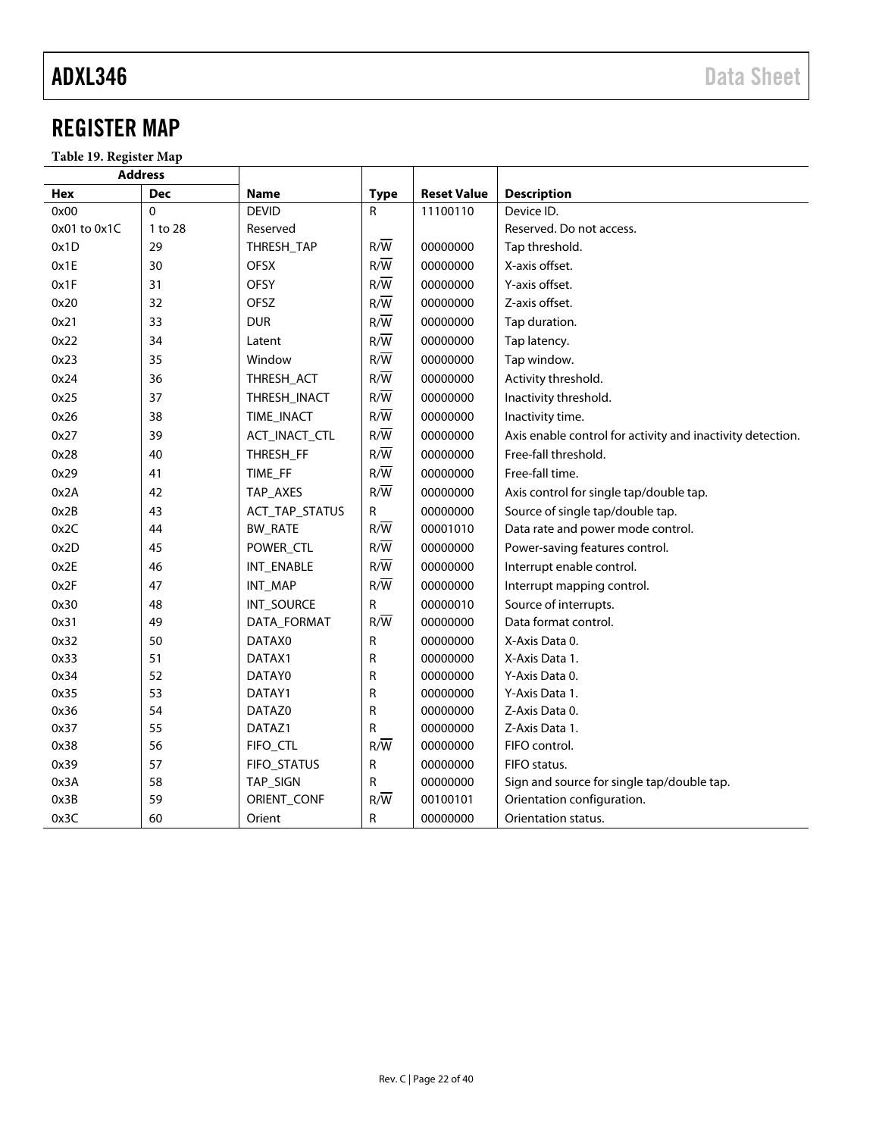# REGISTER MAP

**Table 19. Register Map**

|              | <b>Address</b> |                |                  |                    |                                                            |
|--------------|----------------|----------------|------------------|--------------------|------------------------------------------------------------|
| Hex          | <b>Dec</b>     | <b>Name</b>    | <b>Type</b>      | <b>Reset Value</b> | <b>Description</b>                                         |
| 0x00         | $\Omega$       | <b>DEVID</b>   | R                | 11100110           | Device ID.                                                 |
| 0x01 to 0x1C | 1 to 28        | Reserved       |                  |                    | Reserved. Do not access.                                   |
| 0x1D         | 29             | THRESH_TAP     | $R/\overline{W}$ | 00000000           | Tap threshold.                                             |
| 0x1E         | 30             | <b>OFSX</b>    | $R/\overline{W}$ | 00000000           | X-axis offset.                                             |
| 0x1F         | 31             | <b>OFSY</b>    | $R/\overline{W}$ | 00000000           | Y-axis offset.                                             |
| 0x20         | 32             | OFSZ           | $R/\overline{W}$ | 00000000           | Z-axis offset.                                             |
| 0x21         | 33             | <b>DUR</b>     | $R/\overline{W}$ | 00000000           | Tap duration.                                              |
| 0x22         | 34             | Latent         | $R/\overline{W}$ | 00000000           | Tap latency.                                               |
| 0x23         | 35             | Window         | $R/\overline{W}$ | 00000000           | Tap window.                                                |
| 0x24         | 36             | THRESH_ACT     | $R/\overline{W}$ | 00000000           | Activity threshold.                                        |
| 0x25         | 37             | THRESH_INACT   | $R/\overline{W}$ | 00000000           | Inactivity threshold.                                      |
| 0x26         | 38             | TIME_INACT     | $R/\overline{W}$ | 00000000           | Inactivity time.                                           |
| 0x27         | 39             | ACT_INACT_CTL  | $R/\overline{W}$ | 00000000           | Axis enable control for activity and inactivity detection. |
| 0x28         | 40             | THRESH_FF      | $R/\overline{W}$ | 00000000           | Free-fall threshold.                                       |
| 0x29         | 41             | TIME_FF        | $R/\overline{W}$ | 00000000           | Free-fall time.                                            |
| 0x2A         | 42             | TAP_AXES       | $R/\overline{W}$ | 00000000           | Axis control for single tap/double tap.                    |
| 0x2B         | 43             | ACT_TAP_STATUS | ${\sf R}$        | 00000000           | Source of single tap/double tap.                           |
| 0x2C         | 44             | <b>BW_RATE</b> | $R/\overline{W}$ | 00001010           | Data rate and power mode control.                          |
| 0x2D         | 45             | POWER_CTL      | $R/\overline{W}$ | 00000000           | Power-saving features control.                             |
| 0x2E         | 46             | INT_ENABLE     | $R/\overline{W}$ | 00000000           | Interrupt enable control.                                  |
| 0x2F         | 47             | INT_MAP        | $R/\overline{W}$ | 00000000           | Interrupt mapping control.                                 |
| 0x30         | 48             | INT SOURCE     | R                | 00000010           | Source of interrupts.                                      |
| 0x31         | 49             | DATA_FORMAT    | $R/\overline{W}$ | 00000000           | Data format control.                                       |
| 0x32         | 50             | DATAX0         | R                | 00000000           | X-Axis Data 0.                                             |
| 0x33         | 51             | DATAX1         | R                | 00000000           | X-Axis Data 1.                                             |
| 0x34         | 52             | DATAY0         | R                | 00000000           | Y-Axis Data 0.                                             |
| 0x35         | 53             | DATAY1         | R                | 00000000           | Y-Axis Data 1.                                             |
| 0x36         | 54             | DATAZ0         | ${\sf R}$        | 00000000           | Z-Axis Data 0.                                             |
| 0x37         | 55             | DATAZ1         | R                | 00000000           | Z-Axis Data 1.                                             |
| 0x38         | 56             | FIFO_CTL       | $R/\overline{W}$ | 00000000           | FIFO control.                                              |
| 0x39         | 57             | FIFO_STATUS    | $\mathsf{R}$     | 00000000           | FIFO status.                                               |
| 0x3A         | 58             | TAP_SIGN       | R                | 00000000           | Sign and source for single tap/double tap.                 |
| 0x3B         | 59             | ORIENT_CONF    | $R/\overline{W}$ | 00100101           | Orientation configuration.                                 |
| 0x3C         | 60             | Orient         | R                | 00000000           | Orientation status.                                        |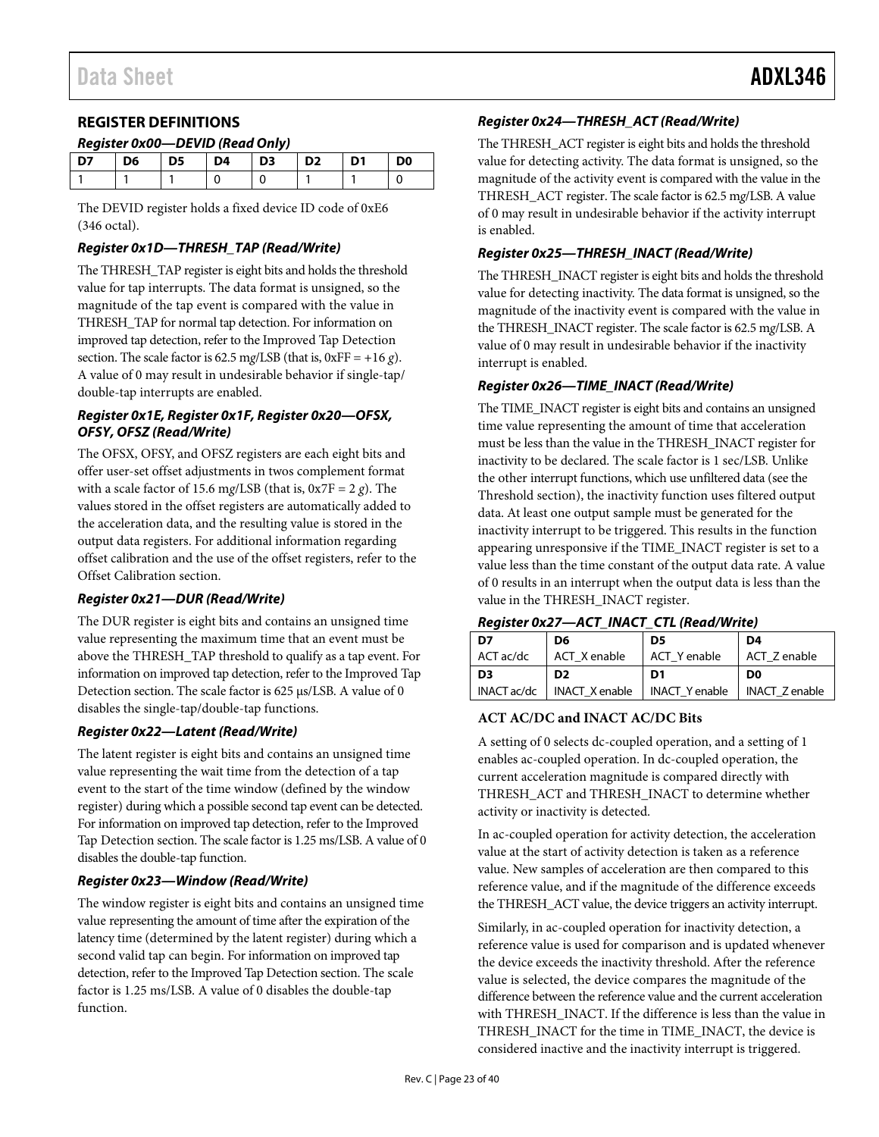# <span id="page-23-0"></span>**REGISTER DEFINITIONS**

#### *Register 0x00—DEVID (Read Only)*

| D7. | D6 | D5 | D4 | . D3 | D <sub>2</sub> | D <sub>1</sub> | D0 |
|-----|----|----|----|------|----------------|----------------|----|
|     |    |    |    |      |                |                |    |

The DEVID register holds a fixed device ID code of 0xE6 (346 octal).

#### *Register 0x1D—THRESH\_TAP (Read/Write)*

The THRESH\_TAP register is eight bits and holds the threshold value for tap interrupts. The data format is unsigned, so the magnitude of the tap event is compared with the value in THRESH\_TAP for normal tap detection. For information on improved tap detection, refer to th[e Improved Tap Detection](#page-30-0) section. The scale factor is 62.5 mg/LSB (that is,  $0xFF = +16 g$ ). A value of 0 may result in undesirable behavior if single-tap/ double-tap interrupts are enabled.

### *Register 0x1E, Register 0x1F, Register 0x20—OFSX, OFSY, OFSZ (Read/Write)*

The OFSX, OFSY, and OFSZ registers are each eight bits and offer user-set offset adjustments in twos complement format with a scale factor of 15.6 m*g*/LSB (that is, 0x7F = 2 *g*). The values stored in the offset registers are automatically added to the acceleration data, and the resulting value is stored in the output data registers. For additional information regarding offset calibration and the use of the offset registers, refer to the [Offset Calibration](#page-31-3) section.

#### *Register 0x21—DUR (Read/Write)*

The DUR register is eight bits and contains an unsigned time value representing the maximum time that an event must be above the THRESH\_TAP threshold to qualify as a tap event. For information on improved tap detection, refer to th[e Improved Tap](#page-30-0)  [Detection](#page-30-0) section. The scale factor is 625 µs/LSB. A value of 0 disables the single-tap/double-tap functions.

#### *Register 0x22—Latent (Read/Write)*

The latent register is eight bits and contains an unsigned time value representing the wait time from the detection of a tap event to the start of the time window (defined by the window register) during which a possible second tap event can be detected. For information on improved tap detection, refer to th[e Improved](#page-30-0)  [Tap Detection](#page-30-0) section. The scale factor is 1.25 ms/LSB. A value of 0 disables the double-tap function.

#### *Register 0x23—Window (Read/Write)*

The window register is eight bits and contains an unsigned time value representing the amount of time after the expiration of the latency time (determined by the latent register) during which a second valid tap can begin. For information on improved tap detection, refer to the Improved Tap Detection section. The scale factor is 1.25 ms/LSB. A value of 0 disables the double-tap function.

#### *Register 0x24—THRESH\_ACT (Read/Write)*

The THRESH\_ACT register is eight bits and holds the threshold value for detecting activity. The data format is unsigned, so the magnitude of the activity event is compared with the value in the THRESH\_ACT register. The scale factor is 62.5 m*g*/LSB. A value of 0 may result in undesirable behavior if the activity interrupt is enabled.

#### *Register 0x25—THRESH\_INACT (Read/Write)*

The THRESH\_INACT register is eight bits and holds the threshold value for detecting inactivity. The data format is unsigned, so the magnitude of the inactivity event is compared with the value in the THRESH\_INACT register. The scale factor is 62.5 m*g*/LSB. A value of 0 may result in undesirable behavior if the inactivity interrupt is enabled.

#### *Register 0x26—TIME\_INACT (Read/Write)*

The TIME\_INACT register is eight bits and contains an unsigned time value representing the amount of time that acceleration must be less than the value in the THRESH\_INACT register for inactivity to be declared. The scale factor is 1 sec/LSB. Unlike the other interrupt functions, which use unfiltered data (see the [Threshold](#page-31-0) section), the inactivity function uses filtered output data. At least one output sample must be generated for the inactivity interrupt to be triggered. This results in the function appearing unresponsive if the TIME\_INACT register is set to a value less than the time constant of the output data rate. A value of 0 results in an interrupt when the output data is less than the value in the THRESH\_INACT register.

#### *Register 0x27—ACT\_INACT\_CTL (Read/Write)*

| D7          | D6                    | D5                    | D4             |
|-------------|-----------------------|-----------------------|----------------|
| ACT ac/dc   | ACT X enable          | ACT Y enable          | ACT Z enable   |
| D3          | D <sub>2</sub>        | D1                    | D0             |
| INACT ac/dc | <b>INACT X enable</b> | <b>INACT Y enable</b> | INACT Z enable |

#### **ACT AC/DC and INACT AC/DC Bits**

A setting of 0 selects dc-coupled operation, and a setting of 1 enables ac-coupled operation. In dc-coupled operation, the current acceleration magnitude is compared directly with THRESH\_ACT and THRESH\_INACT to determine whether activity or inactivity is detected.

In ac-coupled operation for activity detection, the acceleration value at the start of activity detection is taken as a reference value. New samples of acceleration are then compared to this reference value, and if the magnitude of the difference exceeds the THRESH\_ACT value, the device triggers an activity interrupt.

Similarly, in ac-coupled operation for inactivity detection, a reference value is used for comparison and is updated whenever the device exceeds the inactivity threshold. After the reference value is selected, the device compares the magnitude of the difference between the reference value and the current acceleration with THRESH\_INACT. If the difference is less than the value in THRESH\_INACT for the time in TIME\_INACT, the device is considered inactive and the inactivity interrupt is triggered.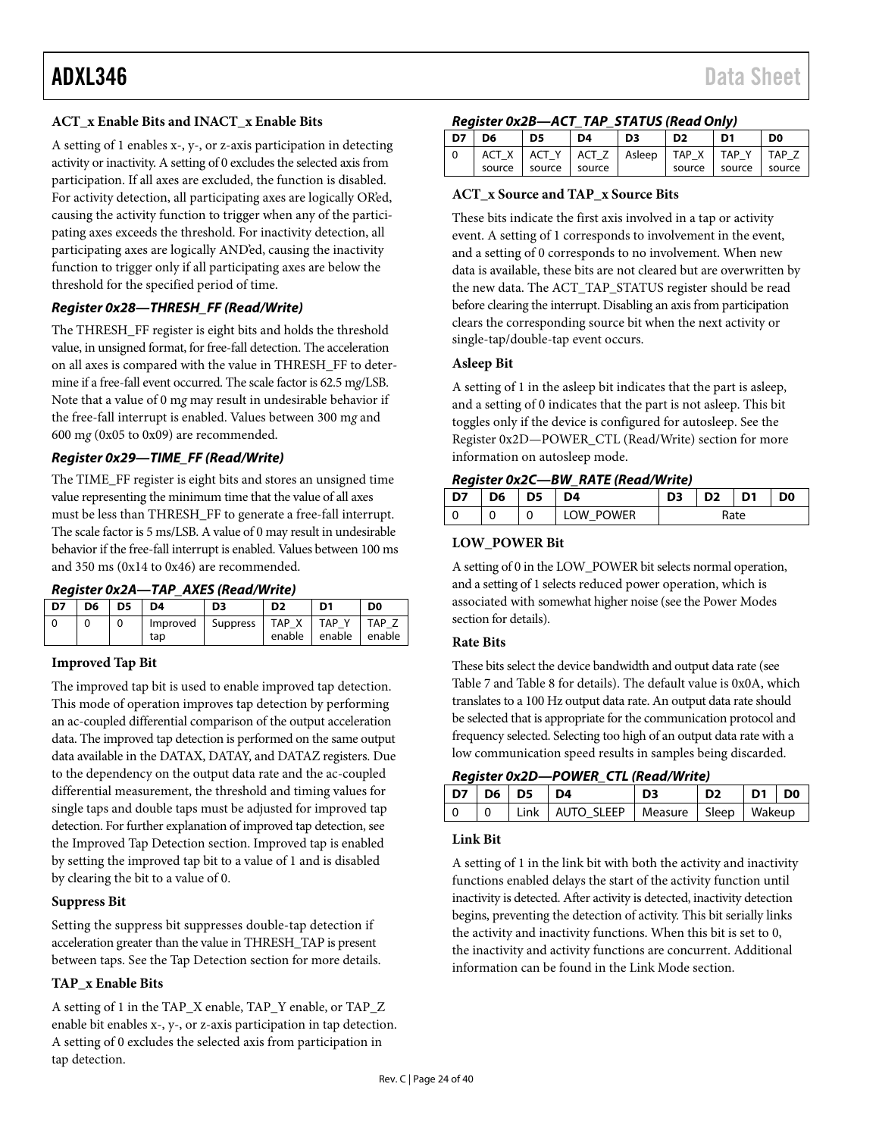### **ACT\_x Enable Bits and INACT\_x Enable Bits**

A setting of 1 enables x-, y-, or z-axis participation in detecting activity or inactivity. A setting of 0 excludes the selected axis from participation. If all axes are excluded, the function is disabled. For activity detection, all participating axes are logically OR'ed, causing the activity function to trigger when any of the participating axes exceeds the threshold. For inactivity detection, all participating axes are logically AND'ed, causing the inactivity function to trigger only if all participating axes are below the threshold for the specified period of time.

#### *Register 0x28—THRESH\_FF (Read/Write)*

The THRESH\_FF register is eight bits and holds the threshold value, in unsigned format, for free-fall detection. The acceleration on all axes is compared with the value in THRESH\_FF to determine if a free-fall event occurred. The scale factor is 62.5 m*g*/LSB. Note that a value of 0 m*g* may result in undesirable behavior if the free-fall interrupt is enabled. Values between 300 m*g* and 600 m*g* (0x05 to 0x09) are recommended.

#### *Register 0x29—TIME\_FF (Read/Write)*

The TIME\_FF register is eight bits and stores an unsigned time value representing the minimum time that the value of all axes must be less than THRESH\_FF to generate a free-fall interrupt. The scale factor is 5 ms/LSB. A value of 0 may result in undesirable behavior if the free-fall interrupt is enabled. Values between 100 ms and 350 ms (0x14 to 0x46) are recommended.

#### *Register 0x2A—TAP\_AXES (Read/Write)*

| D7 | D6 | D <sub>5</sub> | D4       | D3             | D <sub>2</sub> | D <sub>1</sub> | D0     |
|----|----|----------------|----------|----------------|----------------|----------------|--------|
|    |    |                | Improved | Suppress TAP_X |                | TAP Y          | TAP    |
|    |    |                | tap      |                | enable         | enable         | enable |

#### **Improved Tap Bit**

The improved tap bit is used to enable improved tap detection. This mode of operation improves tap detection by performing an ac-coupled differential comparison of the output acceleration data. The improved tap detection is performed on the same output data available in the DATAX, DATAY, and DATAZ registers. Due to the dependency on the output data rate and the ac-coupled differential measurement, the threshold and timing values for single taps and double taps must be adjusted for improved tap detection. For further explanation of improved tap detection, see the [Improved Tap Detection](#page-30-0) section. Improved tap is enabled by setting the improved tap bit to a value of 1 and is disabled by clearing the bit to a value of 0.

#### **Suppress Bit**

Setting the suppress bit suppresses double-tap detection if acceleration greater than the value in THRESH\_TAP is present between taps. See th[e Tap Detection](#page-29-3) section for more details.

#### **TAP\_x Enable Bits**

A setting of 1 in the TAP\_X enable, TAP\_Y enable, or TAP\_Z enable bit enables x-, y-, or z-axis participation in tap detection. A setting of 0 excludes the selected axis from participation in tap detection.

# ADXL346 Data Sheet

#### *Register 0x2B—ACT\_TAP\_STATUS (Read Only)*

| D7 | D6     | D <sub>5</sub>                                 | D <sub>4</sub> | D3 | D <sub>2</sub> | D1            | D <sub>0</sub> |
|----|--------|------------------------------------------------|----------------|----|----------------|---------------|----------------|
|    |        | ACT X   ACT Y   ACT Z   Asleep   TAP X   TAP Y |                |    |                |               | TAP Z          |
|    | source | source                                         | source         |    |                | source source | source         |

#### **ACT\_x Source and TAP\_x Source Bits**

These bits indicate the first axis involved in a tap or activity event. A setting of 1 corresponds to involvement in the event, and a setting of 0 corresponds to no involvement. When new data is available, these bits are not cleared but are overwritten by the new data. The ACT\_TAP\_STATUS register should be read before clearing the interrupt. Disabling an axis from participation clears the corresponding source bit when the next activity or single-tap/double-tap event occurs.

#### **Asleep Bit**

A setting of 1 in the asleep bit indicates that the part is asleep, and a setting of 0 indicates that the part is not asleep. This bit toggles only if the device is configured for autosleep. See the [Register 0x2D—POWER\\_CTL \(Read/Write\)](#page-24-0) section for more information on autosleep mode.

#### *Register 0x2C—BW\_RATE (Read/Write)*

| D7 | D6 | D5 | D4        | D <sub>3</sub> | D <sub>2</sub> | D <sub>1</sub> | D <sub>0</sub> |
|----|----|----|-----------|----------------|----------------|----------------|----------------|
|    |    |    | LOW POWER | Rate           |                |                |                |

#### **LOW\_POWER Bit**

A setting of 0 in the LOW\_POWER bit selects normal operation, and a setting of 1 selects reduced power operation, which is associated with somewhat higher noise (see th[e Power Modes](#page-13-3) section for details).

#### **Rate Bits**

These bits select the device bandwidth and output data rate (see [Table 7](#page-13-1) and [Table 8](#page-13-2) for details). The default value is 0x0A, which translates to a 100 Hz output data rate. An output data rate should be selected that is appropriate for the communication protocol and frequency selected. Selecting too high of an output data rate with a low communication speed results in samples being discarded.

### <span id="page-24-0"></span>*Register 0x2D—POWER\_CTL (Read/Write)*

|  | D7   D6   D5   D4 |                                              | D3 | D <sub>2</sub> | D1 D0 |  |
|--|-------------------|----------------------------------------------|----|----------------|-------|--|
|  |                   | Link   AUTO_SLEEP   Measure   Sleep   Wakeup |    |                |       |  |

#### <span id="page-24-1"></span>**Link Bit**

A setting of 1 in the link bit with both the activity and inactivity functions enabled delays the start of the activity function until inactivity is detected. After activity is detected, inactivity detection begins, preventing the detection of activity. This bit serially links the activity and inactivity functions. When this bit is set to 0, the inactivity and activity functions are concurrent. Additional information can be found in th[e Link Mode](#page-31-1) section.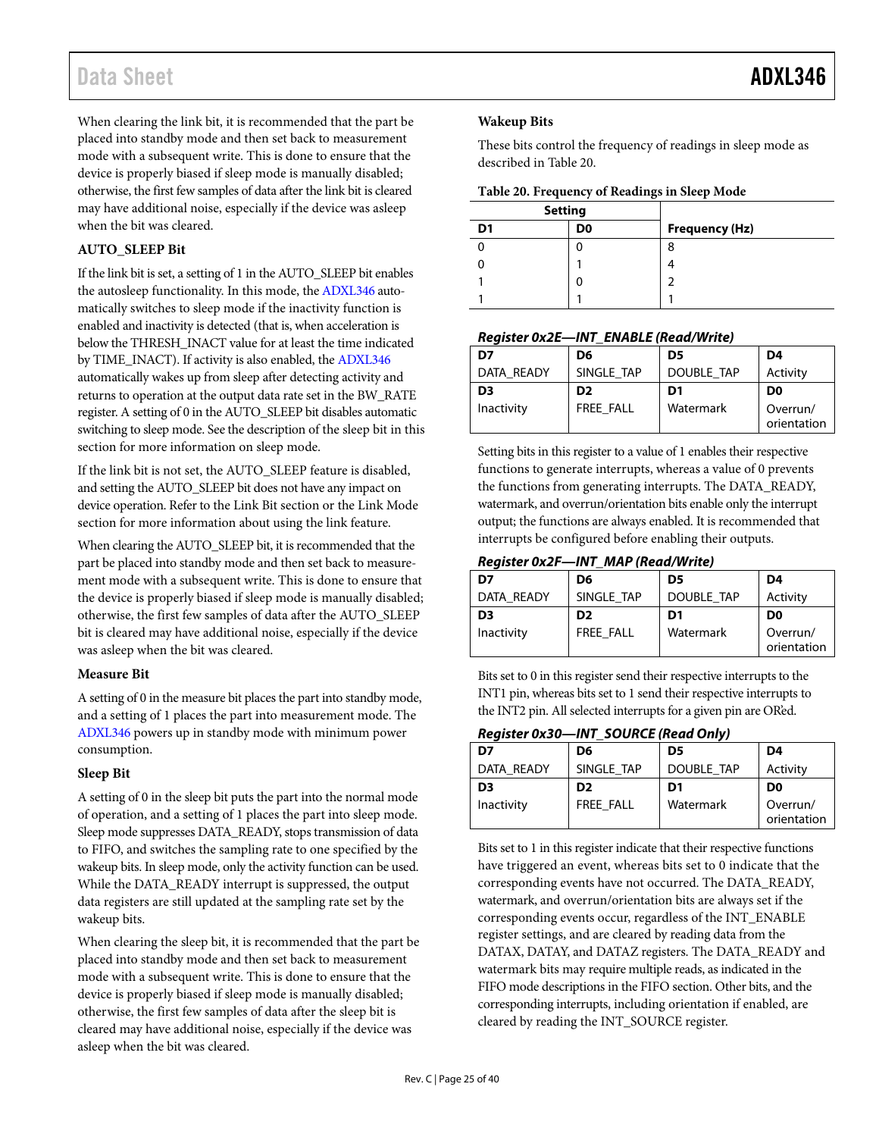When clearing the link bit, it is recommended that the part be placed into standby mode and then set back to measurement mode with a subsequent write. This is done to ensure that the device is properly biased if sleep mode is manually disabled; otherwise, the first few samples of data after the link bit is cleared may have additional noise, especially if the device was asleep when the bit was cleared.

## **AUTO\_SLEEP Bit**

If the link bit is set, a setting of 1 in the AUTO\_SLEEP bit enables the autosleep functionality. In this mode, th[e ADXL346](http://analog.com/ADXL346?doc=ADXL346.pdf) automatically switches to sleep mode if the inactivity function is enabled and inactivity is detected (that is, when acceleration is below the THRESH\_INACT value for at least the time indicated by TIME\_INACT). If activity is also enabled, th[e ADXL346](http://analog.com/ADXL346?doc=ADXL346.pdf) automatically wakes up from sleep after detecting activity and returns to operation at the output data rate set in the BW\_RATE register. A setting of 0 in the AUTO\_SLEEP bit disables automatic switching to sleep mode. See the description of the sleep bit in this section for more information on sleep mode.

If the link bit is not set, the AUTO\_SLEEP feature is disabled, and setting the AUTO\_SLEEP bit does not have any impact on device operation. Refer to th[e Link Bit](#page-24-1) section or th[e Link Mode](#page-31-1) section for more information about using the link feature.

When clearing the AUTO\_SLEEP bit, it is recommended that the part be placed into standby mode and then set back to measurement mode with a subsequent write. This is done to ensure that the device is properly biased if sleep mode is manually disabled; otherwise, the first few samples of data after the AUTO\_SLEEP bit is cleared may have additional noise, especially if the device was asleep when the bit was cleared.

## **Measure Bit**

A setting of 0 in the measure bit places the part into standby mode, and a setting of 1 places the part into measurement mode. The [ADXL346](http://analog.com/ADXL346?doc=ADXL346.pdf) powers up in standby mode with minimum power consumption.

## **Sleep Bit**

A setting of 0 in the sleep bit puts the part into the normal mode of operation, and a setting of 1 places the part into sleep mode. Sleep mode suppresses DATA\_READY, stops transmission of data to FIFO, and switches the sampling rate to one specified by the wakeup bits. In sleep mode, only the activity function can be used. While the DATA\_READY interrupt is suppressed, the output data registers are still updated at the sampling rate set by the wakeup bits.

When clearing the sleep bit, it is recommended that the part be placed into standby mode and then set back to measurement mode with a subsequent write. This is done to ensure that the device is properly biased if sleep mode is manually disabled; otherwise, the first few samples of data after the sleep bit is cleared may have additional noise, especially if the device was asleep when the bit was cleared.

### **Wakeup Bits**

These bits control the frequency of readings in sleep mode as described in [Table 20.](#page-25-0)

<span id="page-25-0"></span>**Table 20. Frequency of Readings in Sleep Mode**

|    | <b>Setting</b> |                       |
|----|----------------|-----------------------|
| D1 | D <sub>0</sub> | <b>Frequency (Hz)</b> |
|    |                | 8                     |
|    |                |                       |
|    | C              |                       |
|    |                |                       |

#### *Register 0x2E—INT\_ENABLE (Read/Write)*

| D7         | D6             | D5         | D4                      |
|------------|----------------|------------|-------------------------|
| DATA READY | SINGLE TAP     | DOUBLE TAP | Activity                |
| D3         | D <sub>2</sub> | D1         | D <sub>0</sub>          |
| Inactivity | FREE FALL      | Watermark  | Overrun/<br>orientation |

Setting bits in this register to a value of 1 enables their respective functions to generate interrupts, whereas a value of 0 prevents the functions from generating interrupts. The DATA\_READY, watermark, and overrun/orientation bits enable only the interrupt output; the functions are always enabled. It is recommended that interrupts be configured before enabling their outputs.

# *Register 0x2F—INT\_MAP (Read/Write)*

| D7             | D6             | D5         | D4                      |
|----------------|----------------|------------|-------------------------|
| DATA READY     | SINGLE TAP     | DOUBLE TAP | Activity                |
| D <sub>3</sub> | D <sub>2</sub> | D1         | D <sub>0</sub>          |
| Inactivity     | FREE FALL      | Watermark  | Overrun/<br>orientation |

Bits set to 0 in this register send their respective interrupts to the INT1 pin, whereas bits set to 1 send their respective interrupts to the INT2 pin. All selected interrupts for a given pin are OR'ed.

## *Register 0x30—INT\_SOURCE (Read Only)*

| ,,,,,,,,,, <i>,</i> ,,,, |                | 500_  0;   |                         |  |  |
|--------------------------|----------------|------------|-------------------------|--|--|
| D7                       | D6             | D5         | D4                      |  |  |
| DATA READY               | SINGLE TAP     | DOUBLE TAP | Activity                |  |  |
| D <sub>3</sub>           | D <sub>2</sub> | D1         | D <sub>0</sub>          |  |  |
| Inactivity               | FREE FALL      | Watermark  | Overrun/<br>orientation |  |  |

Bits set to 1 in this register indicate that their respective functions have triggered an event, whereas bits set to 0 indicate that the corresponding events have not occurred. The DATA\_READY, watermark, and overrun/orientation bits are always set if the corresponding events occur, regardless of the INT\_ENABLE register settings, and are cleared by reading data from the DATAX, DATAY, and DATAZ registers. The DATA\_READY and watermark bits may require multiple reads, as indicated in the FIFO mode descriptions in th[e FIFO](#page-20-0) section. Other bits, and the corresponding interrupts, including orientation if enabled, are cleared by reading the INT\_SOURCE register.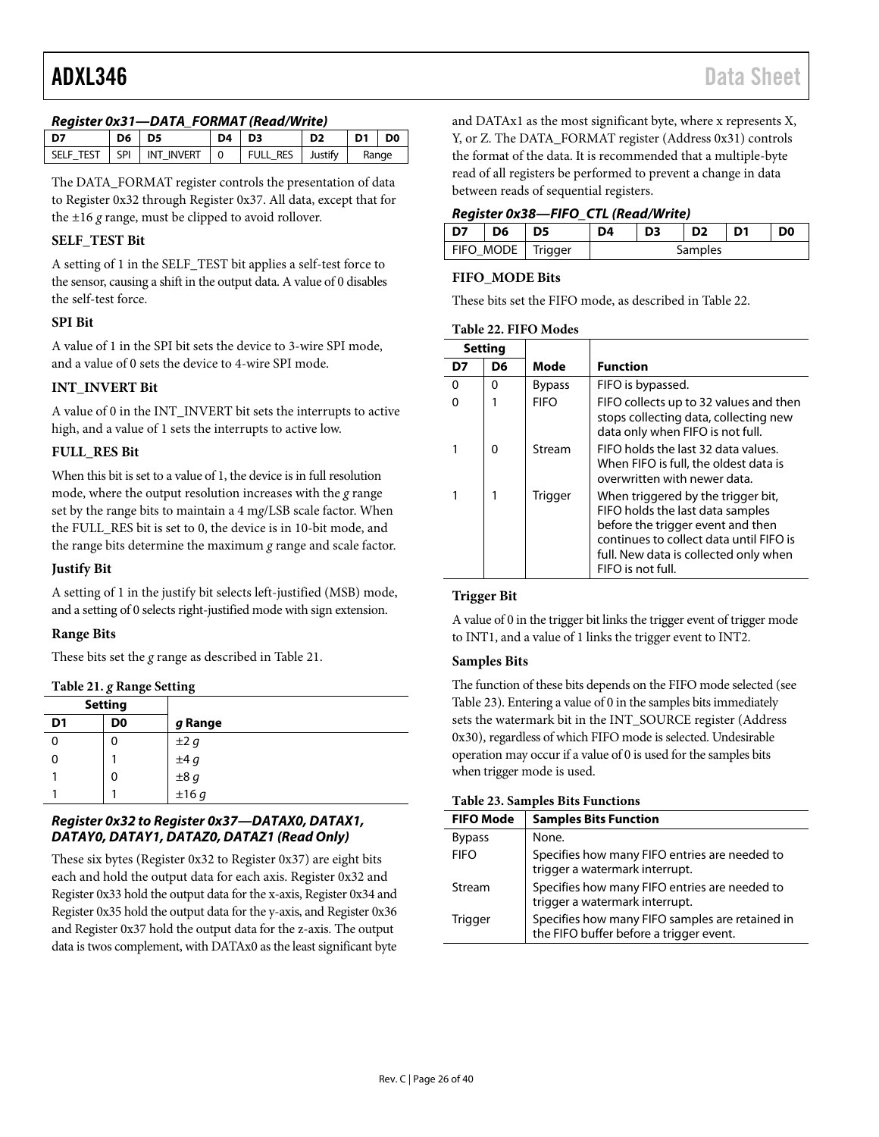#### *Register 0x31—DATA\_FORMAT (Read/Write)*

| .  |       |                                  |                     |                            |                |         |  |
|----|-------|----------------------------------|---------------------|----------------------------|----------------|---------|--|
| D7 | D6 D5 |                                  | $D4$ D <sub>3</sub> |                            | D <sub>2</sub> | $D1$ DO |  |
|    |       | SELF TEST   SPI   INT INVERT   0 |                     | FULL RES   Justify   Range |                |         |  |

The DATA\_FORMAT register controls the presentation of data to Register 0x32 through Register 0x37. All data, except that for the ±16 *g* range, must be clipped to avoid rollover.

#### **SELF\_TEST Bit**

A setting of 1 in the SELF\_TEST bit applies a self-test force to the sensor, causing a shift in the output data. A value of 0 disables the self-test force.

### **SPI Bit**

A value of 1 in the SPI bit sets the device to 3-wire SPI mode, and a value of 0 sets the device to 4-wire SPI mode.

### **INT\_INVERT Bit**

A value of 0 in the INT\_INVERT bit sets the interrupts to active high, and a value of 1 sets the interrupts to active low.

#### **FULL\_RES Bit**

When this bit is set to a value of 1, the device is in full resolution mode, where the output resolution increases with the *g* range set by the range bits to maintain a 4 m*g*/LSB scale factor. When the FULL\_RES bit is set to 0, the device is in 10-bit mode, and the range bits determine the maximum *g* range and scale factor.

#### **Justify Bit**

A setting of 1 in the justify bit selects left-justified (MSB) mode, and a setting of 0 selects right-justified mode with sign extension.

#### **Range Bits**

These bits set the *g* range as described in [Table 21.](#page-26-1)

<span id="page-26-1"></span>**Table 21.** *g* **Range Setting**

| <b>Setting</b> |    |                        |
|----------------|----|------------------------|
| D <sub>1</sub> | D0 | g Range                |
| 0              | 0  | $\pm 2 g$              |
| 0              |    |                        |
|                | 0  | $\pm 4 g$<br>$\pm 8 g$ |
|                |    | ±16g                   |

### *Register 0x32 to Register 0x37—DATAX0, DATAX1, DATAY0, DATAY1, DATAZ0, DATAZ1 (Read Only)*

These six bytes (Register 0x32 to Register 0x37) are eight bits each and hold the output data for each axis. Register 0x32 and Register 0x33 hold the output data for the x-axis, Register 0x34 and Register 0x35 hold the output data for the y-axis, and Register 0x36 and Register 0x37 hold the output data for the z-axis. The output data is twos complement, with DATAx0 as the least significant byte

and DATAx1 as the most significant byte, where x represents X, Y, or Z. The DATA\_FORMAT register (Address 0x31) controls the format of the data. It is recommended that a multiple-byte read of all registers be performed to prevent a change in data between reads of sequential registers.

#### *Register 0x38—FIFO\_CTL (Read/Write)*

| D7 | D6 | D5                  | D4 | D <sub>3</sub> | D <sub>2</sub> | D <sub>0</sub> |
|----|----|---------------------|----|----------------|----------------|----------------|
|    |    | FIFO_MODE   Trigger |    |                | Samples        |                |

#### **FIFO\_MODE Bits**

These bits set the FIFO mode, as described in [Table 22.](#page-26-0) 

<span id="page-26-0"></span>

|    | <b>Setting</b> |                |                                                                                                                                                                                                                      |
|----|----------------|----------------|----------------------------------------------------------------------------------------------------------------------------------------------------------------------------------------------------------------------|
| D7 | D6             | Mode           | <b>Function</b>                                                                                                                                                                                                      |
| U  | 0              | <b>Bypass</b>  | FIFO is bypassed.                                                                                                                                                                                                    |
|    |                | <b>FIFO</b>    | FIFO collects up to 32 values and then<br>stops collecting data, collecting new<br>data only when FIFO is not full.                                                                                                  |
|    | 0              | Stream         | FIFO holds the last 32 data values.<br>When FIFO is full, the oldest data is<br>overwritten with newer data.                                                                                                         |
|    |                | <b>Trigger</b> | When triggered by the trigger bit,<br>FIFO holds the last data samples<br>before the trigger event and then<br>continues to collect data until FIFO is<br>full. New data is collected only when<br>FIFO is not full. |

#### **Trigger Bit**

A value of 0 in the trigger bit links the trigger event of trigger mode to INT1, and a value of 1 links the trigger event to INT2.

#### **Samples Bits**

The function of these bits depends on the FIFO mode selected (see [Table 23\)](#page-26-2). Entering a value of 0 in the samples bits immediately sets the watermark bit in the INT\_SOURCE register (Address 0x30), regardless of which FIFO mode is selected. Undesirable operation may occur if a value of 0 is used for the samples bits when trigger mode is used.

#### <span id="page-26-2"></span>**Table 23. Samples Bits Functions**

| <b>FIFO Mode</b> | <b>Samples Bits Function</b>                                                               |
|------------------|--------------------------------------------------------------------------------------------|
| <b>Bypass</b>    | None.                                                                                      |
| <b>FIFO</b>      | Specifies how many FIFO entries are needed to<br>trigger a watermark interrupt.            |
| Stream           | Specifies how many FIFO entries are needed to<br>trigger a watermark interrupt.            |
| <b>Trigger</b>   | Specifies how many FIFO samples are retained in<br>the FIFO buffer before a trigger event. |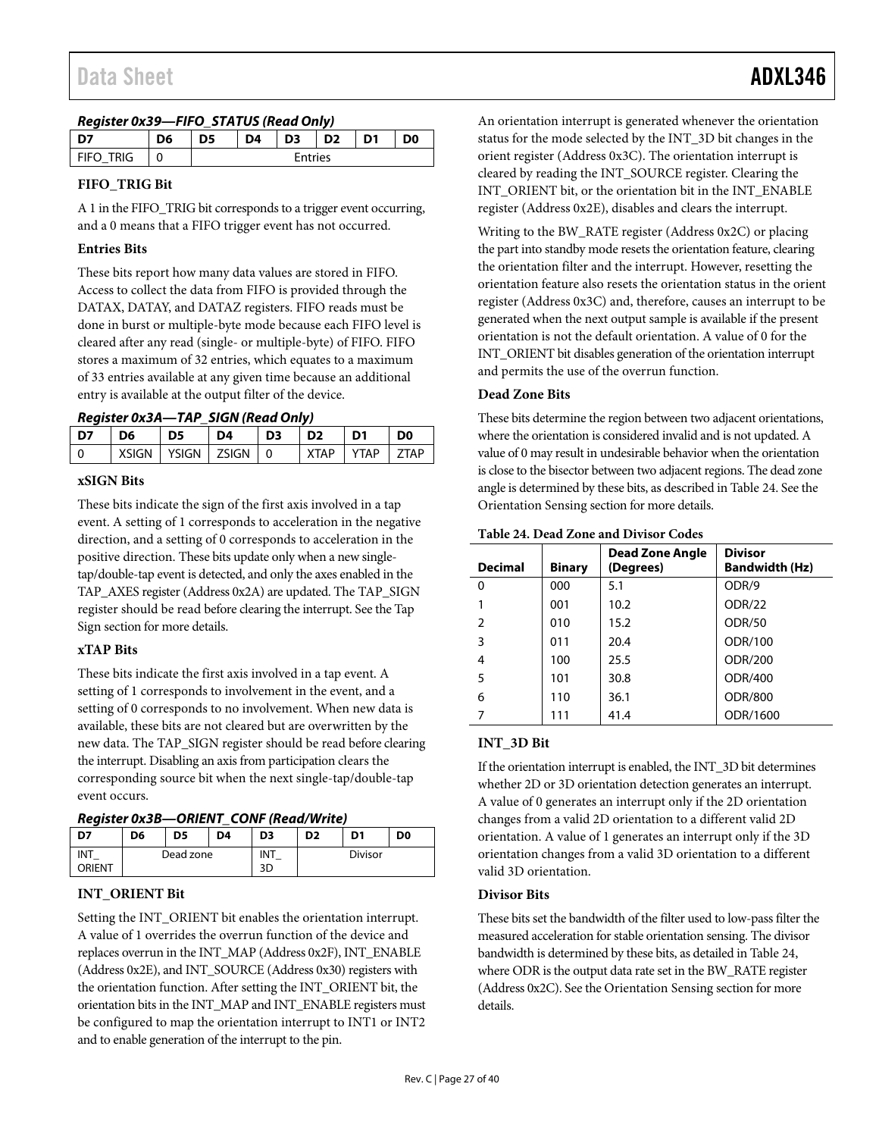| Register 0x39—FIFO_STATUS (Read Only) |  |
|---------------------------------------|--|
|                                       |  |

|           | D6 | D5 | D4 | $\overline{D}$ | $\overline{D2}$ | D1 | D <sub>0</sub> |
|-----------|----|----|----|----------------|-----------------|----|----------------|
| FIFO TRIG |    |    |    | <b>Entries</b> |                 |    |                |

## **FIFO\_TRIG Bit**

A 1 in the FIFO\_TRIG bit corresponds to a trigger event occurring, and a 0 means that a FIFO trigger event has not occurred.

### **Entries Bits**

These bits report how many data values are stored in FIFO. Access to collect the data from FIFO is provided through the DATAX, DATAY, and DATAZ registers. FIFO reads must be done in burst or multiple-byte mode because each FIFO level is cleared after any read (single- or multiple-byte) of FIFO. FIFO stores a maximum of 32 entries, which equates to a maximum of 33 entries available at any given time because an additional entry is available at the output filter of the device.

*Register 0x3A—TAP\_SIGN (Read Only)*

| D7. | D6 | D <sub>5</sub> | D4                        | D <sub>3</sub> | $\overline{D2}$ | l D1        | D <sub>0</sub> |
|-----|----|----------------|---------------------------|----------------|-----------------|-------------|----------------|
| - 0 |    |                | XSIGN   YSIGN   ZSIGN   0 |                | XTAP            | $YTAP$ 7TAP |                |
|     |    |                |                           |                |                 |             |                |

#### **xSIGN Bits**

These bits indicate the sign of the first axis involved in a tap event. A setting of 1 corresponds to acceleration in the negative direction, and a setting of 0 corresponds to acceleration in the positive direction. These bits update only when a new singletap/double-tap event is detected, and only the axes enabled in the TAP\_AXES register (Address 0x2A) are updated. The TAP\_SIGN register should be read before clearing the interrupt. See th[e Tap](#page-30-1)  [Sign](#page-30-1) section for more details.

## **xTAP Bits**

These bits indicate the first axis involved in a tap event. A setting of 1 corresponds to involvement in the event, and a setting of 0 corresponds to no involvement. When new data is available, these bits are not cleared but are overwritten by the new data. The TAP\_SIGN register should be read before clearing the interrupt. Disabling an axis from participation clears the corresponding source bit when the next single-tap/double-tap event occurs.

<span id="page-27-0"></span>*Register 0x3B—ORIENT\_CONF (Read/Write)*

|               |           | $10.913101$ $0.355$ $0.111111$ $0.0111$ $1.1004$ , $1.1110$ |    |                |                |                |    |
|---------------|-----------|-------------------------------------------------------------|----|----------------|----------------|----------------|----|
| D7            | D6        | D <sub>5</sub>                                              | D4 | D <sub>3</sub> | D <sub>2</sub> | D1             | D0 |
| INT<br>ORIENT | Dead zone |                                                             |    | INT<br>3D      |                | <b>Divisor</b> |    |

## **INT\_ORIENT Bit**

Setting the INT\_ORIENT bit enables the orientation interrupt. A value of 1 overrides the overrun function of the device and replaces overrun in the INT\_MAP (Address 0x2F), INT\_ENABLE (Address 0x2E), and INT\_SOURCE (Address 0x30) registers with the orientation function. After setting the INT\_ORIENT bit, the orientation bits in the INT\_MAP and INT\_ENABLE registers must be configured to map the orientation interrupt to INT1 or INT2 and to enable generation of the interrupt to the pin.

An orientation interrupt is generated whenever the orientation status for the mode selected by the INT\_3D bit changes in the orient register (Address 0x3C). The orientation interrupt is cleared by reading the INT\_SOURCE register. Clearing the INT\_ORIENT bit, or the orientation bit in the INT\_ENABLE register (Address 0x2E), disables and clears the interrupt.

Writing to the BW\_RATE register (Address 0x2C) or placing the part into standby mode resets the orientation feature, clearing the orientation filter and the interrupt. However, resetting the orientation feature also resets the orientation status in the orient register (Address 0x3C) and, therefore, causes an interrupt to be generated when the next output sample is available if the present orientation is not the default orientation. A value of 0 for the INT\_ORIENT bit disables generation of the orientation interrupt and permits the use of the overrun function.

## **Dead Zone Bits**

These bits determine the region between two adjacent orientations, where the orientation is considered invalid and is not updated. A value of 0 may result in undesirable behavior when the orientation is close to the bisector between two adjacent regions. The dead zone angle is determined by these bits, as described in [Table 24.](#page-27-1) See the [Orientation Sensing](#page-32-1) section for more details.

| <b>Decimal</b> | <b>Binary</b> | <b>Dead Zone Angle</b><br>(Degrees) | <b>Divisor</b><br><b>Bandwidth (Hz)</b> |
|----------------|---------------|-------------------------------------|-----------------------------------------|
| 0              | 000           | 5.1                                 | ODR/9                                   |
|                | 001           | 10.2                                | <b>ODR/22</b>                           |
| $\mathcal{P}$  | 010           | 15.2                                | <b>ODR/50</b>                           |
| 3              | 011           | 20.4                                | ODR/100                                 |
| 4              | 100           | 25.5                                | ODR/200                                 |
| 5              | 101           | 30.8                                | ODR/400                                 |
| 6              | 110           | 36.1                                | ODR/800                                 |
| 7              | 111           | 41.4                                | ODR/1600                                |

<span id="page-27-1"></span>**Table 24. Dead Zone and Divisor Codes**

## **INT\_3D Bit**

If the orientation interrupt is enabled, the INT\_3D bit determines whether 2D or 3D orientation detection generates an interrupt. A value of 0 generates an interrupt only if the 2D orientation changes from a valid 2D orientation to a different valid 2D orientation. A value of 1 generates an interrupt only if the 3D orientation changes from a valid 3D orientation to a different valid 3D orientation.

#### **Divisor Bits**

These bits set the bandwidth of the filter used to low-pass filter the measured acceleration for stable orientation sensing. The divisor bandwidth is determined by these bits, as detailed in [Table 24,](#page-27-1) where ODR is the output data rate set in the BW\_RATE register (Address 0x2C). See th[e Orientation Sensing](#page-32-1) section for more details.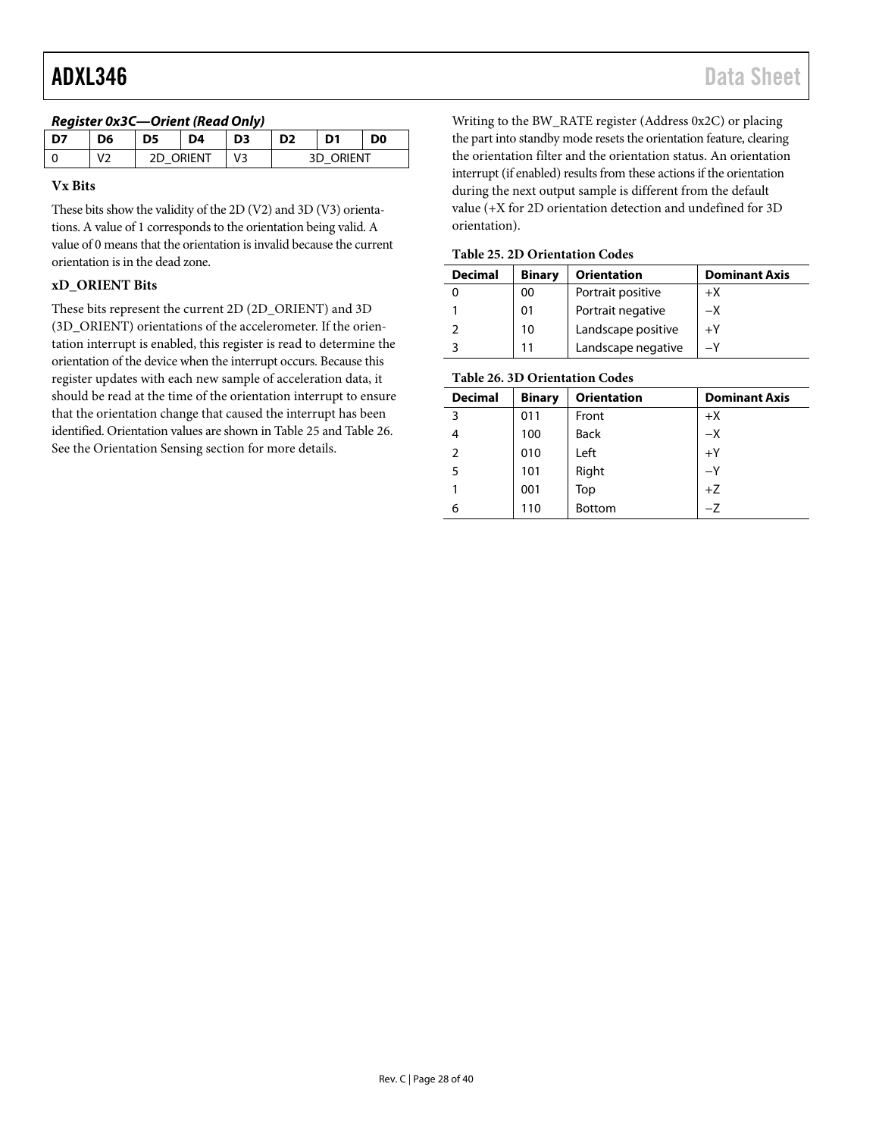| $n_{\rm G}$ |    |           |    |    |    |                  |                |  |  |
|-------------|----|-----------|----|----|----|------------------|----------------|--|--|
| D7          | D6 | D5        | D4 | D3 | D2 |                  | D <sub>0</sub> |  |  |
|             |    | 2D ORIENT |    | V3 |    | <b>3D ORIENT</b> |                |  |  |

### *Register 0x3C—Orient (Read Only)*

#### **Vx Bits**

These bits show the validity of the 2D (V2) and 3D (V3) orientations. A value of 1 corresponds to the orientation being valid. A value of 0 means that the orientation is invalid because the current orientation is in the dead zone.

### **xD\_ORIENT Bits**

These bits represent the current 2D (2D\_ORIENT) and 3D (3D\_ORIENT) orientations of the accelerometer. If the orientation interrupt is enabled, this register is read to determine the orientation of the device when the interrupt occurs. Because this register updates with each new sample of acceleration data, it should be read at the time of the orientation interrupt to ensure that the orientation change that caused the interrupt has been identified. Orientation values are shown i[n Table 25](#page-28-0) an[d Table 26.](#page-28-1)  See the [Orientation Sensing](#page-32-1) section for more details.

Writing to the BW\_RATE register (Address 0x2C) or placing the part into standby mode resets the orientation feature, clearing the orientation filter and the orientation status. An orientation interrupt (if enabled) results from these actions if the orientation during the next output sample is different from the default value (+X for 2D orientation detection and undefined for 3D orientation).

#### <span id="page-28-0"></span>**Table 25. 2D Orientation Codes**

| <b>Decimal</b> | <b>Binary</b> | <b>Orientation</b> | <b>Dominant Axis</b> |
|----------------|---------------|--------------------|----------------------|
|                | 00            | Portrait positive  | $+X$                 |
|                | 01            | Portrait negative  | –х                   |
|                | 10            | Landscape positive | $+Y$                 |
|                |               | Landscape negative |                      |

## <span id="page-28-1"></span>**Table 26. 3D Orientation Codes**

| <b>Decimal</b> | <b>Binary</b> | <b>Orientation</b> | <b>Dominant Axis</b> |
|----------------|---------------|--------------------|----------------------|
| 3              | 011           | Front              | $+X$                 |
| 4              | 100           | <b>Back</b>        | $-X$                 |
| 2              | 010           | Left               | $+Y$                 |
| 5              | 101           | Right              | $-Y$                 |
|                | 001           | Top                | $+Z$                 |
| 6              | 110           | <b>Bottom</b>      |                      |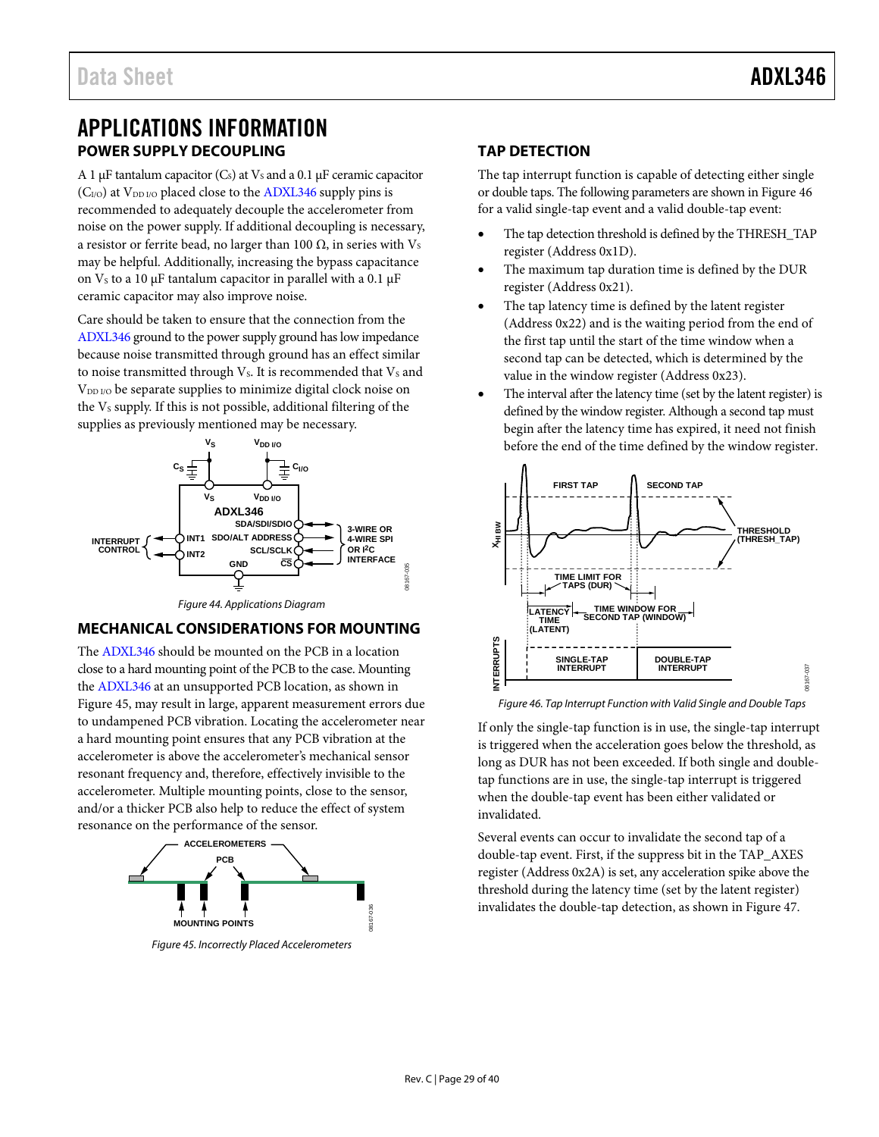# <span id="page-29-0"></span>APPLICATIONS INFORMATION **POWER SUPPLY DECOUPLING**

<span id="page-29-1"></span>A 1 μF tantalum capacitor (C<sub>s</sub>) at  $V_s$  and a 0.1 μF ceramic capacitor  $(C<sub>I/O</sub>)$  at  $V<sub>DD I/O</sub>$  placed close to th[e ADXL346](http://analog.com/ADXL346?doc=ADXL346.pdf) supply pins is recommended to adequately decouple the accelerometer from noise on the power supply. If additional decoupling is necessary, a resistor or ferrite bead, no larger than 100  $\Omega$ , in series with Vs may be helpful. Additionally, increasing the bypass capacitance on  $V_s$  to a 10 μF tantalum capacitor in parallel with a 0.1 μF ceramic capacitor may also improve noise.

Care should be taken to ensure that the connection from the [ADXL346](http://analog.com/ADXL346?doc=ADXL346.pdf) ground to the power supply ground has low impedance because noise transmitted through ground has an effect similar to noise transmitted through V<sub>S</sub>. It is recommended that V<sub>S</sub> and  $V_{DD I/O}$  be separate supplies to minimize digital clock noise on the V<sub>s</sub> supply. If this is not possible, additional filtering of the supplies as previously mentioned may be necessary.



*Figure 44. Applications Diagram*

## <span id="page-29-2"></span>**MECHANICAL CONSIDERATIONS FOR MOUNTING**

The [ADXL346](http://analog.com/ADXL346?doc=ADXL346.pdf) should be mounted on the PCB in a location close to a hard mounting point of the PCB to the case. Mounting the [ADXL346](http://analog.com/ADXL346?doc=ADXL346.pdf) at an unsupported PCB location, as shown in [Figure 45,](#page-29-4) may result in large, apparent measurement errors due to undampened PCB vibration. Locating the accelerometer near a hard mounting point ensures that any PCB vibration at the accelerometer is above the accelerometer's mechanical sensor resonant frequency and, therefore, effectively invisible to the accelerometer. Multiple mounting points, close to the sensor, and/or a thicker PCB also help to reduce the effect of system resonance on the performance of the sensor.



<span id="page-29-4"></span>*Figure 45. Incorrectly Placed Accelerometers*

# <span id="page-29-3"></span>**TAP DETECTION**

The tap interrupt function is capable of detecting either single or double taps. The following parameters are shown i[n Figure 46](#page-29-5) for a valid single-tap event and a valid double-tap event:

- The tap detection threshold is defined by the THRESH\_TAP register (Address 0x1D).
- The maximum tap duration time is defined by the DUR register (Address 0x21).
- The tap latency time is defined by the latent register (Address 0x22) and is the waiting period from the end of the first tap until the start of the time window when a second tap can be detected, which is determined by the value in the window register (Address 0x23).
- The interval after the latency time (set by the latent register) is defined by the window register. Although a second tap must begin after the latency time has expired, it need not finish before the end of the time defined by the window register.



<span id="page-29-5"></span>*Figure 46. Tap Interrupt Function with Valid Single and Double Taps*

If only the single-tap function is in use, the single-tap interrupt is triggered when the acceleration goes below the threshold, as long as DUR has not been exceeded. If both single and doubletap functions are in use, the single-tap interrupt is triggered when the double-tap event has been either validated or invalidated.

Several events can occur to invalidate the second tap of a double-tap event. First, if the suppress bit in the TAP\_AXES register (Address 0x2A) is set, any acceleration spike above the threshold during the latency time (set by the latent register) invalidates the double-tap detection, as shown i[n Figure 47.](#page-30-2)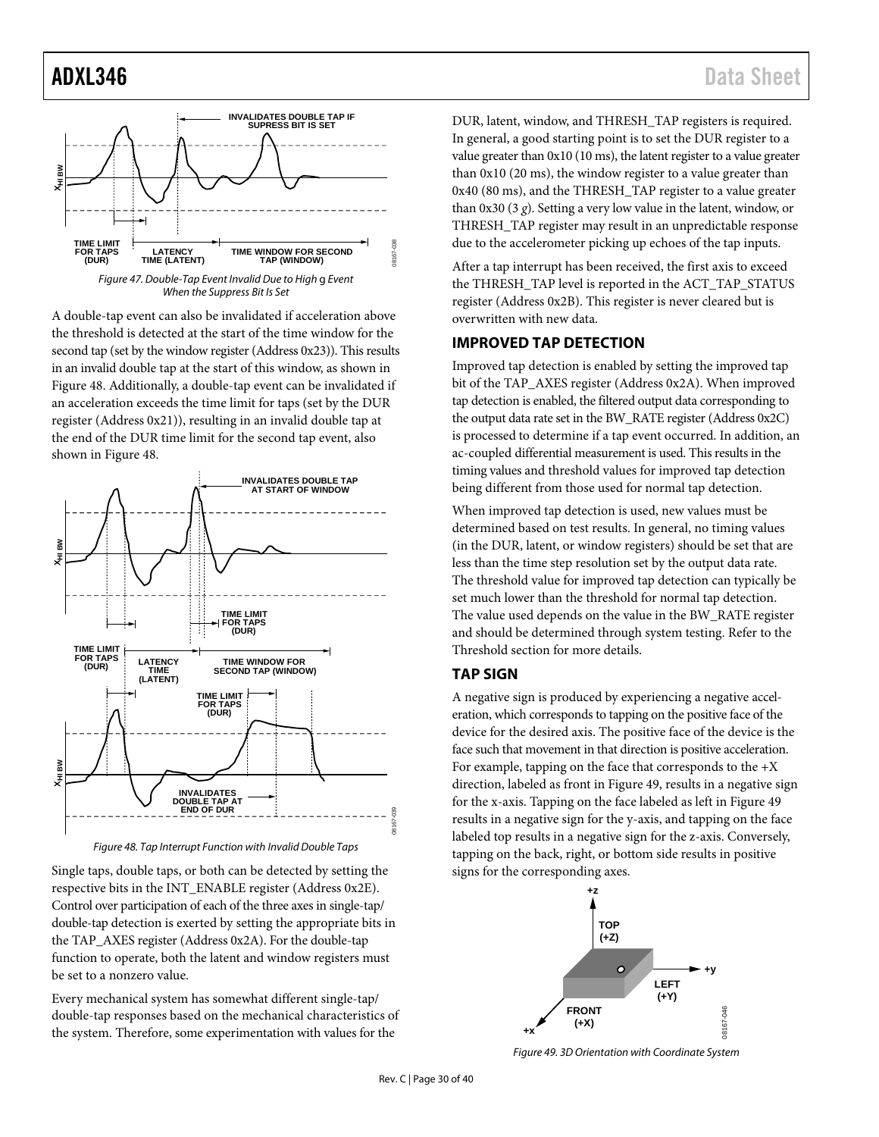

<span id="page-30-2"></span>A double-tap event can also be invalidated if acceleration above the threshold is detected at the start of the time window for the second tap (set by the window register (Address  $0x23$ )). This results in an invalid double tap at the start of this window, as shown in [Figure 48.](#page-30-3) Additionally, a double-tap event can be invalidated if an acceleration exceeds the time limit for taps (set by the DUR register (Address 0x21)), resulting in an invalid double tap at the end of the DUR time limit for the second tap event, also shown in [Figure 48.](#page-30-3)



*Figure 48. Tap Interrupt Function with Invalid Double Taps*

<span id="page-30-3"></span>Single taps, double taps, or both can be detected by setting the respective bits in the INT\_ENABLE register (Address 0x2E). Control over participation of each of the three axes in single-tap/ double-tap detection is exerted by setting the appropriate bits in the TAP\_AXES register (Address 0x2A). For the double-tap function to operate, both the latent and window registers must be set to a nonzero value.

Every mechanical system has somewhat different single-tap/ double-tap responses based on the mechanical characteristics of the system. Therefore, some experimentation with values for the

DUR, latent, window, and THRESH\_TAP registers is required. In general, a good starting point is to set the DUR register to a value greater than 0x10 (10 ms), the latent register to a value greater than 0x10 (20 ms), the window register to a value greater than 0x40 (80 ms), and the THRESH\_TAP register to a value greater than 0x30 (3 *g*). Setting a very low value in the latent, window, or THRESH\_TAP register may result in an unpredictable response due to the accelerometer picking up echoes of the tap inputs.

After a tap interrupt has been received, the first axis to exceed the THRESH\_TAP level is reported in the ACT\_TAP\_STATUS register (Address 0x2B). This register is never cleared but is overwritten with new data.

### <span id="page-30-0"></span>**IMPROVED TAP DETECTION**

Improved tap detection is enabled by setting the improved tap bit of the TAP\_AXES register (Address 0x2A). When improved tap detection is enabled, the filtered output data corresponding to the output data rate set in the BW\_RATE register (Address 0x2C) is processed to determine if a tap event occurred. In addition, an ac-coupled differential measurement is used. This results in the timing values and threshold values for improved tap detection being different from those used for normal tap detection.

When improved tap detection is used, new values must be determined based on test results. In general, no timing values (in the DUR, latent, or window registers) should be set that are less than the time step resolution set by the output data rate. The threshold value for improved tap detection can typically be set much lower than the threshold for normal tap detection. The value used depends on the value in the BW\_RATE register and should be determined through system testing. Refer to the [Threshold](#page-31-0) section for more details.

#### <span id="page-30-1"></span>**TAP SIGN**

A negative sign is produced by experiencing a negative acceleration, which corresponds to tapping on the positive face of the device for the desired axis. The positive face of the device is the face such that movement in that direction is positive acceleration. For example, tapping on the face that corresponds to the  $+X$ direction, labeled as front in [Figure 49,](#page-30-4) results in a negative sign for the x-axis. Tapping on the face labeled as left i[n Figure 49](#page-30-4) results in a negative sign for the y-axis, and tapping on the face labeled top results in a negative sign for the z-axis. Conversely, tapping on the back, right, or bottom side results in positive signs for the corresponding axes.



<span id="page-30-4"></span>*Figure 49. 3D Orientation with Coordinate System*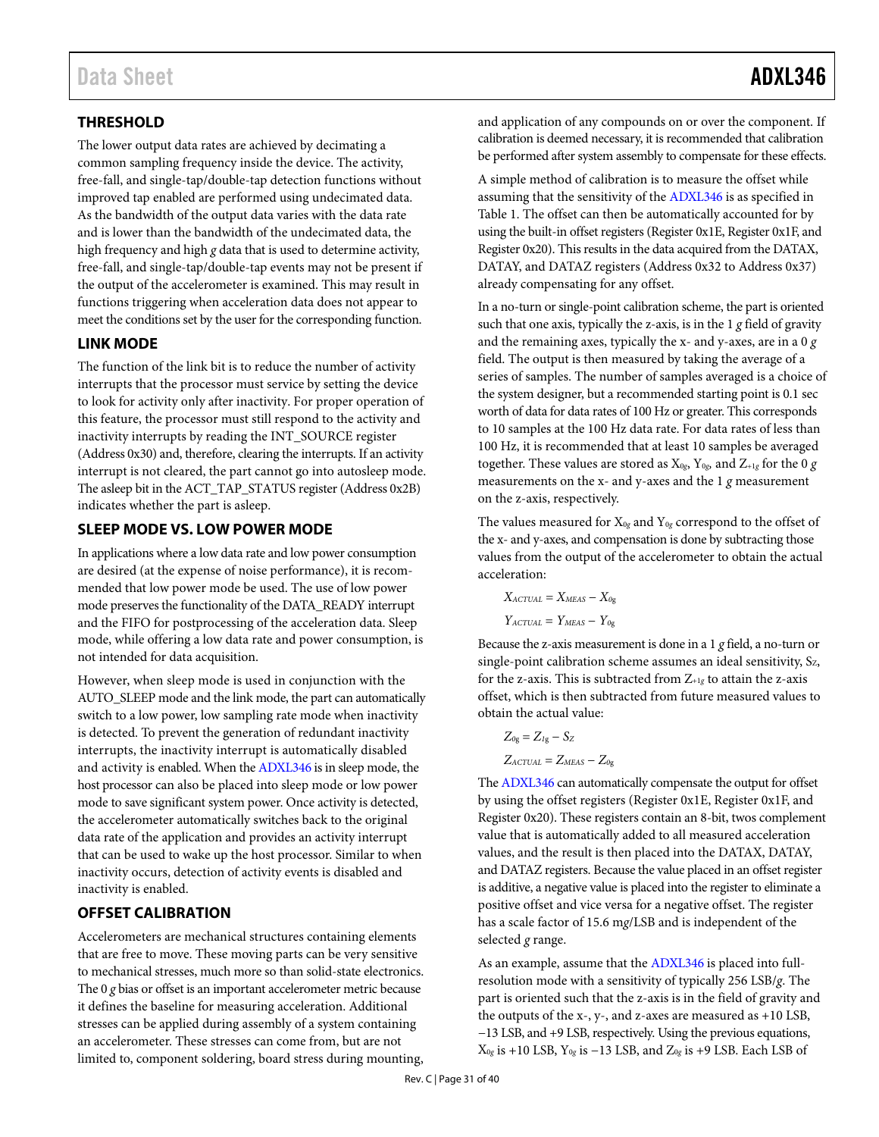# <span id="page-31-0"></span>**THRESHOLD**

The lower output data rates are achieved by decimating a common sampling frequency inside the device. The activity, free-fall, and single-tap/double-tap detection functions without improved tap enabled are performed using undecimated data. As the bandwidth of the output data varies with the data rate and is lower than the bandwidth of the undecimated data, the high frequency and high *g* data that is used to determine activity, free-fall, and single-tap/double-tap events may not be present if the output of the accelerometer is examined. This may result in functions triggering when acceleration data does not appear to meet the conditions set by the user for the corresponding function.

## <span id="page-31-1"></span>**LINK MODE**

The function of the link bit is to reduce the number of activity interrupts that the processor must service by setting the device to look for activity only after inactivity. For proper operation of this feature, the processor must still respond to the activity and inactivity interrupts by reading the INT\_SOURCE register (Address 0x30) and, therefore, clearing the interrupts. If an activity interrupt is not cleared, the part cannot go into autosleep mode. The asleep bit in the ACT\_TAP\_STATUS register (Address 0x2B) indicates whether the part is asleep.

## <span id="page-31-2"></span>**SLEEP MODE VS. LOW POWER MODE**

In applications where a low data rate and low power consumption are desired (at the expense of noise performance), it is recommended that low power mode be used. The use of low power mode preserves the functionality of the DATA\_READY interrupt and the FIFO for postprocessing of the acceleration data. Sleep mode, while offering a low data rate and power consumption, is not intended for data acquisition.

However, when sleep mode is used in conjunction with the AUTO\_SLEEP mode and the link mode, the part can automatically switch to a low power, low sampling rate mode when inactivity is detected. To prevent the generation of redundant inactivity interrupts, the inactivity interrupt is automatically disabled and activity is enabled. When th[e ADXL346](http://analog.com/ADXL346?doc=ADXL346.pdf) is in sleep mode, the host processor can also be placed into sleep mode or low power mode to save significant system power. Once activity is detected, the accelerometer automatically switches back to the original data rate of the application and provides an activity interrupt that can be used to wake up the host processor. Similar to when inactivity occurs, detection of activity events is disabled and inactivity is enabled.

# <span id="page-31-3"></span>**OFFSET CALIBRATION**

Accelerometers are mechanical structures containing elements that are free to move. These moving parts can be very sensitive to mechanical stresses, much more so than solid-state electronics. The 0 *g* bias or offset is an important accelerometer metric because it defines the baseline for measuring acceleration. Additional stresses can be applied during assembly of a system containing an accelerometer. These stresses can come from, but are not limited to, component soldering, board stress during mounting,

and application of any compounds on or over the component. If calibration is deemed necessary, it is recommended that calibration be performed after system assembly to compensate for these effects.

A simple method of calibration is to measure the offset while assuming that the sensitivity of th[e ADXL346](http://analog.com/ADXL346?doc=ADXL346.pdf) is as specified in [Table 1.](#page-3-1) The offset can then be automatically accounted for by using the built-in offset registers(Register 0x1E, Register 0x1F, and Register 0x20). This results in the data acquired from the DATAX, DATAY, and DATAZ registers (Address 0x32 to Address 0x37) already compensating for any offset.

In a no-turn or single-point calibration scheme, the part is oriented such that one axis, typically the z-axis, is in the 1 *g* field of gravity and the remaining axes, typically the x- and y-axes, are in a 0 *g* field. The output is then measured by taking the average of a series of samples. The number of samples averaged is a choice of the system designer, but a recommended starting point is 0.1 sec worth of data for data rates of 100 Hz or greater. This corresponds to 10 samples at the 100 Hz data rate. For data rates of less than 100 Hz, it is recommended that at least 10 samples be averaged together. These values are stored as  $X_{0g}$ ,  $Y_{0g}$ , and  $Z_{+1g}$  for the 0  $g$ measurements on the x- and y-axes and the 1 *g* measurement on the z-axis, respectively.

The values measured for  $X_{0g}$  and  $Y_{0g}$  correspond to the offset of the x- and y-axes, and compensation is done by subtracting those values from the output of the accelerometer to obtain the actual acceleration:

$$
X_{ACTUAL} = X_{MEAS} - X_{0g}
$$

$$
Y_{ACTUAL} = Y_{MEAS} - Y_{0g}
$$

Because the z-axis measurement is done in a 1 *g* field, a no-turn or single-point calibration scheme assumes an ideal sensitivity,  $S_{Z}$ , for the z-axis. This is subtracted from Z+1*<sup>g</sup>* to attain the z-axis offset, which is then subtracted from future measured values to obtain the actual value:

$$
Z_{0g} = Z_{1g} - S_Z
$$
  
Zactual = Zmeas - Z<sub>0g</sub>

Th[e ADXL346](http://analog.com/ADXL346?doc=ADXL346.pdf) can automatically compensate the output for offset by using the offset registers (Register 0x1E, Register 0x1F, and Register 0x20). These registers contain an 8-bit, twos complement value that is automatically added to all measured acceleration values, and the result is then placed into the DATAX, DATAY, and DATAZ registers. Because the value placed in an offset register is additive, a negative value is placed into the register to eliminate a positive offset and vice versa for a negative offset. The register has a scale factor of 15.6 m*g*/LSB and is independent of the selected *g* range.

As an example, assume that th[e ADXL346](http://analog.com/ADXL346?doc=ADXL346.pdf) is placed into fullresolution mode with a sensitivity of typically 256 LSB/*g*. The part is oriented such that the z-axis is in the field of gravity and the outputs of the x-, y-, and z-axes are measured as +10 LSB, −13 LSB, and +9 LSB,respectively. Using the previous equations, X0*<sup>g</sup>* is +10 LSB, Y0*<sup>g</sup>* is −13 LSB, and Z0*<sup>g</sup>* is +9 LSB. Each LSB of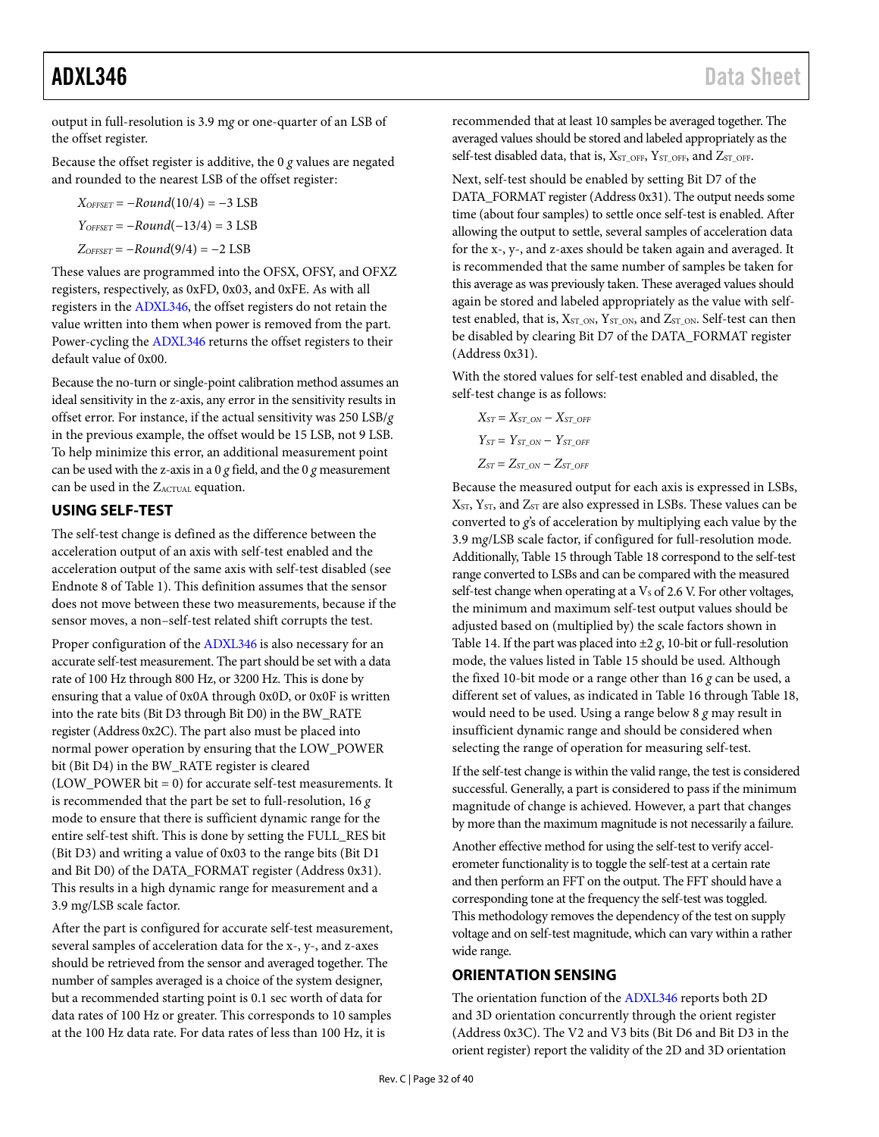output in full-resolution is 3.9 m*g* or one-quarter of an LSB of the offset register.

Because the offset register is additive, the 0 *g* values are negated and rounded to the nearest LSB of the offset register:

```
X_{OFFSET} = -Round(10/4) = -3 LSB
Y<sub>OFFSET = −Round(−13/4) = 3 LSB</sub>
Z<sub>OFFSET</sub> = -Round(9/4) = -2 LSB
```
These values are programmed into the OFSX, OFSY, and OFXZ registers, respectively, as 0xFD, 0x03, and 0xFE. As with all registers in the [ADXL346,](http://analog.com/ADXL346?doc=ADXL346.pdf) the offset registers do not retain the value written into them when power is removed from the part. Power-cycling the [ADXL346](http://analog.com/ADXL346?doc=ADXL346.pdf) returns the offset registers to their default value of 0x00.

Because the no-turn or single-point calibration method assumes an ideal sensitivity in the z-axis, any error in the sensitivity results in offset error. For instance, if the actual sensitivity was 250 LSB/*g* in the previous example, the offset would be 15 LSB, not 9 LSB. To help minimize this error, an additional measurement point can be used with the z-axis in a 0 *g* field, and the 0 *g* measurement can be used in the ZACTUAL equation.

# <span id="page-32-0"></span>**USING SELF-TEST**

The self-test change is defined as the difference between the acceleration output of an axis with self-test enabled and the acceleration output of the same axis with self-test disabled (see Endnote 8 of [Table 1\)](#page-3-1). This definition assumes that the sensor does not move between these two measurements, because if the sensor moves, a non–self-test related shift corrupts the test.

Proper configuration of the [ADXL346](http://analog.com/ADXL346?doc=ADXL346.pdf) is also necessary for an accurate self-test measurement. The part should be set with a data rate of 100 Hz through 800 Hz, or 3200 Hz. This is done by ensuring that a value of 0x0A through 0x0D, or 0x0F is written into the rate bits (Bit D3 through Bit D0) in the BW\_RATE register (Address 0x2C). The part also must be placed into normal power operation by ensuring that the LOW\_POWER bit (Bit D4) in the BW\_RATE register is cleared (LOW\_POWER bit  $= 0$ ) for accurate self-test measurements. It is recommended that the part be set to full-resolution, 16 *g* mode to ensure that there is sufficient dynamic range for the entire self-test shift. This is done by setting the FULL\_RES bit (Bit D3) and writing a value of 0x03 to the range bits (Bit D1 and Bit D0) of the DATA\_FORMAT register (Address 0x31). This results in a high dynamic range for measurement and a 3.9 m*g*/LSB scale factor.

After the part is configured for accurate self-test measurement, several samples of acceleration data for the x-, y-, and z-axes should be retrieved from the sensor and averaged together. The number of samples averaged is a choice of the system designer, but a recommended starting point is 0.1 sec worth of data for data rates of 100 Hz or greater. This corresponds to 10 samples at the 100 Hz data rate. For data rates of less than 100 Hz, it is

recommended that at least 10 samples be averaged together. The averaged values should be stored and labeled appropriately as the self-test disabled data, that is,  $X_{ST\_OFF}$ ,  $Y_{ST\_OFF}$ , and  $Z_{ST\_OFF}$ .

Next, self-test should be enabled by setting Bit D7 of the DATA\_FORMAT register (Address 0x31). The output needs some time (about four samples) to settle once self-test is enabled. After allowing the output to settle, several samples of acceleration data for the x-, y-, and z-axes should be taken again and averaged. It is recommended that the same number of samples be taken for this average as was previously taken. These averaged values should again be stored and labeled appropriately as the value with selftest enabled, that is,  $X_{ST\_ON}$ ,  $Y_{ST\_ON}$ , and  $Z_{ST\_ON}$ . Self-test can then be disabled by clearing Bit D7 of the DATA\_FORMAT register (Address 0x31).

With the stored values for self-test enabled and disabled, the self-test change is as follows:

$$
X_{ST} = X_{ST\_ON} - X_{ST\_OFF}
$$
  
\n
$$
Y_{ST} = Y_{ST\_ON} - Y_{ST\_OFF}
$$
  
\n
$$
Z_{ST} = Z_{ST\_ON} - Z_{ST\_OFF}
$$

Because the measured output for each axis is expressed in LSBs, XST, YST, and ZST are also expressed in LSBs. These values can be converted to *g*'s of acceleration by multiplying each value by the 3.9 m*g*/LSB scale factor, if configured for full-resolution mode. Additionally[, Table 15](#page-21-3) throug[h Table 18](#page-21-4) correspond to the self-test range converted to LSBs and can be compared with the measured self-test change when operating at a  $V<sub>S</sub>$  of 2.6 V. For other voltages, the minimum and maximum self-test output values should be adjusted based on (multiplied by) the scale factors shown in [Table 14.](#page-21-2) If the part was placed into  $\pm 2$  *g*, 10-bit or full-resolution mode, the values listed in [Table 15](#page-21-3) should be used. Although the fixed 10-bit mode or a range other than 16 *g* can be used, a different set of values, as indicated in [Table 16](#page-21-5) throug[h Table 18,](#page-21-4)  would need to be used. Using a range below 8 *g* may result in insufficient dynamic range and should be considered when selecting the range of operation for measuring self-test.

If the self-test change is within the valid range, the test is considered successful. Generally, a part is considered to pass if the minimum magnitude of change is achieved. However, a part that changes by more than the maximum magnitude is not necessarily a failure.

Another effective method for using the self-test to verify accelerometer functionality is to toggle the self-test at a certain rate and then perform an FFT on the output. The FFT should have a corresponding tone at the frequency the self-test was toggled. This methodology removes the dependency of the test on supply voltage and on self-test magnitude, which can vary within a rather wide range.

## <span id="page-32-1"></span>**ORIENTATION SENSING**

The orientation function of the [ADXL346](http://analog.com/ADXL346?doc=ADXL346.pdf) reports both 2D and 3D orientation concurrently through the orient register (Address 0x3C). The V2 and V3 bits (Bit D6 and Bit D3 in the orient register) report the validity of the 2D and 3D orientation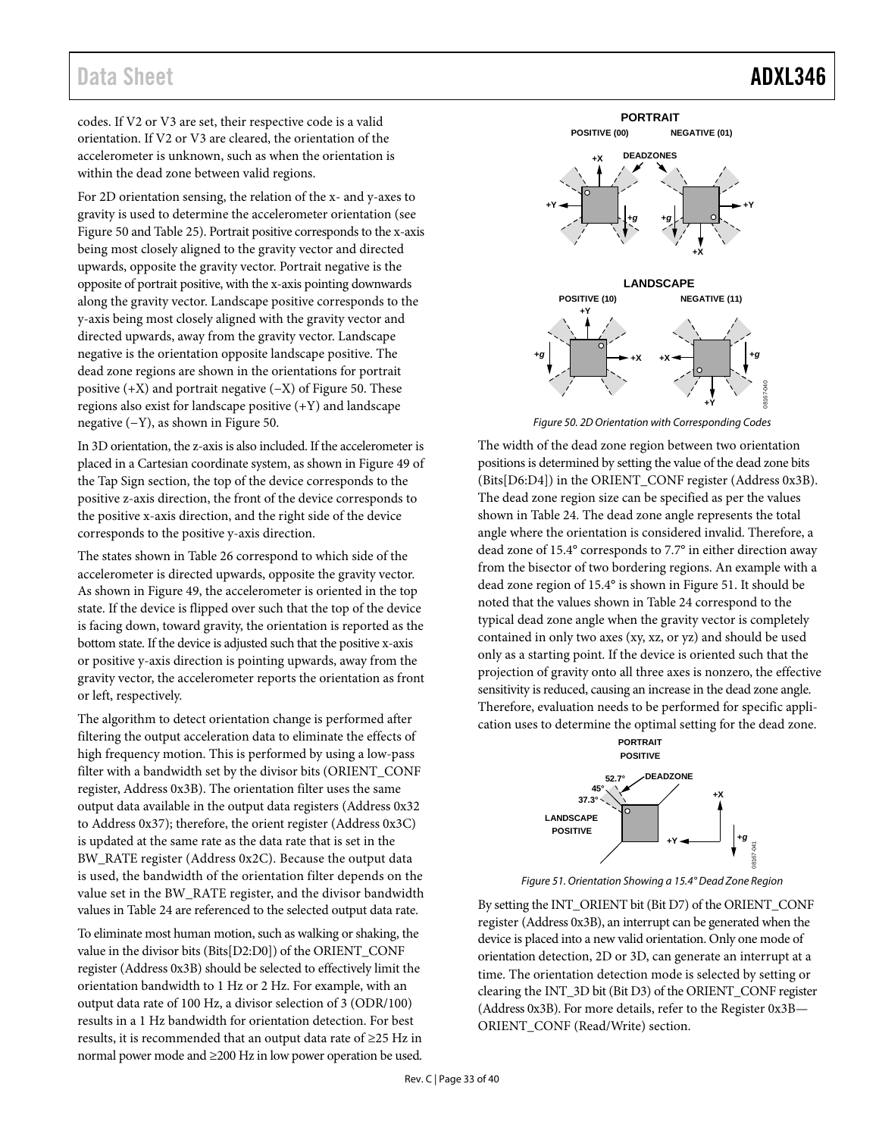# Data Sheet **ADXL346**

codes. If V2 or V3 are set, their respective code is a valid orientation. If V2 or V3 are cleared, the orientation of the accelerometer is unknown, such as when the orientation is within the dead zone between valid regions.

For 2D orientation sensing, the relation of the x- and y-axes to gravity is used to determine the accelerometer orientation (see [Figure 50](#page-33-0) an[d Table 25\)](#page-28-0). Portrait positive corresponds to the x-axis being most closely aligned to the gravity vector and directed upwards, opposite the gravity vector. Portrait negative is the opposite of portrait positive, with the x-axis pointing downwards along the gravity vector. Landscape positive corresponds to the y-axis being most closely aligned with the gravity vector and directed upwards, away from the gravity vector. Landscape negative is the orientation opposite landscape positive. The dead zone regions are shown in the orientations for portrait positive (+X) and portrait negative (−X) of [Figure 50.](#page-33-0) These regions also exist for landscape positive (+Y) and landscape negative (−Y), as shown in [Figure 50.](#page-33-0)

In 3D orientation, the z-axis is also included. If the accelerometer is placed in a Cartesian coordinate system, as shown in [Figure 49](#page-30-4) of the [Tap Sign](#page-30-1) section, the top of the device corresponds to the positive z-axis direction, the front of the device corresponds to the positive x-axis direction, and the right side of the device corresponds to the positive y-axis direction.

The states shown in [Table 26](#page-28-1) correspond to which side of the accelerometer is directed upwards, opposite the gravity vector. As shown in [Figure 49,](#page-30-4) the accelerometer is oriented in the top state. If the device is flipped over such that the top of the device is facing down, toward gravity, the orientation is reported as the bottom state. If the device is adjusted such that the positive x-axis or positive y-axis direction is pointing upwards, away from the gravity vector, the accelerometer reports the orientation as front or left, respectively.

The algorithm to detect orientation change is performed after filtering the output acceleration data to eliminate the effects of high frequency motion. This is performed by using a low-pass filter with a bandwidth set by the divisor bits (ORIENT\_CONF register, Address 0x3B). The orientation filter uses the same output data available in the output data registers (Address 0x32 to Address 0x37); therefore, the orient register (Address 0x3C) is updated at the same rate as the data rate that is set in the BW\_RATE register (Address 0x2C). Because the output data is used, the bandwidth of the orientation filter depends on the value set in the BW\_RATE register, and the divisor bandwidth values i[n Table 24](#page-27-1) are referenced to the selected output data rate.

To eliminate most human motion, such as walking or shaking, the value in the divisor bits (Bits[D2:D0]) of the ORIENT\_CONF register (Address 0x3B) should be selected to effectively limit the orientation bandwidth to 1 Hz or 2 Hz. For example, with an output data rate of 100 Hz, a divisor selection of 3 (ODR/100) results in a 1 Hz bandwidth for orientation detection. For best results, it is recommended that an output data rate of ≥25 Hz in normal power mode and ≥200 Hz in low power operation be used.



*Figure 50. 2D Orientation with Corresponding Codes*

<span id="page-33-0"></span>The width of the dead zone region between two orientation positions is determined by setting the value of the dead zone bits (Bits[D6:D4]) in the ORIENT\_CONF register (Address 0x3B). The dead zone region size can be specified as per the values shown in [Table 24.](#page-27-1) The dead zone angle represents the total angle where the orientation is considered invalid. Therefore, a dead zone of 15.4° corresponds to 7.7° in either direction away from the bisector of two bordering regions. An example with a dead zone region of 15.4° is shown in [Figure 51.](#page-33-1) It should be noted that the values shown in [Table 24](#page-27-1) correspond to the typical dead zone angle when the gravity vector is completely contained in only two axes (xy, xz, or yz) and should be used only as a starting point. If the device is oriented such that the projection of gravity onto all three axes is nonzero, the effective sensitivity is reduced, causing an increase in the dead zone angle. Therefore, evaluation needs to be performed for specific application uses to determine the optimal setting for the dead zone.



*Figure 51. Orientation Showing a 15.4° Dead Zone Region*

<span id="page-33-1"></span>By setting the INT\_ORIENT bit (Bit D7) of the ORIENT\_CONF register (Address 0x3B), an interrupt can be generated when the device is placed into a new valid orientation. Only one mode of orientation detection, 2D or 3D, can generate an interrupt at a time. The orientation detection mode is selected by setting or clearing the INT\_3D bit (Bit D3) of the ORIENT\_CONF register (Address 0x3B). For more details, refer to the [Register 0x3B—](#page-27-0) [ORIENT\\_CONF \(Read/Write\)](#page-27-0) section.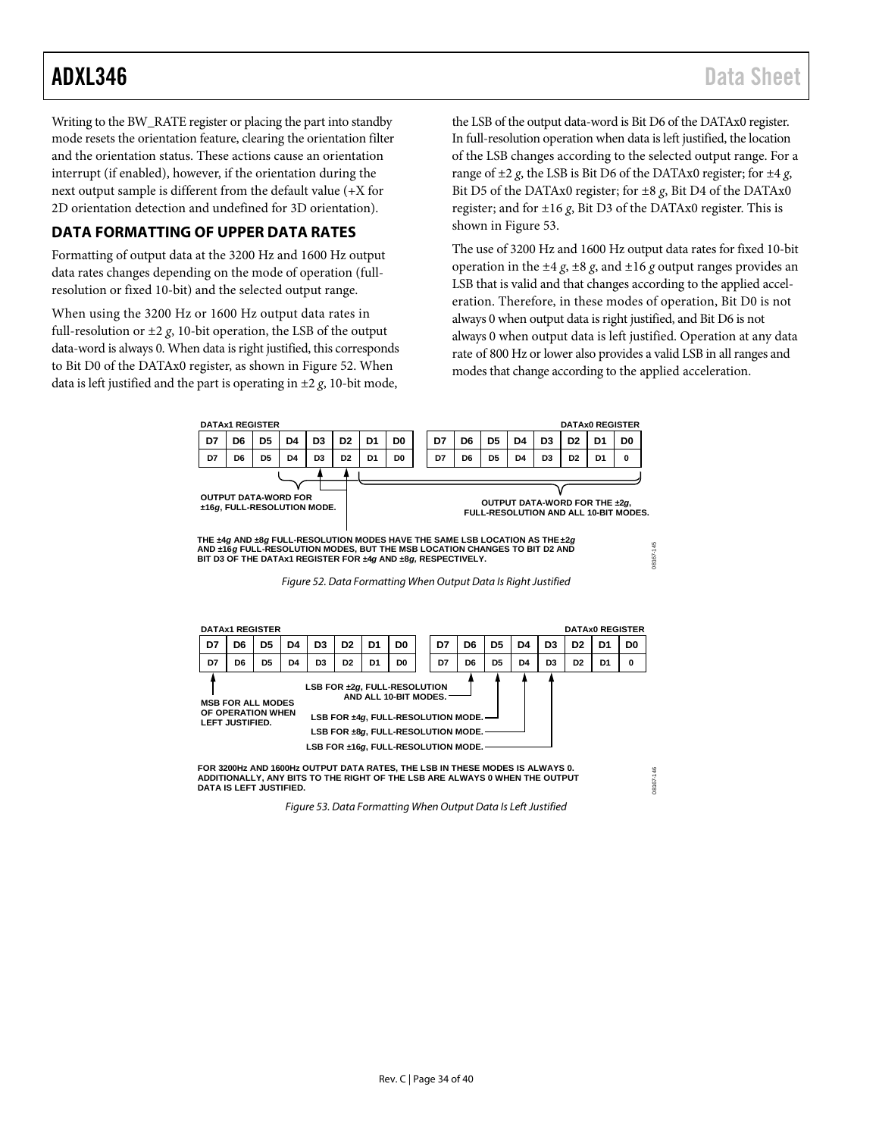Writing to the BW\_RATE register or placing the part into standby mode resets the orientation feature, clearing the orientation filter and the orientation status. These actions cause an orientation interrupt (if enabled), however, if the orientation during the next output sample is different from the default value (+X for 2D orientation detection and undefined for 3D orientation).

# <span id="page-34-0"></span>**DATA FORMATTING OF UPPER DATA RATES**

Formatting of output data at the 3200 Hz and 1600 Hz output data rates changes depending on the mode of operation (fullresolution or fixed 10-bit) and the selected output range.

When using the 3200 Hz or 1600 Hz output data rates in full-resolution or  $\pm 2$  *g*, 10-bit operation, the LSB of the output data-word is always 0. When data is right justified, this corresponds to Bit D0 of the DATAx0 register, as shown i[n Figure 52.](#page-34-1) When data is left justified and the part is operating in ±2 *g*, 10-bit mode,

the LSB of the output data-word is Bit D6 of the DATAx0 register. In full-resolution operation when data is left justified, the location of the LSB changes according to the selected output range. For a range of  $\pm 2$  *g*, the LSB is Bit D6 of the DATAx0 register; for  $\pm 4$  *g*, Bit D5 of the DATAx0 register; for ±8 *g*, Bit D4 of the DATAx0 register; and for  $\pm 16$  g, Bit D3 of the DATAx0 register. This is shown in [Figure 53.](#page-34-2)

The use of 3200 Hz and 1600 Hz output data rates for fixed 10-bit operation in the  $\pm 4$  *g*,  $\pm 8$  *g*, and  $\pm 16$  *g* output ranges provides an LSB that is valid and that changes according to the applied acceleration. Therefore, in these modes of operation, Bit D0 is not always 0 when output data is right justified, and Bit D6 is not always 0 when output data is left justified. Operation at any data rate of 800 Hz or lower also provides a valid LSB in all ranges and modes that change according to the applied acceleration.

08167-146

8167-1



<span id="page-34-1"></span>

<span id="page-34-2"></span>**FOR 3200Hz AND 1600Hz OUTPUT DATA RATES, THE LSB IN THESE MODES IS ALWAYS 0. ADDITIONALLY, ANY BITS TO THE RIGHT OF THE LSB ARE ALWAYS 0 WHEN THE OUTPUT DATA IS LEFT JUSTIFIED.**

*Figure 53. Data Formatting When Output Data Is Left Justified*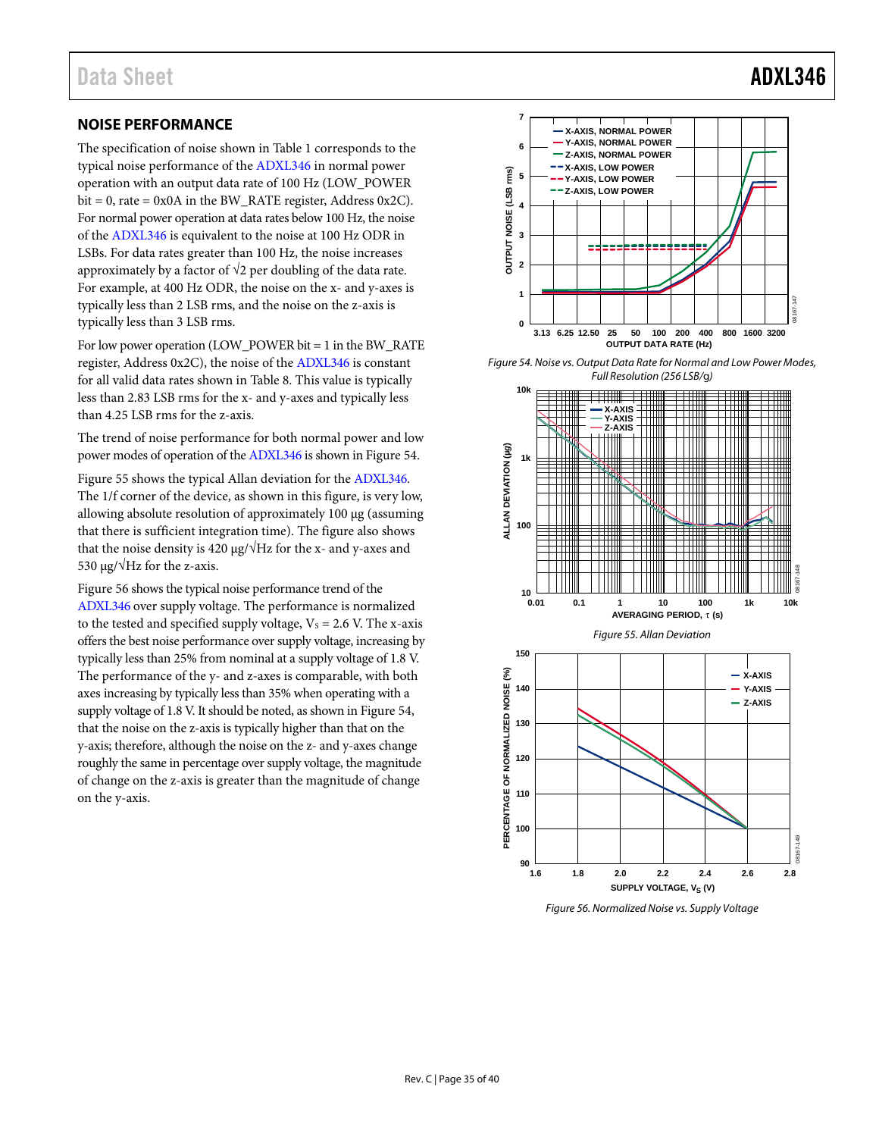### <span id="page-35-0"></span>**NOISE PERFORMANCE**

The specification of noise shown in [Table 1](#page-3-1) corresponds to the typical noise performance of th[e ADXL346](http://analog.com/ADXL346?doc=ADXL346.pdf) in normal power operation with an output data rate of 100 Hz (LOW\_POWER bit = 0, rate =  $0x0A$  in the BW\_RATE register, Address  $0x2C$ . For normal power operation at data rates below 100 Hz, the noise of the [ADXL346](http://analog.com/ADXL346?doc=ADXL346.pdf) is equivalent to the noise at 100 Hz ODR in LSBs. For data rates greater than 100 Hz, the noise increases approximately by a factor of  $\sqrt{2}$  per doubling of the data rate. For example, at 400 Hz ODR, the noise on the x- and y-axes is typically less than 2 LSB rms, and the noise on the z-axis is typically less than 3 LSB rms.

For low power operation (LOW\_POWER bit = 1 in the BW\_RATE register, Address 0x2C), the noise of th[e ADXL346](http://analog.com/ADXL346?doc=ADXL346.pdf) is constant for all valid data rates shown i[n Table 8.](#page-13-2) This value is typically less than 2.83 LSB rms for the x- and y-axes and typically less than 4.25 LSB rms for the z-axis.

The trend of noise performance for both normal power and low power modes of operation of th[e ADXL346](http://analog.com/ADXL346?doc=ADXL346.pdf) is shown in [Figure 54.](#page-35-2)

[Figure 55](#page-35-3) shows the typical Allan deviation for th[e ADXL346.](http://analog.com/ADXL346?doc=ADXL346.pdf)  The 1/f corner of the device, as shown in this figure, is very low, allowing absolute resolution of approximately 100 µg (assuming that there is sufficient integration time). The figure also shows that the noise density is 420  $\mu$ g/ $\sqrt{Hz}$  for the x- and y-axes and 530  $\mu$ g/ $\sqrt{Hz}$  for the z-axis.

[Figure 56](#page-35-4) shows the typical noise performance trend of the [ADXL346](http://analog.com/ADXL346?doc=ADXL346.pdf) over supply voltage. The performance is normalized to the tested and specified supply voltage,  $V_s = 2.6$  V. The x-axis offers the best noise performance over supply voltage, increasing by typically less than 25% from nominal at a supply voltage of 1.8 V. The performance of the y- and z-axes is comparable, with both axes increasing by typically less than 35% when operating with a supply voltage of 1.8 V. It should be noted, as shown i[n Figure 54,](#page-35-2)  that the noise on the z-axis is typically higher than that on the y-axis; therefore, although the noise on the z- and y-axes change roughly the same in percentage over supply voltage, the magnitude of change on the z-axis is greater than the magnitude of change on the y-axis.



<span id="page-35-2"></span>*Figure 54. Noise vs. Output Data Rate for Normal and Low Power Modes, Full Resolution (256 LSB/*g*)*

<span id="page-35-3"></span>

<span id="page-35-4"></span><span id="page-35-1"></span>*Figure 56. Normalized Noise vs. Supply Voltage*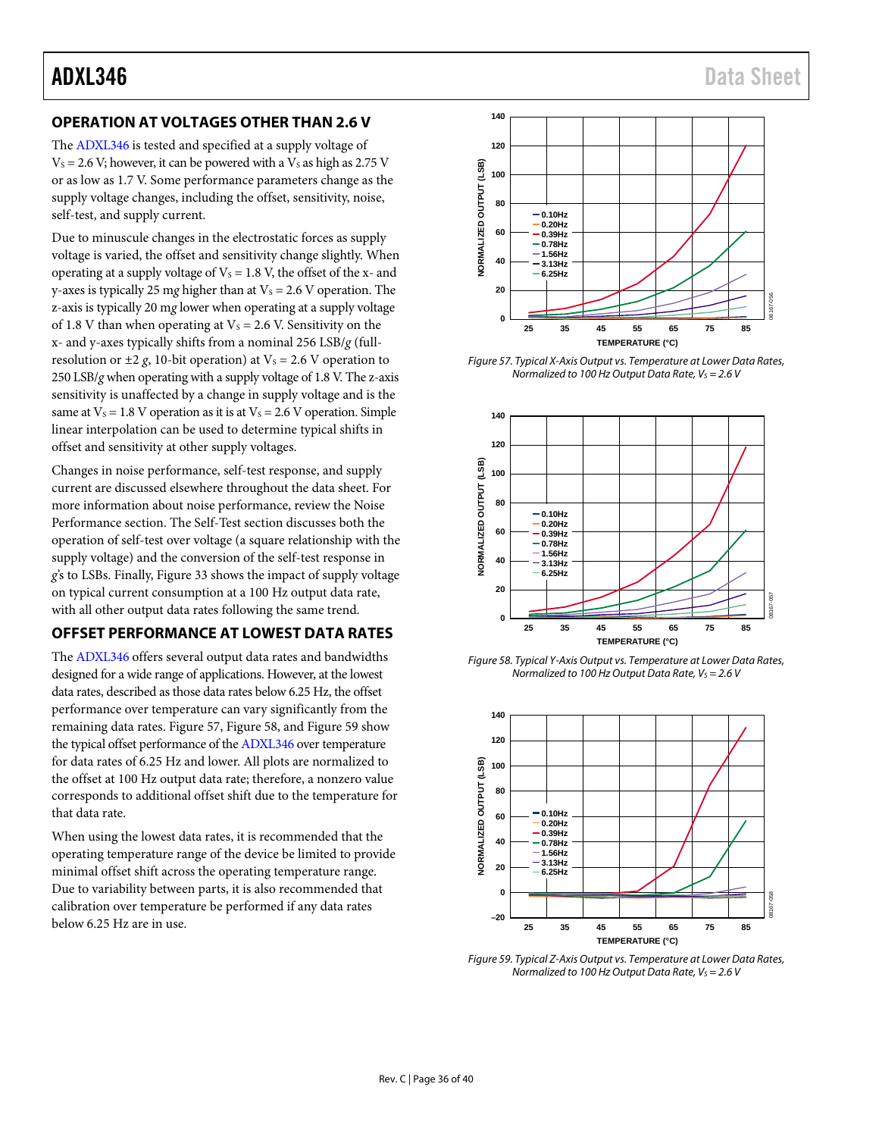# **OPERATION AT VOLTAGES OTHER THAN 2.6 V**

The [ADXL346](http://analog.com/ADXL346?doc=ADXL346.pdf) is tested and specified at a supply voltage of  $V_s = 2.6$  V; however, it can be powered with a  $V_s$  as high as 2.75 V or as low as 1.7 V. Some performance parameters change as the supply voltage changes, including the offset, sensitivity, noise, self-test, and supply current.

Due to minuscule changes in the electrostatic forces as supply voltage is varied, the offset and sensitivity change slightly. When operating at a supply voltage of  $V_s = 1.8$  V, the offset of the x- and y-axes is typically 25 mg higher than at  $V_s = 2.6$  V operation. The z-axis is typically 20 m*g* lower when operating at a supply voltage of 1.8 V than when operating at  $V_s = 2.6$  V. Sensitivity on the x- and y-axes typically shifts from a nominal 256 LSB/*g* (fullresolution or  $\pm 2$  *g*, 10-bit operation) at  $V_s = 2.6$  V operation to 250 LSB/*g* when operating with a supply voltage of 1.8 V. The z-axis sensitivity is unaffected by a change in supply voltage and is the same at  $V_s = 1.8$  V operation as it is at  $V_s = 2.6$  V operation. Simple linear interpolation can be used to determine typical shifts in offset and sensitivity at other supply voltages.

Changes in noise performance, self-test response, and supply current are discussed elsewhere throughout the data sheet. For more information about noise performance, review th[e Noise](#page-35-0)  [Performance](#page-35-0) section. The [Self-Test](#page-21-6) section discusses both the operation of self-test over voltage (a square relationship with the supply voltage) and the conversion of the self-test response in *g*'s to LSBs. Finally, [Figure 33](#page-11-0) shows the impact of supply voltage on typical current consumption at a 100 Hz output data rate, with all other output data rates following the same trend.

## <span id="page-36-0"></span>**OFFSET PERFORMANCE AT LOWEST DATA RATES**

The [ADXL346](http://analog.com/ADXL346?doc=ADXL346.pdf) offers several output data rates and bandwidths designed for a wide range of applications. However, at the lowest data rates, described as those data rates below 6.25 Hz, the offset performance over temperature can vary significantly from the remaining data rates. [Figure 57,](#page-36-1) [Figure 58,](#page-36-2) and [Figure 59](#page-36-3) show the typical offset performance of th[e ADXL346](http://analog.com/ADXL346?doc=ADXL346.pdf) over temperature for data rates of 6.25 Hz and lower. All plots are normalized to the offset at 100 Hz output data rate; therefore, a nonzero value corresponds to additional offset shift due to the temperature for that data rate.

When using the lowest data rates, it is recommended that the operating temperature range of the device be limited to provide minimal offset shift across the operating temperature range. Due to variability between parts, it is also recommended that calibration over temperature be performed if any data rates below 6.25 Hz are in use.



<span id="page-36-1"></span>*Figure 57. Typical X-Axis Output vs. Temperature at Lower Data Rates, Normalized to 100 Hz Output Data Rate, Vs = 2.6 V* 



<span id="page-36-2"></span>*Figure 58. Typical Y-Axis Output vs. Temperature at Lower Data Rates, Normalized to 100 Hz Output Data Rate, Vs = 2.6 V* 



<span id="page-36-3"></span>*Figure 59. Typical Z-Axis Output vs. Temperature at Lower Data Rates, Normalized to 100 Hz Output Data Rate, V<sub>S</sub> = 2.6 V*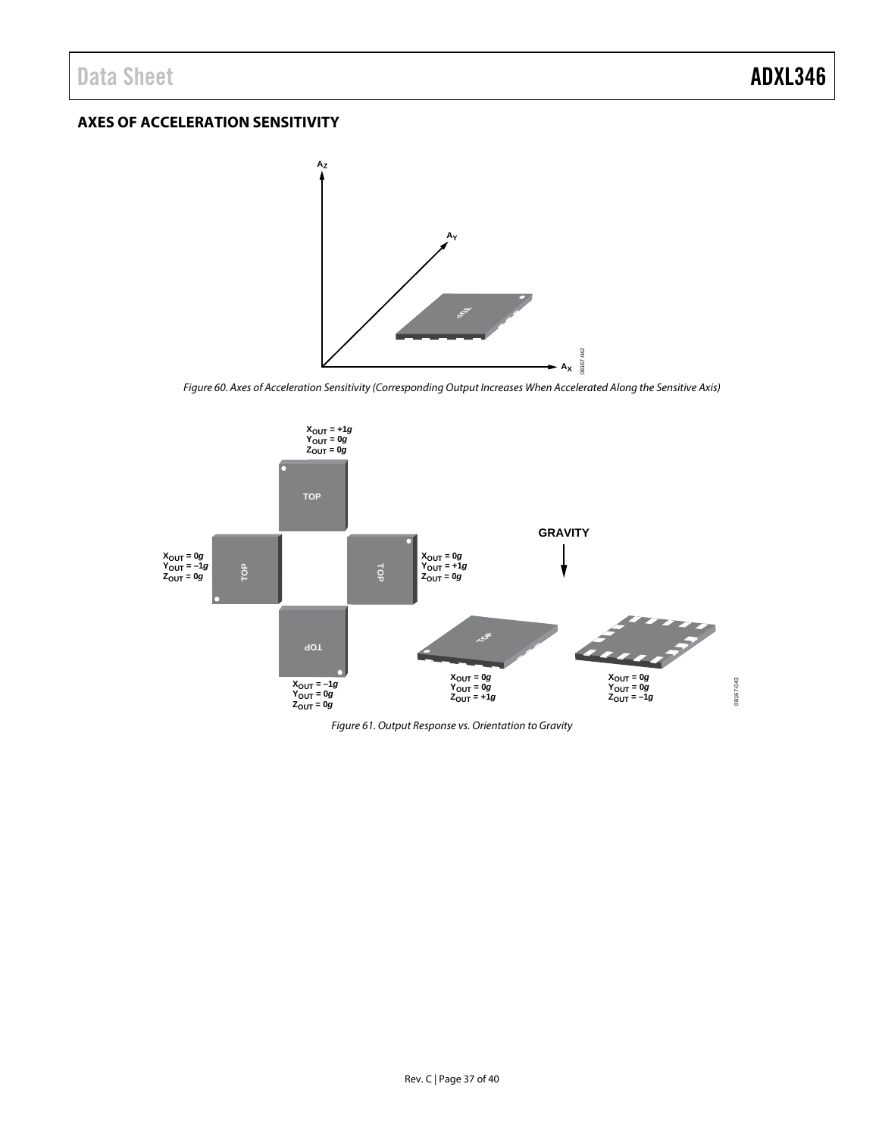# <span id="page-37-0"></span>**AXES OF ACCELERATION SENSITIVITY**



*Figure 60. Axes of Acceleration Sensitivity (Corresponding Output Increases When Accelerated Along the Sensitive Axis)*

08167-042



*Figure 61. Output Response vs. Orientation to Gravity*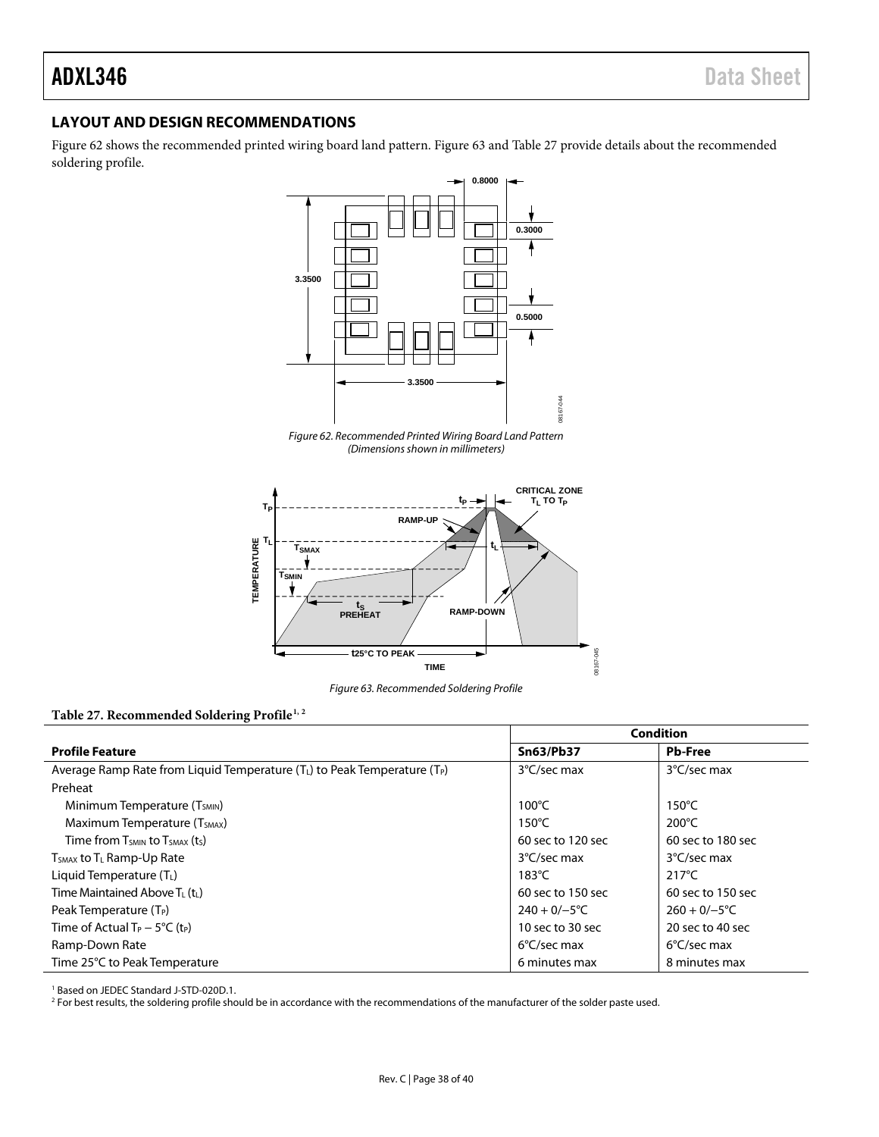# <span id="page-38-0"></span>**LAYOUT AND DESIGN RECOMMENDATIONS**

[Figure 62](#page-38-1) shows the recommended printed wiring board land pattern. [Figure 63](#page-38-2) and [Table 27](#page-38-3) provide details about the recommended soldering profile.



*Figure 62. Recommended Printed Wiring Board Land Pattern (Dimensions shown in millimeters)* 

<span id="page-38-1"></span>

*Figure 63. Recommended Soldering Profile* 

#### <span id="page-38-3"></span><span id="page-38-2"></span>Table 27. Recommended Soldering Profile<sup>1, 2</sup>

|                                                                               | <b>Condition</b>      |                       |  |
|-------------------------------------------------------------------------------|-----------------------|-----------------------|--|
| <b>Profile Feature</b>                                                        | Sn63/Pb37             | <b>Pb-Free</b>        |  |
| Average Ramp Rate from Liquid Temperature $(T_L)$ to Peak Temperature $(T_P)$ | 3°C/sec max           | 3°C/sec max           |  |
| Preheat                                                                       |                       |                       |  |
| Minimum Temperature (T <sub>SMIN</sub> )                                      | $100^{\circ}$ C       | $150^{\circ}$ C       |  |
| Maximum Temperature (T <sub>SMAX</sub> )                                      | $150^{\circ}$ C       | $200^{\circ}$ C       |  |
| Time from T <sub>SMIN</sub> to T <sub>SMAX</sub> (t <sub>S</sub> )            | 60 sec to 120 sec     | 60 sec to 180 sec     |  |
| $T_{SMAX}$ to $T_L$ Ramp-Up Rate                                              | 3°C/sec max           | 3°C/sec max           |  |
| Liquid Temperature $(T_L)$                                                    | $183^{\circ}$ C       | $217^{\circ}$ C       |  |
| Time Maintained Above $T_L(t_L)$                                              | 60 sec to 150 sec     | 60 sec to 150 sec     |  |
| Peak Temperature (T <sub>P</sub> )                                            | $240 + 0/-5$ °C       | $260 + 0/-5$ °C       |  |
| Time of Actual $T_P - 5^{\circ}C$ (t <sub>P</sub> )                           | 10 sec to 30 sec      | 20 sec to 40 sec      |  |
| Ramp-Down Rate                                                                | $6^{\circ}$ C/sec max | $6^{\circ}$ C/sec max |  |
| Time 25°C to Peak Temperature                                                 | 6 minutes max         | 8 minutes max         |  |

<sup>1</sup> Based on JEDEC Standard J-STD-020D.1.

<sup>2</sup> For best results, the soldering profile should be in accordance with the recommendations of the manufacturer of the solder paste used.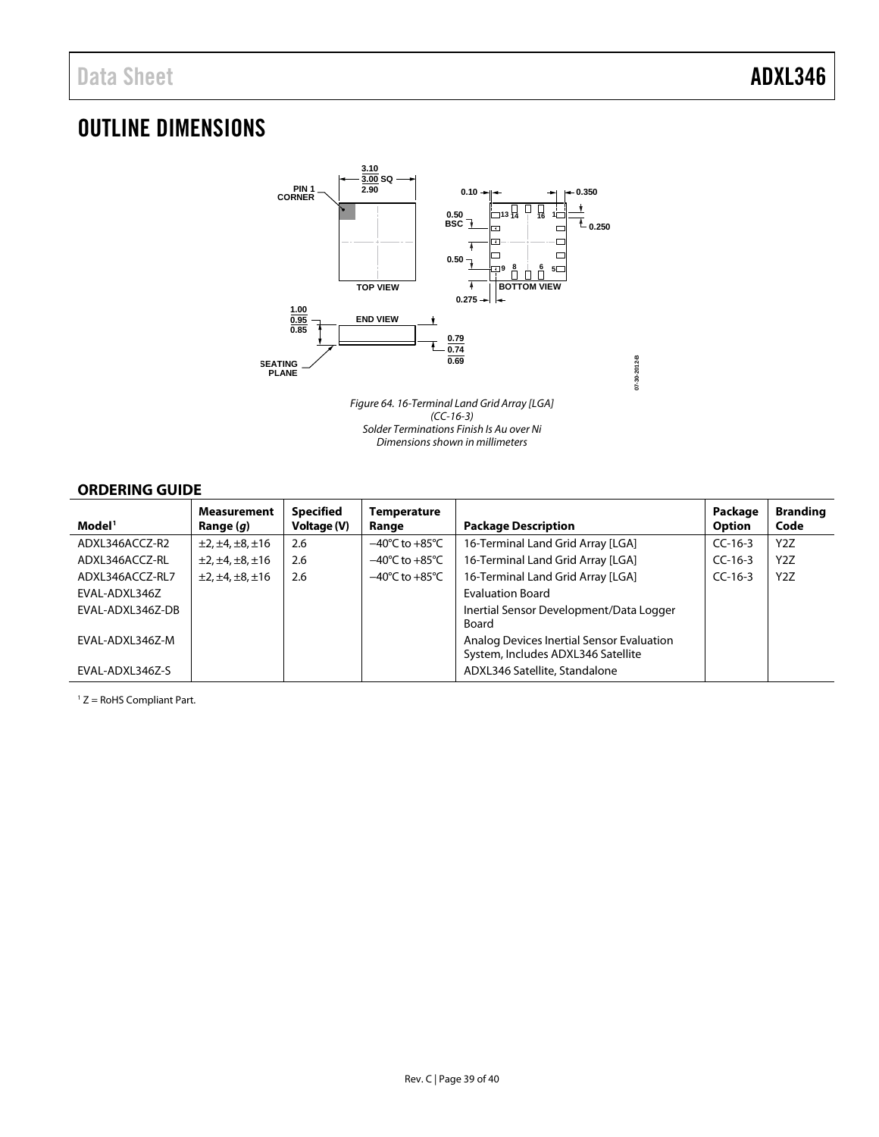# <span id="page-39-0"></span>OUTLINE DIMENSIONS



*Figure 64. 16-Terminal Land Grid Array [LGA] (CC-16-3) Solder Terminations Finish Is Au over Ni Dimensions shown in millimeters*

**07-30-2012-B**

07-30-2012-B

## <span id="page-39-1"></span>**ORDERING GUIDE**

| Model <sup>1</sup> | <b>Measurement</b><br>Range ( <i>g</i> ) | Specified<br>Voltage (V) | <b>Temperature</b><br>Range        | <b>Package Description</b>                                                      | Package<br><b>Option</b> | <b>Branding</b><br>Code |
|--------------------|------------------------------------------|--------------------------|------------------------------------|---------------------------------------------------------------------------------|--------------------------|-------------------------|
| ADXL346ACCZ-R2     | $\pm 2, \pm 4, \pm 8, \pm 16$            | 2.6                      | $-40^{\circ}$ C to $+85^{\circ}$ C | 16-Terminal Land Grid Array [LGA]                                               | $CC-16-3$                | Y <sub>2</sub> Z        |
| ADXL346ACCZ-RL     | $\pm 2, \pm 4, \pm 8, \pm 16$            | 2.6                      | $-40^{\circ}$ C to $+85^{\circ}$ C | 16-Terminal Land Grid Array [LGA]                                               | $CC-16-3$                | Y <sub>2</sub> Z        |
| ADXL346ACCZ-RL7    | $\pm 2, \pm 4, \pm 8, \pm 16$            | 2.6                      | $-40^{\circ}$ C to $+85^{\circ}$ C | 16-Terminal Land Grid Array [LGA]                                               | $CC-16-3$                | Y <sub>2</sub> Z        |
| EVAL-ADXL346Z      |                                          |                          |                                    | <b>Evaluation Board</b>                                                         |                          |                         |
| EVAL-ADXL346Z-DB   |                                          |                          |                                    | Inertial Sensor Development/Data Logger<br>Board                                |                          |                         |
| EVAL-ADXL346Z-M    |                                          |                          |                                    | Analog Devices Inertial Sensor Evaluation<br>System, Includes ADXL346 Satellite |                          |                         |
| EVAL-ADXL346Z-S    |                                          |                          |                                    | ADXL346 Satellite, Standalone                                                   |                          |                         |

 $1 Z =$  RoHS Compliant Part.